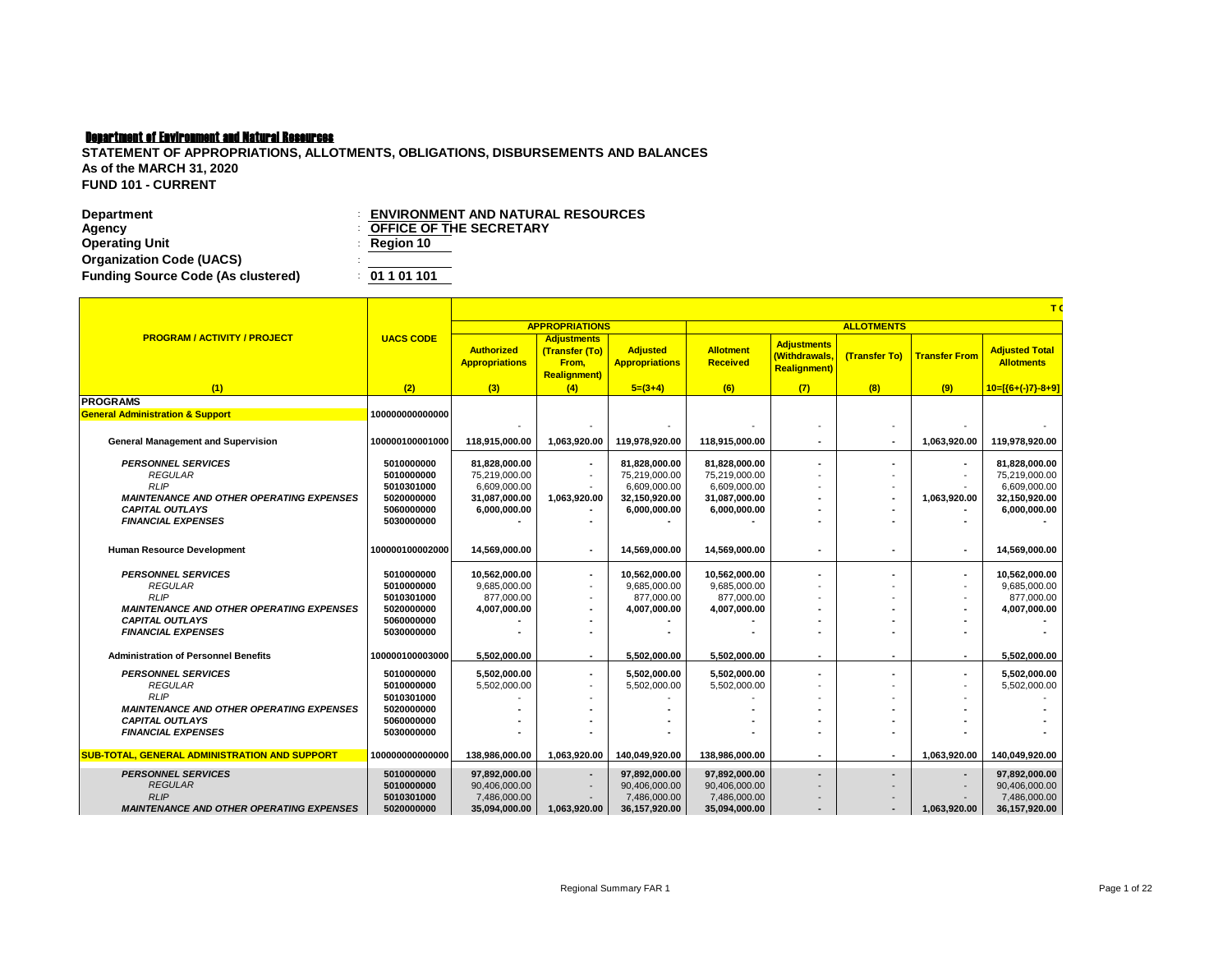| <b>ENVIRONMENT AND NATURAL RESOURCES</b> |
|------------------------------------------|
| <b>OFFICE OF THE SECRETARY</b>           |
| $\therefore$ Region 10                   |
|                                          |
| : 01101101                               |
|                                          |

|                                                                           |                          | T(                                         |                                                                      |                                          |                                     |                                                            |                          |                          |                                            |  |  |  |
|---------------------------------------------------------------------------|--------------------------|--------------------------------------------|----------------------------------------------------------------------|------------------------------------------|-------------------------------------|------------------------------------------------------------|--------------------------|--------------------------|--------------------------------------------|--|--|--|
|                                                                           |                          |                                            | <b>APPROPRIATIONS</b>                                                |                                          |                                     |                                                            | <b>ALLOTMENTS</b>        |                          |                                            |  |  |  |
| <b>PROGRAM / ACTIVITY / PROJECT</b>                                       | <b>UACS CODE</b>         | <b>Authorized</b><br><b>Appropriations</b> | <b>Adjustments</b><br>(Transfer (To)<br>From,<br><b>Realignment)</b> | <b>Adjusted</b><br><b>Appropriations</b> | <b>Allotment</b><br><b>Received</b> | <b>Adjustments</b><br>(Withdrawals.<br><b>Realignment)</b> | (Transfer To)            | <b>Transfer From</b>     | <b>Adjusted Total</b><br><b>Allotments</b> |  |  |  |
| (1)                                                                       | (2)                      | (3)                                        | (4)                                                                  | $5=(3+4)$                                | (6)                                 | (7)                                                        | (8)                      | (9)                      | $10=[(6+(-)7)-8+9]$                        |  |  |  |
| <b>PROGRAMS</b>                                                           |                          |                                            |                                                                      |                                          |                                     |                                                            |                          |                          |                                            |  |  |  |
| <b>General Administration &amp; Support</b>                               | 100000000000000          |                                            |                                                                      |                                          |                                     |                                                            |                          |                          |                                            |  |  |  |
|                                                                           |                          |                                            |                                                                      |                                          |                                     |                                                            |                          |                          |                                            |  |  |  |
| <b>General Management and Supervision</b>                                 | 100000100001000          | 118.915.000.00                             | 1,063,920.00                                                         | 119.978.920.00                           | 118.915.000.00                      |                                                            | $\blacksquare$           | 1.063.920.00             | 119.978.920.00                             |  |  |  |
|                                                                           |                          |                                            |                                                                      |                                          |                                     |                                                            |                          |                          |                                            |  |  |  |
| <b>PERSONNEL SERVICES</b>                                                 | 5010000000<br>5010000000 | 81,828,000.00                              |                                                                      | 81,828,000.00                            | 81,828,000.00                       |                                                            | $\blacksquare$           | $\blacksquare$           | 81,828,000.00                              |  |  |  |
| <b>REGULAR</b><br><b>RLIP</b>                                             | 5010301000               | 75,219,000.00<br>6,609,000.00              |                                                                      | 75,219,000.00<br>6,609,000.00            | 75,219,000.00<br>6,609,000.00       |                                                            | $\overline{\phantom{a}}$ | $\overline{\phantom{a}}$ | 75,219,000.00<br>6,609,000.00              |  |  |  |
| <b>MAINTENANCE AND OTHER OPERATING EXPENSES</b>                           | 5020000000               | 31,087,000.00                              | 1,063,920.00                                                         | 32,150,920.00                            | 31,087,000.00                       |                                                            | $\blacksquare$           | 1,063,920.00             | 32,150,920.00                              |  |  |  |
| <b>CAPITAL OUTLAYS</b>                                                    | 5060000000               | 6,000,000.00                               |                                                                      | 6,000,000.00                             | 6,000,000.00                        |                                                            |                          |                          | 6,000,000.00                               |  |  |  |
| <b>FINANCIAL EXPENSES</b>                                                 | 5030000000               |                                            |                                                                      |                                          |                                     |                                                            |                          |                          |                                            |  |  |  |
|                                                                           |                          |                                            |                                                                      |                                          |                                     |                                                            |                          |                          |                                            |  |  |  |
| Human Resource Development                                                | 100000100002000          | 14.569.000.00                              |                                                                      | 14.569.000.00                            | 14.569.000.00                       |                                                            | ٠                        | ٠                        | 14.569.000.00                              |  |  |  |
|                                                                           |                          |                                            |                                                                      |                                          |                                     |                                                            |                          |                          |                                            |  |  |  |
| <b>PERSONNEL SERVICES</b>                                                 | 5010000000               | 10,562,000.00                              |                                                                      | 10,562,000.00                            | 10,562,000.00                       |                                                            | $\blacksquare$           | ٠                        | 10,562,000.00                              |  |  |  |
| <b>REGULAR</b><br><b>RLIP</b>                                             | 5010000000               | 9,685,000.00                               |                                                                      | 9,685,000.00                             | 9,685,000.00                        |                                                            |                          | $\overline{\phantom{a}}$ | 9,685,000.00                               |  |  |  |
|                                                                           | 5010301000               | 877,000.00                                 |                                                                      | 877,000.00                               | 877,000.00                          |                                                            |                          |                          | 877,000.00                                 |  |  |  |
| <b>MAINTENANCE AND OTHER OPERATING EXPENSES</b><br><b>CAPITAL OUTLAYS</b> | 5020000000<br>5060000000 | 4,007,000.00                               |                                                                      | 4,007,000.00                             | 4,007,000.00                        |                                                            |                          |                          | 4,007,000.00                               |  |  |  |
| <b>FINANCIAL EXPENSES</b>                                                 | 5030000000               |                                            |                                                                      |                                          |                                     |                                                            |                          |                          |                                            |  |  |  |
|                                                                           |                          |                                            |                                                                      |                                          |                                     |                                                            |                          |                          |                                            |  |  |  |
| <b>Administration of Personnel Benefits</b>                               | 100000100003000          | 5,502,000.00                               | ٠                                                                    | 5,502,000.00                             | 5.502.000.00                        | ٠                                                          |                          | ٠                        | 5.502.000.00                               |  |  |  |
| <b>PERSONNEL SERVICES</b>                                                 | 5010000000               | 5.502.000.00                               |                                                                      | 5.502.000.00                             | 5.502.000.00                        |                                                            | $\blacksquare$           | ٠                        | 5.502.000.00                               |  |  |  |
| <b>REGULAR</b>                                                            | 5010000000               | 5,502,000.00                               |                                                                      | 5,502,000.00                             | 5,502,000.00                        |                                                            |                          |                          | 5,502,000.00                               |  |  |  |
| <b>RLIP</b>                                                               | 5010301000               |                                            |                                                                      |                                          |                                     |                                                            |                          |                          |                                            |  |  |  |
| <b>MAINTENANCE AND OTHER OPERATING EXPENSES</b>                           | 5020000000               |                                            |                                                                      |                                          |                                     |                                                            |                          |                          |                                            |  |  |  |
| <b>CAPITAL OUTLAYS</b>                                                    | 5060000000               |                                            |                                                                      |                                          |                                     |                                                            |                          |                          |                                            |  |  |  |
| <b>FINANCIAL EXPENSES</b>                                                 | 5030000000               |                                            |                                                                      |                                          |                                     |                                                            |                          |                          |                                            |  |  |  |
| <b>SUB-TOTAL, GENERAL ADMINISTRATION AND SUPPORT</b>                      | 100000000000000          | 138,986,000.00                             | 1.063.920.00                                                         | 140,049,920.00                           | 138,986,000.00                      | ٠                                                          | $\overline{\phantom{a}}$ | 1.063.920.00             | 140.049.920.00                             |  |  |  |
| <b>PERSONNEL SERVICES</b>                                                 | 5010000000               | 97,892,000.00                              | $\overline{\phantom{a}}$                                             | 97,892,000.00                            | 97,892,000.00                       |                                                            | $\overline{a}$           | $\overline{a}$           | 97,892,000.00                              |  |  |  |
| <b>REGULAR</b>                                                            | 5010000000               | 90,406,000.00                              |                                                                      | 90,406,000.00                            | 90,406,000.00                       |                                                            |                          |                          | 90,406,000.00                              |  |  |  |
| <b>RLIP</b>                                                               | 5010301000               | 7,486,000.00                               |                                                                      | 7,486,000.00                             | 7,486,000.00                        |                                                            |                          |                          | 7,486,000.00                               |  |  |  |
| <b>MAINTENANCE AND OTHER OPERATING EXPENSES</b>                           | 5020000000               | 35,094,000.00                              | 1,063,920.00                                                         | 36,157,920.00                            | 35,094,000.00                       | $\blacksquare$                                             | $\overline{\phantom{a}}$ | 1,063,920.00             | 36, 157, 920.00                            |  |  |  |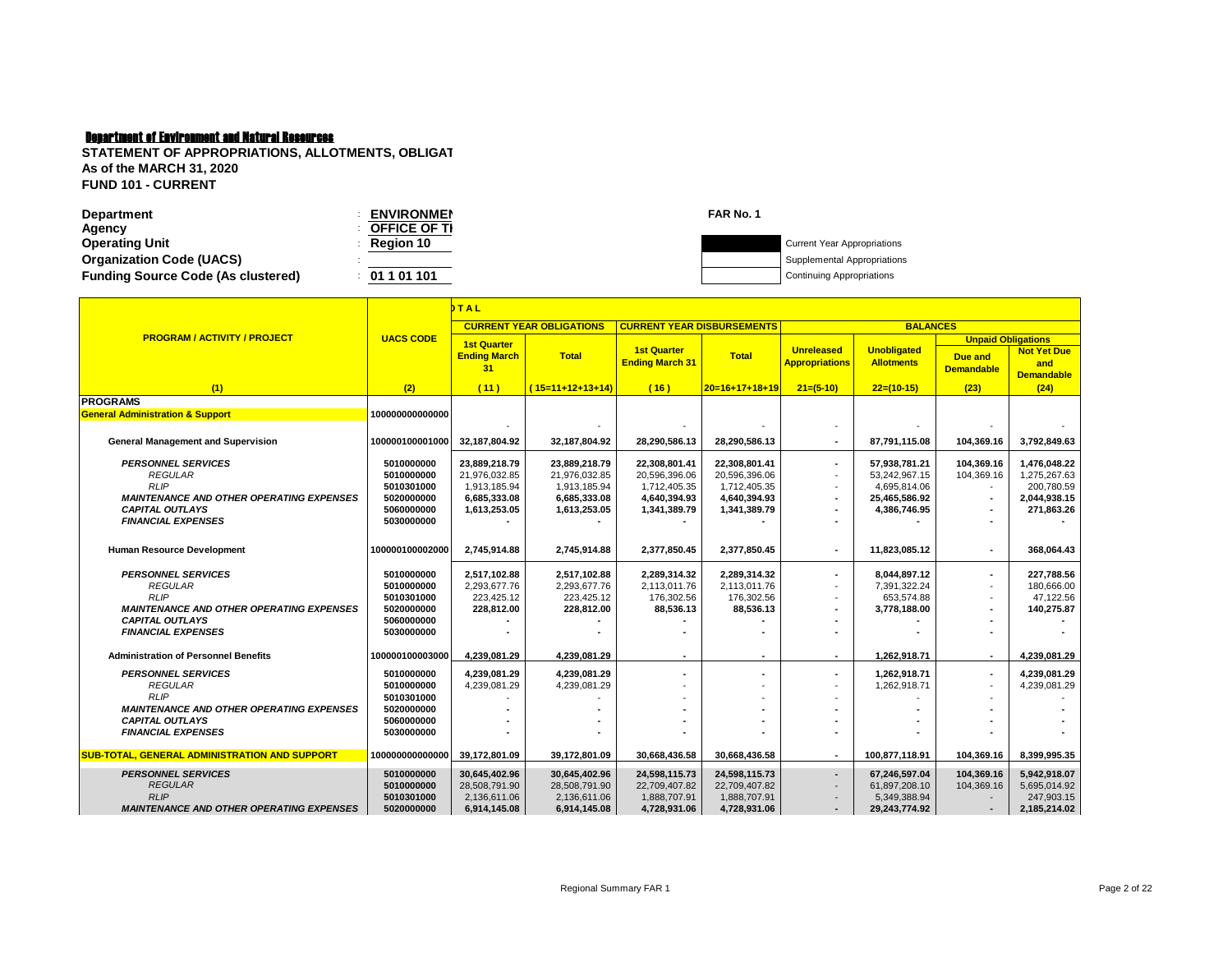| <b>Department</b>                         | <b>ENVIRONMEN</b>   | FAR No. 1 |                                    |
|-------------------------------------------|---------------------|-----------|------------------------------------|
| Agency                                    | <b>OFFICE OF TI</b> |           |                                    |
| <b>Operating Unit</b>                     | Reaion 10           |           | <b>Current Year Appropriations</b> |
| <b>Organization Code (UACS)</b>           |                     |           | Supplemental Appropriations        |
| <b>Funding Source Code (As clustered)</b> | 01 1 01 101         |           | Continuing Appropriations          |
|                                           |                     |           |                                    |

|                                                                           |                          | <b>TAL</b>                                      |                                 |                                              |                  |                                            |                                         |                                                           |                                                |  |  |
|---------------------------------------------------------------------------|--------------------------|-------------------------------------------------|---------------------------------|----------------------------------------------|------------------|--------------------------------------------|-----------------------------------------|-----------------------------------------------------------|------------------------------------------------|--|--|
|                                                                           |                          |                                                 | <b>CURRENT YEAR OBLIGATIONS</b> | <b>CURRENT YEAR DISBURSEMENTS</b>            |                  |                                            | <b>BALANCES</b>                         |                                                           |                                                |  |  |
| <b>PROGRAM / ACTIVITY / PROJECT</b>                                       | <b>UACS CODE</b>         | <b>1st Quarter</b><br><b>Ending March</b><br>31 | <b>Total</b>                    | <b>1st Quarter</b><br><b>Ending March 31</b> | <b>Total</b>     | <b>Unreleased</b><br><b>Appropriations</b> | <b>Unobligated</b><br><b>Allotments</b> | <b>Unpaid Obligations</b><br>Due and<br><b>Demandable</b> | <b>Not Yet Due</b><br>and<br><b>Demandable</b> |  |  |
| (1)                                                                       | (2)                      | (11)                                            | $(15=11+12+13+14)$              | (16)                                         | $20=16+17+18+19$ | $21=(5-10)$                                | $22=(10-15)$                            | (23)                                                      | (24)                                           |  |  |
| <b>PROGRAMS</b>                                                           |                          |                                                 |                                 |                                              |                  |                                            |                                         |                                                           |                                                |  |  |
| <b>General Administration &amp; Support</b>                               | 100000000000000          |                                                 |                                 |                                              |                  |                                            |                                         |                                                           |                                                |  |  |
| <b>General Management and Supervision</b>                                 | 100000100001000          | 32,187,804.92                                   | 32,187,804.92                   | 28,290,586.13                                | 28,290,586.13    |                                            | 87,791,115.08                           | 104,369.16                                                | 3,792,849.63                                   |  |  |
| <b>PERSONNEL SERVICES</b>                                                 | 5010000000               | 23,889,218.79                                   | 23,889,218.79                   | 22,308,801.41                                | 22,308,801.41    | $\overline{\phantom{a}}$                   | 57,938,781.21                           | 104,369.16                                                | 1,476,048.22                                   |  |  |
| <b>REGULAR</b>                                                            | 5010000000               | 21,976,032.85                                   | 21,976,032.85                   | 20,596,396.06                                | 20,596,396.06    |                                            | 53,242,967.15                           | 104,369.16                                                | 1,275,267.63                                   |  |  |
| <b>RLIP</b>                                                               | 5010301000               | 1,913,185.94                                    | 1,913,185.94                    | 1,712,405.35                                 | 1,712,405.35     |                                            | 4,695,814.06                            |                                                           | 200.780.59                                     |  |  |
| <b>MAINTENANCE AND OTHER OPERATING EXPENSES</b>                           | 5020000000               | 6,685,333.08                                    | 6,685,333.08                    | 4,640,394.93                                 | 4,640,394.93     | $\overline{\phantom{a}}$                   | 25,465,586.92                           |                                                           | 2,044,938.15                                   |  |  |
| <b>CAPITAL OUTLAYS</b><br><b>FINANCIAL EXPENSES</b>                       | 5060000000<br>5030000000 | 1,613,253.05                                    | 1,613,253.05                    | 1,341,389.79                                 | 1,341,389.79     | $\overline{\phantom{a}}$                   | 4,386,746.95                            |                                                           | 271,863.26                                     |  |  |
|                                                                           |                          |                                                 |                                 |                                              |                  |                                            |                                         |                                                           |                                                |  |  |
| <b>Human Resource Development</b>                                         | 100000100002000          | 2,745,914.88                                    | 2,745,914.88                    | 2,377,850.45                                 | 2,377,850.45     | $\blacksquare$                             | 11,823,085.12                           |                                                           | 368,064.43                                     |  |  |
| <b>PERSONNEL SERVICES</b>                                                 | 5010000000               | 2,517,102.88                                    | 2,517,102.88                    | 2,289,314.32                                 | 2,289,314.32     | $\overline{\phantom{a}}$                   | 8,044,897.12                            | ٠                                                         | 227,788.56                                     |  |  |
| <b>REGULAR</b>                                                            | 5010000000               | 2,293,677.76                                    | 2,293,677.76                    | 2,113,011.76                                 | 2,113,011.76     | $\sim$                                     | 7,391,322.24                            | $\overline{\phantom{a}}$                                  | 180.666.00                                     |  |  |
| <b>RLIP</b>                                                               | 5010301000               | 223,425.12                                      | 223,425.12                      | 176,302.56                                   | 176,302.56       |                                            | 653,574.88                              |                                                           | 47,122.56                                      |  |  |
| <b>MAINTENANCE AND OTHER OPERATING EXPENSES</b>                           | 5020000000               | 228,812.00                                      | 228,812.00                      | 88,536.13                                    | 88,536.13        |                                            | 3,778,188.00                            |                                                           | 140,275.87                                     |  |  |
| <b>CAPITAL OUTLAYS</b><br><b>FINANCIAL EXPENSES</b>                       | 5060000000<br>5030000000 |                                                 |                                 |                                              |                  |                                            |                                         |                                                           |                                                |  |  |
|                                                                           |                          |                                                 |                                 |                                              |                  |                                            |                                         |                                                           |                                                |  |  |
| <b>Administration of Personnel Benefits</b>                               | 100000100003000          | 4,239,081.29                                    | 4,239,081.29                    | $\overline{\phantom{a}}$                     |                  | $\overline{\phantom{a}}$                   | 1,262,918.71                            | $\overline{\phantom{a}}$                                  | 4,239,081.29                                   |  |  |
| <b>PERSONNEL SERVICES</b>                                                 | 5010000000               | 4,239,081.29                                    | 4,239,081.29                    |                                              |                  | $\overline{\phantom{a}}$                   | 1,262,918.71                            |                                                           | 4,239,081.29                                   |  |  |
| <b>REGULAR</b>                                                            | 5010000000               | 4,239,081.29                                    | 4,239,081.29                    |                                              |                  |                                            | 1,262,918.71                            |                                                           | 4,239,081.29                                   |  |  |
| <b>RLIP</b>                                                               | 5010301000               |                                                 |                                 |                                              |                  |                                            |                                         |                                                           |                                                |  |  |
| <b>MAINTENANCE AND OTHER OPERATING EXPENSES</b><br><b>CAPITAL OUTLAYS</b> | 5020000000<br>5060000000 |                                                 |                                 |                                              |                  |                                            |                                         |                                                           |                                                |  |  |
| <b>FINANCIAL EXPENSES</b>                                                 | 5030000000               |                                                 |                                 |                                              |                  |                                            |                                         |                                                           |                                                |  |  |
|                                                                           |                          |                                                 |                                 |                                              |                  |                                            |                                         |                                                           |                                                |  |  |
| <b>SUB-TOTAL, GENERAL ADMINISTRATION AND SUPPORT</b>                      | 100000000000000          | 39.172.801.09                                   | 39,172,801.09                   | 30,668,436.58                                | 30,668,436.58    | $\overline{\phantom{a}}$                   | 100,877,118.91                          | 104,369.16                                                | 8,399,995.35                                   |  |  |
| <b>PERSONNEL SERVICES</b>                                                 | 5010000000               | 30,645,402.96                                   | 30,645,402.96                   | 24,598,115.73                                | 24,598,115.73    | $\overline{\phantom{a}}$                   | 67,246,597.04                           | 104,369.16                                                | 5,942,918.07                                   |  |  |
| <b>REGULAR</b>                                                            | 5010000000               | 28,508,791.90                                   | 28,508,791.90                   | 22,709,407.82                                | 22,709,407.82    |                                            | 61,897,208.10                           | 104,369.16                                                | 5,695,014.92                                   |  |  |
| <b>RLIP</b>                                                               | 5010301000               | 2,136,611.06                                    | 2,136,611.06                    | 1,888,707.91                                 | 1,888,707.91     | $\blacksquare$                             | 5,349,388.94                            |                                                           | 247,903.15                                     |  |  |
| <b>MAINTENANCE AND OTHER OPERATING EXPENSES</b>                           | 5020000000               | 6,914,145.08                                    | 6,914,145.08                    | 4,728,931.06                                 | 4,728,931.06     |                                            | 29,243,774.92                           |                                                           | 2,185,214.02                                   |  |  |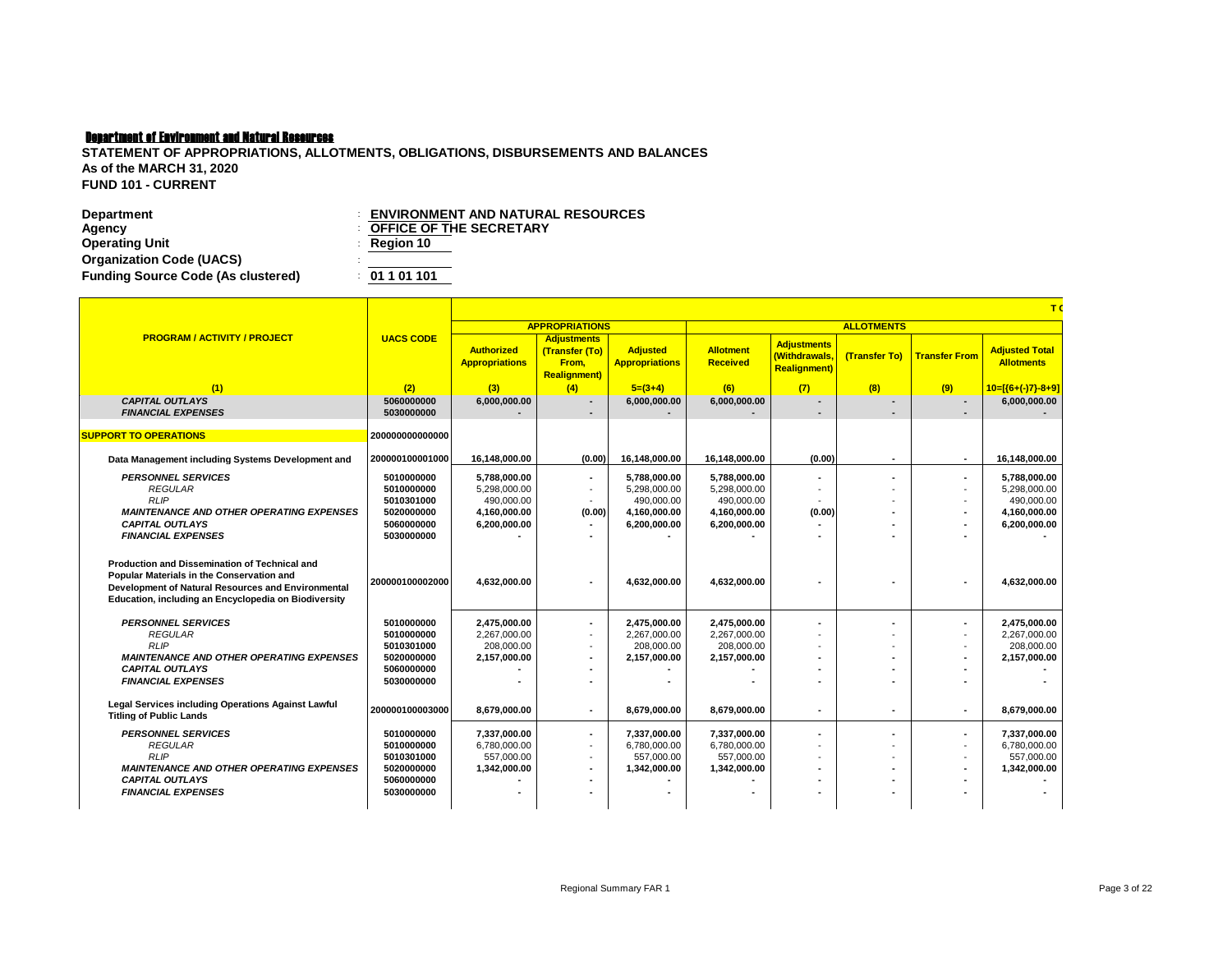| Department                                | <b>ENVIRONMENT AND NATURAL RESOURCES</b> |
|-------------------------------------------|------------------------------------------|
| Agency                                    | <b>COFFICE OF THE SECRETARY</b>          |
| <b>Operating Unit</b>                     | $\therefore$ Region 10                   |
| <b>Organization Code (UACS)</b>           |                                          |
| <b>Funding Source Code (As clustered)</b> | : 01101101                               |

|                                                                                                                                                                                                                 |                  |                                            |                                                                       |                                          |                                     |                                                            |                          |                          | T.                                         |  |
|-----------------------------------------------------------------------------------------------------------------------------------------------------------------------------------------------------------------|------------------|--------------------------------------------|-----------------------------------------------------------------------|------------------------------------------|-------------------------------------|------------------------------------------------------------|--------------------------|--------------------------|--------------------------------------------|--|
|                                                                                                                                                                                                                 |                  |                                            | <b>APPROPRIATIONS</b>                                                 |                                          |                                     | <b>ALLOTMENTS</b>                                          |                          |                          |                                            |  |
| <b>PROGRAM / ACTIVITY / PROJECT</b>                                                                                                                                                                             | <b>UACS CODE</b> | <b>Authorized</b><br><b>Appropriations</b> | <b>Adjustments</b><br>(Transfer (To)<br>From.<br><b>Realignment</b> ) | <b>Adjusted</b><br><b>Appropriations</b> | <b>Allotment</b><br><b>Received</b> | <b>Adjustments</b><br>(Withdrawals,<br><b>Realignment)</b> | (Transfer To)            | <b>Transfer From</b>     | <b>Adjusted Total</b><br><b>Allotments</b> |  |
| (1)                                                                                                                                                                                                             | (2)              | (3)                                        | (4)                                                                   | $5=(3+4)$                                | (6)                                 | (7)                                                        | (8)                      | (9)                      | $10=[(6+(-)7)-8+9]$                        |  |
| <b>CAPITAL OUTLAYS</b>                                                                                                                                                                                          | 5060000000       | 6,000,000.00                               |                                                                       | 6.000.000.00                             | 6,000,000.00                        |                                                            | $\overline{\phantom{a}}$ | $\overline{a}$           | 6,000,000.00                               |  |
| <b>FINANCIAL EXPENSES</b>                                                                                                                                                                                       | 5030000000       |                                            |                                                                       |                                          |                                     |                                                            | $\blacksquare$           | $\overline{a}$           |                                            |  |
|                                                                                                                                                                                                                 |                  |                                            |                                                                       |                                          |                                     |                                                            |                          |                          |                                            |  |
| <b>SUPPORT TO OPERATIONS</b>                                                                                                                                                                                    | 200000000000000  |                                            |                                                                       |                                          |                                     |                                                            |                          |                          |                                            |  |
| Data Management including Systems Development and                                                                                                                                                               | 200000100001000  | 16,148,000.00                              | (0.00)                                                                | 16,148,000.00                            | 16,148,000.00                       | (0.00)                                                     | $\blacksquare$           | $\overline{\phantom{a}}$ | 16,148,000.00                              |  |
| <b>PERSONNEL SERVICES</b>                                                                                                                                                                                       | 5010000000       | 5,788,000.00                               | $\overline{\phantom{a}}$                                              | 5.788.000.00                             | 5.788.000.00                        |                                                            | $\blacksquare$           | $\blacksquare$           | 5.788.000.00                               |  |
| <b>REGULAR</b>                                                                                                                                                                                                  | 5010000000       | 5.298.000.00                               | $\overline{\phantom{a}}$                                              | 5.298.000.00                             | 5.298.000.00                        | $\blacksquare$                                             |                          | $\overline{\phantom{a}}$ | 5.298.000.00                               |  |
| <b>RLIP</b>                                                                                                                                                                                                     | 5010301000       | 490.000.00                                 |                                                                       | 490.000.00                               | 490,000.00                          |                                                            | $\overline{\phantom{a}}$ | $\overline{\phantom{a}}$ | 490,000.00                                 |  |
| <b>MAINTENANCE AND OTHER OPERATING EXPENSES</b>                                                                                                                                                                 | 5020000000       | 4,160,000.00                               | (0.00)                                                                | 4,160,000.00                             | 4,160,000.00                        | (0.00)                                                     | $\overline{a}$           | ٠                        | 4,160,000.00                               |  |
| <b>CAPITAL OUTLAYS</b>                                                                                                                                                                                          | 5060000000       | 6.200.000.00                               |                                                                       | 6.200.000.00                             | 6,200,000.00                        |                                                            |                          |                          | 6,200,000.00                               |  |
| <b>FINANCIAL EXPENSES</b>                                                                                                                                                                                       | 5030000000       |                                            |                                                                       |                                          |                                     |                                                            |                          |                          |                                            |  |
| <b>Production and Dissemination of Technical and</b><br>Popular Materials in the Conservation and<br>Development of Natural Resources and Environmental<br>Education, including an Encyclopedia on Biodiversity | 200000100002000  | 4,632,000.00                               | $\overline{\phantom{a}}$                                              | 4,632,000.00                             | 4,632,000.00                        |                                                            |                          | ٠                        | 4,632,000.00                               |  |
| <b>PERSONNEL SERVICES</b>                                                                                                                                                                                       | 5010000000       | 2,475,000.00                               | $\blacksquare$                                                        | 2,475,000.00                             | 2,475,000.00                        |                                                            | $\blacksquare$           | $\blacksquare$           | 2,475,000.00                               |  |
| <b>REGULAR</b>                                                                                                                                                                                                  | 5010000000       | 2,267,000.00                               | $\overline{\phantom{a}}$                                              | 2,267,000.00                             | 2,267,000.00                        |                                                            |                          | $\overline{\phantom{a}}$ | 2,267,000.00                               |  |
| <b>RLIP</b>                                                                                                                                                                                                     | 5010301000       | 208.000.00                                 | $\overline{a}$                                                        | 208.000.00                               | 208.000.00                          |                                                            |                          | ÷                        | 208.000.00                                 |  |
| <b>MAINTENANCE AND OTHER OPERATING EXPENSES</b>                                                                                                                                                                 | 5020000000       | 2,157,000.00                               | $\overline{\phantom{a}}$                                              | 2,157,000.00                             | 2,157,000.00                        |                                                            |                          | $\blacksquare$           | 2,157,000.00                               |  |
| <b>CAPITAL OUTLAYS</b>                                                                                                                                                                                          | 5060000000       |                                            |                                                                       |                                          |                                     |                                                            |                          |                          |                                            |  |
| <b>FINANCIAL EXPENSES</b>                                                                                                                                                                                       | 5030000000       |                                            |                                                                       |                                          |                                     |                                                            |                          |                          |                                            |  |
| Legal Services including Operations Against Lawful<br><b>Titling of Public Lands</b>                                                                                                                            | 200000100003000  | 8,679,000.00                               |                                                                       | 8,679,000.00                             | 8,679,000.00                        | $\blacksquare$                                             | $\blacksquare$           | ٠                        | 8,679,000.00                               |  |
| <b>PERSONNEL SERVICES</b>                                                                                                                                                                                       | 5010000000       | 7,337,000.00                               | $\blacksquare$                                                        | 7.337.000.00                             | 7,337,000.00                        |                                                            | ٠                        | ٠                        | 7,337,000.00                               |  |
| <b>REGULAR</b>                                                                                                                                                                                                  | 5010000000       | 6.780.000.00                               | $\blacksquare$                                                        | 6.780.000.00                             | 6.780.000.00                        |                                                            |                          |                          | 6.780.000.00                               |  |
| <b>RLIP</b>                                                                                                                                                                                                     | 5010301000       | 557,000.00                                 | $\overline{\phantom{a}}$                                              | 557.000.00                               | 557,000.00                          |                                                            |                          |                          | 557,000.00                                 |  |
| <b>MAINTENANCE AND OTHER OPERATING EXPENSES</b>                                                                                                                                                                 | 5020000000       | 1,342,000.00                               | $\blacksquare$                                                        | 1,342,000.00                             | 1,342,000.00                        |                                                            |                          | $\blacksquare$           | 1,342,000.00                               |  |
| <b>CAPITAL OUTLAYS</b>                                                                                                                                                                                          | 5060000000       |                                            |                                                                       |                                          |                                     |                                                            |                          |                          |                                            |  |
| <b>FINANCIAL EXPENSES</b>                                                                                                                                                                                       | 5030000000       |                                            | $\blacksquare$                                                        |                                          |                                     |                                                            |                          |                          |                                            |  |
|                                                                                                                                                                                                                 |                  |                                            |                                                                       |                                          |                                     |                                                            |                          |                          |                                            |  |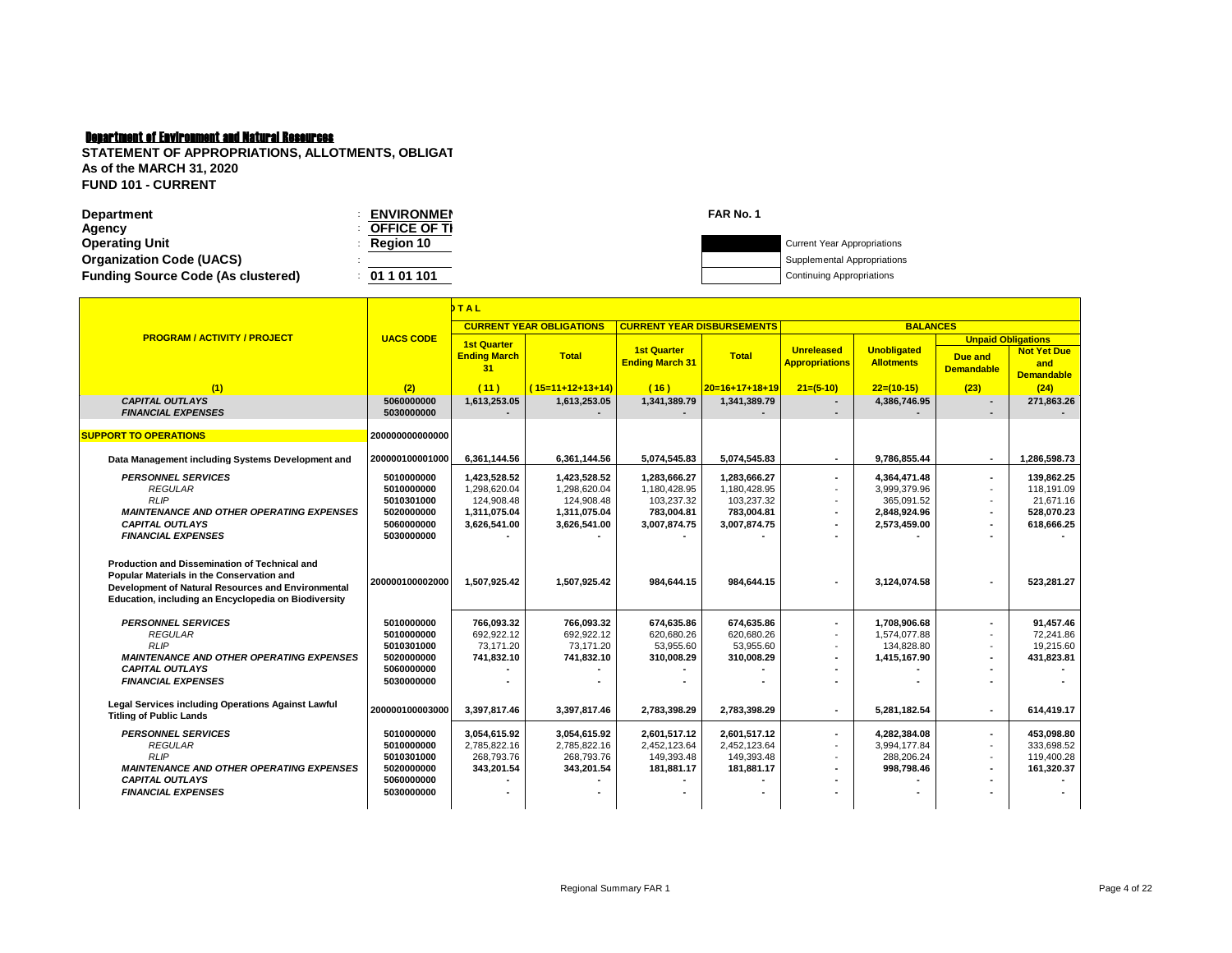| <b>Department</b>                         | <b>ENVIRONMEN</b> | FAR No. 1 |                                    |
|-------------------------------------------|-------------------|-----------|------------------------------------|
| Agency                                    | OFFICE OF TI      |           |                                    |
| <b>Operating Unit</b>                     | <b>Region 10</b>  |           | <b>Current Year Appropriations</b> |
| <b>Organization Code (UACS)</b>           |                   |           | Supplemental Appropriations        |
| <b>Funding Source Code (As clustered)</b> | 01 1 01 101       |           | Continuing Appropriations          |
|                                           |                   |           |                                    |

|                                                                                                                                                                                                                 |                                                                                  | <b>DTAL</b>                                                                |                                                                            |                                                                          |                                                                          |                                            |                                                                            |                                                                                               |                                                                   |
|-----------------------------------------------------------------------------------------------------------------------------------------------------------------------------------------------------------------|----------------------------------------------------------------------------------|----------------------------------------------------------------------------|----------------------------------------------------------------------------|--------------------------------------------------------------------------|--------------------------------------------------------------------------|--------------------------------------------|----------------------------------------------------------------------------|-----------------------------------------------------------------------------------------------|-------------------------------------------------------------------|
|                                                                                                                                                                                                                 |                                                                                  |                                                                            | <b>CURRENT YEAR OBLIGATIONS</b>                                            | <b>CURRENT YEAR DISBURSEMENTS</b>                                        |                                                                          |                                            | <b>BALANCES</b>                                                            |                                                                                               |                                                                   |
| <b>PROGRAM / ACTIVITY / PROJECT</b>                                                                                                                                                                             | <b>UACS CODE</b>                                                                 | <b>1st Quarter</b><br><b>Ending March</b><br>31                            | <b>Total</b>                                                               | <b>1st Quarter</b><br><b>Ending March 31</b>                             | <b>Total</b>                                                             | <b>Unreleased</b><br><b>Appropriations</b> | <b>Unobligated</b><br><b>Allotments</b>                                    | <b>Unpaid Obligations</b><br><b>Due and</b><br><b>Demandable</b>                              | <b>Not Yet Due</b><br>and<br><b>Demandable</b>                    |
| (1)                                                                                                                                                                                                             | (2)                                                                              | (11)                                                                       | $(15=11+12+13+14)$                                                         | (16)                                                                     | $20=16+17+18+19$                                                         | $21=(5-10)$                                | $22=(10-15)$                                                               | (23)                                                                                          | (24)                                                              |
| <b>CAPITAL OUTLAYS</b><br><b>FINANCIAL EXPENSES</b>                                                                                                                                                             | 5060000000<br>5030000000                                                         | 1,613,253.05                                                               | 1,613,253.05                                                               | 1,341,389.79                                                             | 1,341,389.79                                                             | $\blacksquare$                             | 4,386,746.95                                                               | ٠                                                                                             | 271,863.26                                                        |
| <b>SUPPORT TO OPERATIONS</b>                                                                                                                                                                                    | 200000000000000                                                                  |                                                                            |                                                                            |                                                                          |                                                                          |                                            |                                                                            |                                                                                               |                                                                   |
| Data Management including Systems Development and                                                                                                                                                               | 200000100001000                                                                  | 6,361,144.56                                                               | 6.361.144.56                                                               | 5,074,545.83                                                             | 5,074,545.83                                                             | $\blacksquare$                             | 9.786.855.44                                                               | $\sim$                                                                                        | 1,286,598.73                                                      |
| <b>PERSONNEL SERVICES</b><br><b>REGULAR</b><br><b>RLIP</b><br><b>MAINTENANCE AND OTHER OPERATING EXPENSES</b><br><b>CAPITAL OUTLAYS</b><br><b>FINANCIAL EXPENSES</b>                                            | 5010000000<br>5010000000<br>5010301000<br>5020000000<br>5060000000<br>5030000000 | 1.423.528.52<br>1,298,620.04<br>124.908.48<br>1,311,075.04<br>3,626,541.00 | 1,423,528.52<br>1,298,620.04<br>124.908.48<br>1,311,075.04<br>3,626,541.00 | 1.283.666.27<br>1,180,428.95<br>103.237.32<br>783.004.81<br>3,007,874.75 | 1.283.666.27<br>1,180,428.95<br>103.237.32<br>783.004.81<br>3,007,874.75 | $\overline{a}$<br>÷.<br>٠<br>۰             | 4,364,471.48<br>3,999,379.96<br>365.091.52<br>2,848,924.96<br>2.573.459.00 | $\overline{a}$<br>$\overline{\phantom{a}}$<br>$\overline{\phantom{a}}$<br>$\overline{a}$<br>٠ | 139.862.25<br>118,191.09<br>21.671.16<br>528.070.23<br>618.666.25 |
| <b>Production and Dissemination of Technical and</b><br>Popular Materials in the Conservation and<br>Development of Natural Resources and Environmental<br>Education, including an Encyclopedia on Biodiversity | 200000100002000                                                                  | 1.507.925.42                                                               | 1.507.925.42                                                               | 984.644.15                                                               | 984.644.15                                                               |                                            | 3.124.074.58                                                               | ٠                                                                                             | 523,281.27                                                        |
| <b>PERSONNEL SERVICES</b><br><b>REGULAR</b><br><b>RLIP</b><br><b>MAINTENANCE AND OTHER OPERATING EXPENSES</b><br><b>CAPITAL OUTLAYS</b><br><b>FINANCIAL EXPENSES</b>                                            | 5010000000<br>5010000000<br>5010301000<br>5020000000<br>5060000000<br>5030000000 | 766.093.32<br>692.922.12<br>73,171.20<br>741,832.10                        | 766.093.32<br>692.922.12<br>73.171.20<br>741,832.10                        | 674.635.86<br>620.680.26<br>53,955.60<br>310.008.29                      | 674.635.86<br>620.680.26<br>53,955.60<br>310,008.29                      | ٠                                          | 1.708.906.68<br>1.574.077.88<br>134,828.80<br>1,415,167.90                 | ٠<br>÷.<br>$\overline{\phantom{a}}$                                                           | 91.457.46<br>72.241.86<br>19,215.60<br>431.823.81                 |
| Legal Services including Operations Against Lawful<br><b>Titling of Public Lands</b>                                                                                                                            | 200000100003000                                                                  | 3,397,817.46                                                               | 3,397,817.46                                                               | 2,783,398.29                                                             | 2,783,398.29                                                             | ۰                                          | 5,281,182.54                                                               | $\overline{a}$                                                                                | 614,419.17                                                        |
| <b>PERSONNEL SERVICES</b><br><b>REGULAR</b><br><b>RLIP</b><br><b>MAINTENANCE AND OTHER OPERATING EXPENSES</b><br><b>CAPITAL OUTLAYS</b><br><b>FINANCIAL EXPENSES</b>                                            | 5010000000<br>5010000000<br>5010301000<br>5020000000<br>5060000000<br>5030000000 | 3,054,615.92<br>2,785,822.16<br>268.793.76<br>343,201.54                   | 3,054,615.92<br>2,785,822.16<br>268,793.76<br>343,201.54                   | 2,601,517.12<br>2,452,123.64<br>149,393.48<br>181,881.17                 | 2,601,517.12<br>2.452.123.64<br>149,393.48<br>181,881.17                 | ۰                                          | 4,282,384.08<br>3,994,177.84<br>288,206.24<br>998,798.46                   | ٠<br>٠                                                                                        | 453,098.80<br>333,698.52<br>119,400.28<br>161,320.37              |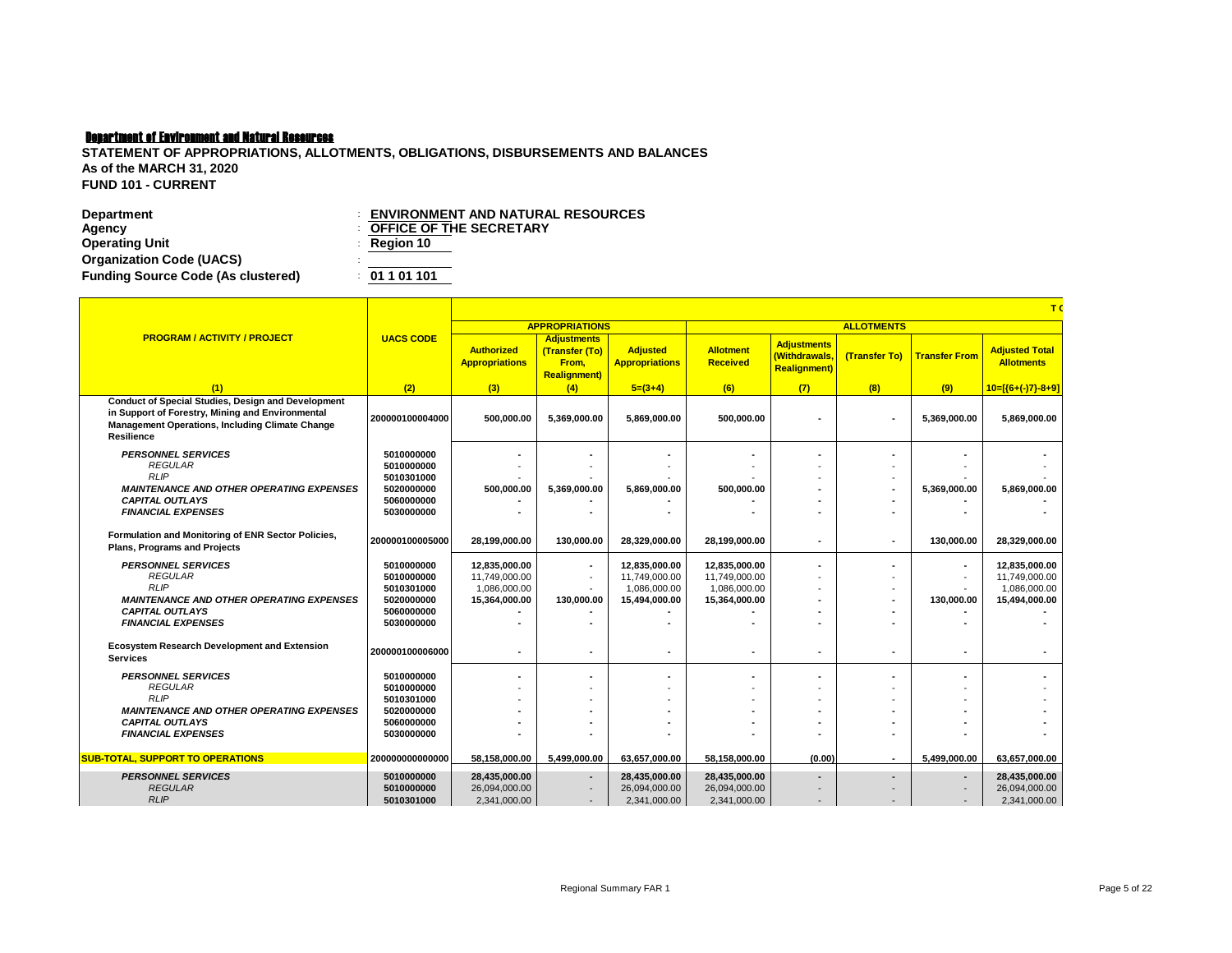| Department                                | <b>ENVIRONMENT AND NATURAL RESOURCES</b> |
|-------------------------------------------|------------------------------------------|
| Agency                                    | <b>COFFICE OF THE SECRETARY</b>          |
| <b>Operating Unit</b>                     | $\therefore$ Region 10                   |
| <b>Organization Code (UACS)</b>           |                                          |
| <b>Funding Source Code (As clustered)</b> | : 01101101                               |

|                                                                                                                                                                                       |                          | T(                                         |                                                                       |                                          |                                     |                                                            |                          |                          |                                            |  |  |  |
|---------------------------------------------------------------------------------------------------------------------------------------------------------------------------------------|--------------------------|--------------------------------------------|-----------------------------------------------------------------------|------------------------------------------|-------------------------------------|------------------------------------------------------------|--------------------------|--------------------------|--------------------------------------------|--|--|--|
|                                                                                                                                                                                       |                          |                                            | <b>APPROPRIATIONS</b>                                                 |                                          |                                     |                                                            | <b>ALLOTMENTS</b>        |                          |                                            |  |  |  |
| <b>PROGRAM / ACTIVITY / PROJECT</b>                                                                                                                                                   | <b>UACS CODE</b>         | <b>Authorized</b><br><b>Appropriations</b> | <b>Adjustments</b><br>(Transfer (To)<br>From,<br><b>Realignment</b> ) | <b>Adjusted</b><br><b>Appropriations</b> | <b>Allotment</b><br><b>Received</b> | <b>Adjustments</b><br>(Withdrawals,<br><b>Realignment)</b> | (Transfer To)            | <b>Transfer From</b>     | <b>Adjusted Total</b><br><b>Allotments</b> |  |  |  |
| (1)                                                                                                                                                                                   | (2)                      | (3)                                        | (4)                                                                   | $5=(3+4)$                                | (6)                                 | (7)                                                        | (8)                      | (9)                      | $10=[(6+(-)7)-8+9]$                        |  |  |  |
| <b>Conduct of Special Studies, Design and Development</b><br>in Support of Forestry, Mining and Environmental<br><b>Management Operations, Including Climate Change</b><br>Resilience | 200000100004000          | 500,000.00                                 | 5,369,000.00                                                          | 5,869,000.00                             | 500,000.00                          |                                                            | $\blacksquare$           | 5,369,000.00             | 5,869,000.00                               |  |  |  |
| <b>PERSONNEL SERVICES</b>                                                                                                                                                             | 5010000000               |                                            |                                                                       |                                          |                                     |                                                            | $\blacksquare$           |                          |                                            |  |  |  |
| <b>REGULAR</b>                                                                                                                                                                        | 5010000000               |                                            |                                                                       |                                          |                                     |                                                            |                          |                          |                                            |  |  |  |
| <b>RLIP</b>                                                                                                                                                                           | 5010301000               |                                            |                                                                       |                                          |                                     |                                                            | $\overline{\phantom{a}}$ |                          |                                            |  |  |  |
| <b>MAINTENANCE AND OTHER OPERATING EXPENSES</b>                                                                                                                                       | 5020000000               | 500,000.00                                 | 5,369,000.00                                                          | 5,869,000.00                             | 500,000.00                          |                                                            | $\blacksquare$           | 5,369,000.00             | 5,869,000.00                               |  |  |  |
| <b>CAPITAL OUTLAYS</b><br><b>FINANCIAL EXPENSES</b>                                                                                                                                   | 5060000000<br>5030000000 |                                            |                                                                       |                                          |                                     |                                                            |                          |                          |                                            |  |  |  |
|                                                                                                                                                                                       |                          |                                            |                                                                       |                                          |                                     |                                                            |                          |                          |                                            |  |  |  |
| Formulation and Monitoring of ENR Sector Policies,<br><b>Plans. Programs and Projects</b>                                                                                             | 200000100005000          | 28.199.000.00                              | 130.000.00                                                            | 28,329,000.00                            | 28,199,000.00                       | $\blacksquare$                                             | $\overline{\phantom{a}}$ | 130,000.00               | 28,329,000.00                              |  |  |  |
| <b>PERSONNEL SERVICES</b>                                                                                                                                                             | 5010000000               | 12,835,000.00                              |                                                                       | 12,835,000.00                            | 12,835,000.00                       |                                                            | $\blacksquare$           | $\blacksquare$           | 12,835,000.00                              |  |  |  |
| <b>REGULAR</b>                                                                                                                                                                        | 5010000000               | 11.749.000.00                              | $\overline{\phantom{a}}$                                              | 11,749,000.00                            | 11,749,000.00                       |                                                            |                          |                          | 11,749,000.00                              |  |  |  |
| <b>RLIP</b>                                                                                                                                                                           | 5010301000               | 1,086,000.00                               |                                                                       | 1,086,000.00                             | 1,086,000.00                        |                                                            | $\overline{\phantom{a}}$ |                          | 1,086,000.00                               |  |  |  |
| <b>MAINTENANCE AND OTHER OPERATING EXPENSES</b>                                                                                                                                       | 5020000000               | 15,364,000.00                              | 130,000.00                                                            | 15,494,000.00                            | 15,364,000.00                       |                                                            |                          | 130,000.00               | 15,494,000.00                              |  |  |  |
| <b>CAPITAL OUTLAYS</b>                                                                                                                                                                | 5060000000               |                                            |                                                                       |                                          |                                     |                                                            |                          |                          |                                            |  |  |  |
| <b>FINANCIAL EXPENSES</b>                                                                                                                                                             | 5030000000               |                                            |                                                                       |                                          |                                     |                                                            |                          |                          |                                            |  |  |  |
| <b>Ecosystem Research Development and Extension</b><br><b>Services</b>                                                                                                                | 200000100006000          |                                            |                                                                       |                                          |                                     |                                                            |                          |                          |                                            |  |  |  |
| <b>PERSONNEL SERVICES</b>                                                                                                                                                             | 5010000000               |                                            |                                                                       |                                          |                                     |                                                            | $\blacksquare$           |                          |                                            |  |  |  |
| <b>REGULAR</b>                                                                                                                                                                        | 5010000000               |                                            |                                                                       |                                          |                                     |                                                            |                          |                          |                                            |  |  |  |
| <b>RLIP</b>                                                                                                                                                                           | 5010301000               |                                            |                                                                       |                                          |                                     |                                                            |                          |                          |                                            |  |  |  |
| <b>MAINTENANCE AND OTHER OPERATING EXPENSES</b>                                                                                                                                       | 5020000000               |                                            |                                                                       |                                          |                                     |                                                            |                          |                          |                                            |  |  |  |
| <b>CAPITAL OUTLAYS</b>                                                                                                                                                                | 5060000000               |                                            |                                                                       |                                          |                                     |                                                            |                          |                          |                                            |  |  |  |
| <b>FINANCIAL EXPENSES</b>                                                                                                                                                             | 5030000000               |                                            |                                                                       |                                          |                                     |                                                            |                          |                          |                                            |  |  |  |
| SUB-TOTAL, SUPPORT TO OPERATIONS                                                                                                                                                      | 200000000000000          | 58,158,000.00                              | 5,499,000.00                                                          | 63,657,000.00                            | 58,158,000.00                       | (0.00)                                                     | $\overline{\phantom{a}}$ | 5,499,000.00             | 63,657,000.00                              |  |  |  |
| <b>PERSONNEL SERVICES</b>                                                                                                                                                             | 5010000000               | 28,435,000.00                              |                                                                       | 28,435,000.00                            | 28,435,000.00                       |                                                            | $\overline{\phantom{a}}$ | $\overline{\phantom{a}}$ | 28,435,000.00                              |  |  |  |
| <b>REGULAR</b>                                                                                                                                                                        | 5010000000               | 26,094,000.00                              |                                                                       | 26,094,000.00                            | 26,094,000.00                       |                                                            |                          |                          | 26,094,000.00                              |  |  |  |
| <b>RLIP</b>                                                                                                                                                                           | 5010301000               | 2,341,000.00                               | $\overline{\phantom{a}}$                                              | 2,341,000.00                             | 2,341,000.00                        |                                                            |                          |                          | 2,341,000.00                               |  |  |  |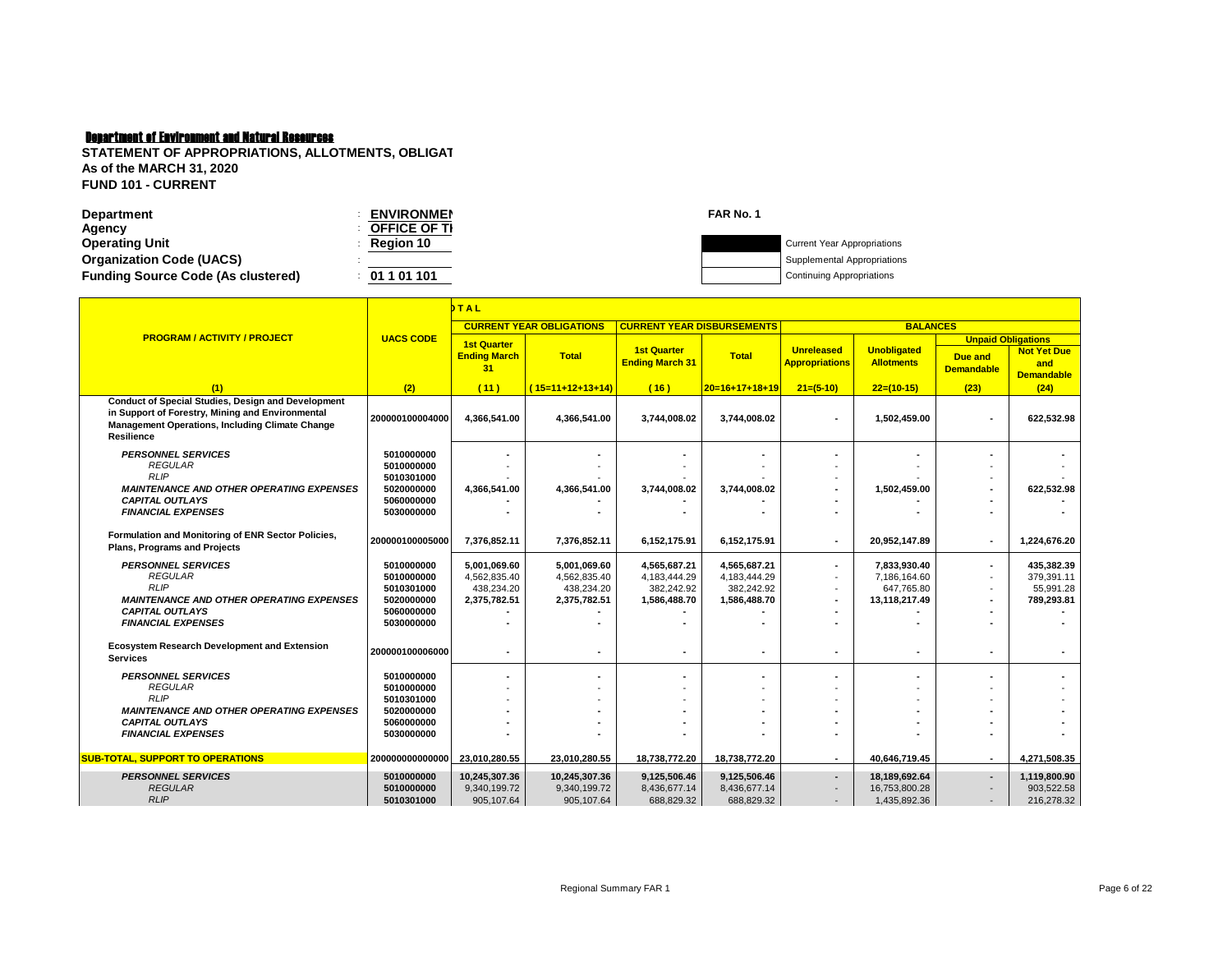| <b>Department</b>                         | <b>ENVIRONMEN</b>   | FAR No. 1                          |
|-------------------------------------------|---------------------|------------------------------------|
| Agency                                    | <b>OFFICE OF TI</b> |                                    |
| <b>Operating Unit</b>                     | <b>Region 10</b>    | <b>Current Year Appropriations</b> |
| <b>Organization Code (UACS)</b>           |                     | Supplemental Appropriations        |
| <b>Funding Source Code (As clustered)</b> | 01 1 01 101         | <b>Continuing Appropriations</b>   |
|                                           |                     |                                    |

|                                                                                                                                                                                              | bTAL                     |                                                 |                                 |                                              |                  |                                            |                                         |                                                                  |                                                |
|----------------------------------------------------------------------------------------------------------------------------------------------------------------------------------------------|--------------------------|-------------------------------------------------|---------------------------------|----------------------------------------------|------------------|--------------------------------------------|-----------------------------------------|------------------------------------------------------------------|------------------------------------------------|
|                                                                                                                                                                                              |                          |                                                 | <b>CURRENT YEAR OBLIGATIONS</b> | <b>CURRENT YEAR DISBURSEMENTS</b>            |                  |                                            | <b>BALANCES</b>                         |                                                                  |                                                |
| <b>PROGRAM / ACTIVITY / PROJECT</b>                                                                                                                                                          | <b>UACS CODE</b>         | <b>1st Quarter</b><br><b>Ending March</b><br>31 | <b>Total</b>                    | <b>1st Quarter</b><br><b>Ending March 31</b> | <b>Total</b>     | <b>Unreleased</b><br><b>Appropriations</b> | <b>Unobligated</b><br><b>Allotments</b> | <b>Unpaid Obligations</b><br><b>Due and</b><br><b>Demandable</b> | <b>Not Yet Due</b><br>and<br><b>Demandable</b> |
| (1)                                                                                                                                                                                          | (2)                      | (11)                                            | $(15=11+12+13+14)$              | (16)                                         | $20=16+17+18+19$ | $21=(5-10)$                                | $22=(10-15)$                            | (23)                                                             | (24)                                           |
| <b>Conduct of Special Studies, Design and Development</b><br>in Support of Forestry, Mining and Environmental<br><b>Management Operations, Including Climate Change</b><br><b>Resilience</b> | 200000100004000          | 4,366,541.00                                    | 4,366,541.00                    | 3,744,008.02                                 | 3,744,008.02     |                                            | 1,502,459.00                            |                                                                  | 622,532.98                                     |
| <b>PERSONNEL SERVICES</b><br><b>REGULAR</b>                                                                                                                                                  | 5010000000<br>5010000000 |                                                 |                                 |                                              |                  |                                            |                                         |                                                                  |                                                |
| <b>RLIP</b>                                                                                                                                                                                  | 5010301000               |                                                 |                                 |                                              |                  |                                            |                                         |                                                                  |                                                |
| <b>MAINTENANCE AND OTHER OPERATING EXPENSES</b>                                                                                                                                              | 5020000000               | 4,366,541.00                                    | 4,366,541.00                    | 3,744,008.02                                 | 3,744,008.02     |                                            | 1,502,459.00                            |                                                                  | 622,532.98                                     |
| <b>CAPITAL OUTLAYS</b>                                                                                                                                                                       | 5060000000               |                                                 |                                 |                                              |                  |                                            |                                         |                                                                  |                                                |
| <b>FINANCIAL EXPENSES</b>                                                                                                                                                                    | 5030000000               |                                                 |                                 |                                              |                  |                                            |                                         |                                                                  |                                                |
| Formulation and Monitoring of ENR Sector Policies,<br><b>Plans. Programs and Projects</b>                                                                                                    | 200000100005000          | 7.376.852.11                                    | 7,376,852.11                    | 6,152,175.91                                 | 6,152,175.91     | $\blacksquare$                             | 20,952,147.89                           |                                                                  | 1,224,676.20                                   |
| <b>PERSONNEL SERVICES</b>                                                                                                                                                                    | 5010000000               | 5,001,069.60                                    | 5,001,069.60                    | 4,565,687.21                                 | 4,565,687.21     | $\overline{a}$                             | 7,833,930.40                            |                                                                  | 435.382.39                                     |
| <b>REGULAR</b>                                                                                                                                                                               | 5010000000               | 4,562,835.40                                    | 4,562,835.40                    | 4,183,444.29                                 | 4,183,444.29     | $\sim$                                     | 7,186,164.60                            |                                                                  | 379.391.11                                     |
| <b>RLIP</b>                                                                                                                                                                                  | 5010301000               | 438,234.20                                      | 438.234.20                      | 382.242.92                                   | 382,242.92       | $\overline{\phantom{a}}$                   | 647.765.80                              |                                                                  | 55,991.28                                      |
| <b>MAINTENANCE AND OTHER OPERATING EXPENSES</b><br><b>CAPITAL OUTLAYS</b>                                                                                                                    | 5020000000<br>5060000000 | 2,375,782.51                                    | 2,375,782.51                    | 1,586,488.70                                 | 1,586,488.70     |                                            | 13,118,217.49                           |                                                                  | 789,293.81                                     |
| <b>FINANCIAL EXPENSES</b>                                                                                                                                                                    | 5030000000               |                                                 |                                 |                                              |                  |                                            |                                         |                                                                  |                                                |
|                                                                                                                                                                                              |                          |                                                 |                                 |                                              |                  |                                            |                                         |                                                                  |                                                |
| <b>Ecosystem Research Development and Extension</b><br><b>Services</b>                                                                                                                       | 200000100006000          |                                                 |                                 |                                              |                  |                                            |                                         |                                                                  |                                                |
| <b>PERSONNEL SERVICES</b>                                                                                                                                                                    | 5010000000               |                                                 |                                 |                                              |                  |                                            |                                         |                                                                  |                                                |
| <b>REGULAR</b>                                                                                                                                                                               | 5010000000               |                                                 |                                 |                                              |                  |                                            |                                         |                                                                  |                                                |
| <b>RLIP</b>                                                                                                                                                                                  | 5010301000               |                                                 |                                 |                                              |                  |                                            |                                         |                                                                  |                                                |
| <b>MAINTENANCE AND OTHER OPERATING EXPENSES</b><br><b>CAPITAL OUTLAYS</b>                                                                                                                    | 5020000000<br>5060000000 |                                                 |                                 |                                              |                  |                                            |                                         |                                                                  |                                                |
| <b>FINANCIAL EXPENSES</b>                                                                                                                                                                    | 5030000000               |                                                 |                                 |                                              |                  |                                            |                                         |                                                                  |                                                |
|                                                                                                                                                                                              |                          |                                                 |                                 |                                              |                  |                                            |                                         |                                                                  |                                                |
| <b>SUB-TOTAL, SUPPORT TO OPERATIONS</b>                                                                                                                                                      | 200000000000000          | 23.010.280.55                                   | 23,010,280.55                   | 18.738.772.20                                | 18,738,772.20    | $\overline{a}$                             | 40.646.719.45                           |                                                                  | 4.271.508.35                                   |
| <b>PERSONNEL SERVICES</b>                                                                                                                                                                    | 5010000000               | 10,245,307.36                                   | 10,245,307.36                   | 9,125,506.46                                 | 9,125,506.46     | $\overline{\phantom{a}}$                   | 18,189,692.64                           |                                                                  | 1,119,800.90                                   |
| <b>REGULAR</b>                                                                                                                                                                               | 5010000000               | 9,340,199.72                                    | 9,340,199.72                    | 8,436,677.14                                 | 8,436,677.14     |                                            | 16,753,800.28                           |                                                                  | 903,522.58                                     |
| <b>RLIP</b>                                                                                                                                                                                  | 5010301000               | 905,107.64                                      | 905,107.64                      | 688,829.32                                   | 688,829.32       | $\sim$                                     | 1,435,892.36                            |                                                                  | 216,278.32                                     |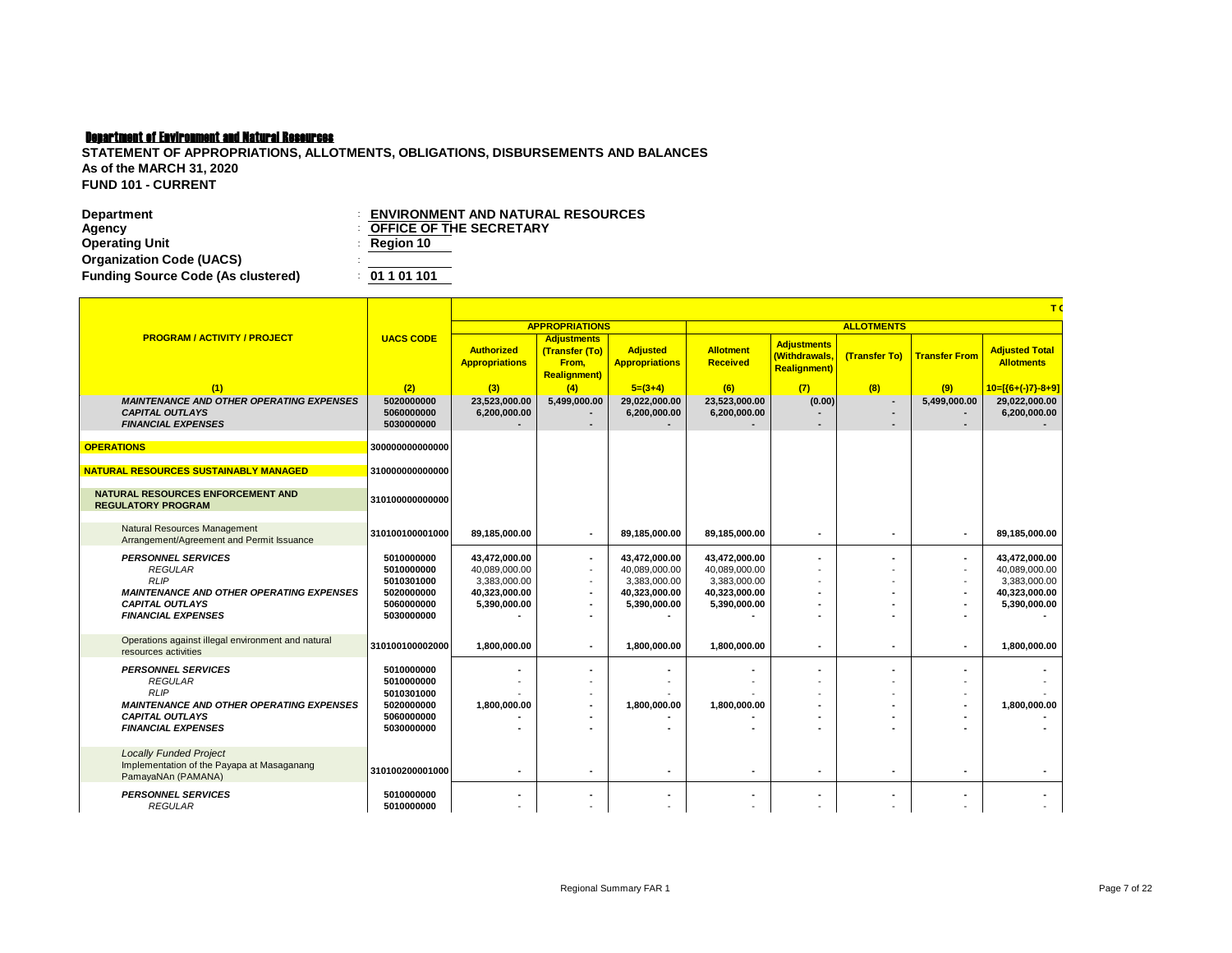| <b>Department</b>                         | <b>ENVIRONMENT AND NATURAL RESOURCES</b> |  |
|-------------------------------------------|------------------------------------------|--|
| Agency                                    | <b>COFFICE OF THE SECRETARY</b>          |  |
| <b>Operating Unit</b>                     | $\therefore$ Region 10                   |  |
| <b>Organization Code (UACS)</b>           |                                          |  |
| <b>Funding Source Code (As clustered)</b> | : 01101101                               |  |

|                                                                                                                                                                      |                                                                                  |                                                                                 |                                                                       |                                                                                 |                                                                                 |                                                            |                   |                                                              | T <sub>0</sub>                                                                  |
|----------------------------------------------------------------------------------------------------------------------------------------------------------------------|----------------------------------------------------------------------------------|---------------------------------------------------------------------------------|-----------------------------------------------------------------------|---------------------------------------------------------------------------------|---------------------------------------------------------------------------------|------------------------------------------------------------|-------------------|--------------------------------------------------------------|---------------------------------------------------------------------------------|
|                                                                                                                                                                      |                                                                                  |                                                                                 | <b>APPROPRIATIONS</b>                                                 |                                                                                 |                                                                                 |                                                            | <b>ALLOTMENTS</b> |                                                              |                                                                                 |
| <b>PROGRAM / ACTIVITY / PROJECT</b>                                                                                                                                  | <b>UACS CODE</b>                                                                 | <b>Authorized</b><br><b>Appropriations</b>                                      | <b>Adjustments</b><br>(Transfer (To)<br>From,<br><b>Realignment</b> ) | <b>Adjusted</b><br><b>Appropriations</b>                                        | <b>Allotment</b><br><b>Received</b>                                             | <b>Adjustments</b><br>(Withdrawals.<br><b>Realignment)</b> | (Transfer To)     | <b>Transfer From</b>                                         | <b>Adjusted Total</b><br><b>Allotments</b>                                      |
| (1)                                                                                                                                                                  | (2)                                                                              | (3)                                                                             | (4)                                                                   | $5=(3+4)$                                                                       | (6)                                                                             | (7)                                                        | (8)               | (9)                                                          | $10=[(6+(-)7)-8+9]$                                                             |
| <b>MAINTENANCE AND OTHER OPERATING EXPENSES</b><br><b>CAPITAL OUTLAYS</b><br><b>FINANCIAL EXPENSES</b>                                                               | 5020000000<br>5060000000<br>5030000000                                           | 23.523.000.00<br>6,200,000.00                                                   | 5,499,000.00                                                          | 29,022,000.00<br>6,200,000.00                                                   | 23,523,000.00<br>6,200,000.00                                                   | (0.00)                                                     | $\overline{a}$    | 5,499,000.00                                                 | 29,022,000.00<br>6,200,000.00                                                   |
| <b>OPERATIONS</b>                                                                                                                                                    | 300000000000000                                                                  |                                                                                 |                                                                       |                                                                                 |                                                                                 |                                                            |                   |                                                              |                                                                                 |
| <b>NATURAL RESOURCES SUSTAINABLY MANAGED</b>                                                                                                                         | 310000000000000                                                                  |                                                                                 |                                                                       |                                                                                 |                                                                                 |                                                            |                   |                                                              |                                                                                 |
| NATURAL RESOURCES ENFORCEMENT AND<br><b>REGULATORY PROGRAM</b>                                                                                                       | 310100000000000                                                                  |                                                                                 |                                                                       |                                                                                 |                                                                                 |                                                            |                   |                                                              |                                                                                 |
| Natural Resources Management<br>Arrangement/Agreement and Permit Issuance                                                                                            | 310100100001000                                                                  | 89,185,000.00                                                                   |                                                                       | 89,185,000.00                                                                   | 89,185,000.00                                                                   |                                                            |                   |                                                              | 89,185,000.00                                                                   |
| <b>PERSONNEL SERVICES</b><br><b>REGULAR</b><br><b>RLIP</b><br><b>MAINTENANCE AND OTHER OPERATING EXPENSES</b><br><b>CAPITAL OUTLAYS</b><br><b>FINANCIAL EXPENSES</b> | 5010000000<br>5010000000<br>5010301000<br>5020000000<br>5060000000<br>5030000000 | 43,472,000.00<br>40,089,000.00<br>3,383,000.00<br>40,323,000.00<br>5,390,000.00 | $\blacksquare$<br>$\overline{\phantom{a}}$                            | 43,472,000.00<br>40,089,000.00<br>3,383,000.00<br>40,323,000.00<br>5,390,000.00 | 43,472,000.00<br>40,089,000.00<br>3,383,000.00<br>40,323,000.00<br>5,390,000.00 |                                                            |                   | $\blacksquare$<br>$\overline{\phantom{a}}$<br>$\blacksquare$ | 43,472,000.00<br>40,089,000.00<br>3,383,000.00<br>40,323,000.00<br>5,390,000.00 |
| Operations against illegal environment and natural<br>resources activities                                                                                           | 310100100002000                                                                  | 1,800,000.00                                                                    | $\blacksquare$                                                        | 1.800.000.00                                                                    | 1,800,000.00                                                                    |                                                            | $\blacksquare$    | $\blacksquare$                                               | 1.800.000.00                                                                    |
| <b>PERSONNEL SERVICES</b><br><b>REGULAR</b><br><b>RLIP</b><br><b>MAINTENANCE AND OTHER OPERATING EXPENSES</b><br><b>CAPITAL OUTLAYS</b><br><b>FINANCIAL EXPENSES</b> | 5010000000<br>5010000000<br>5010301000<br>5020000000<br>5060000000<br>5030000000 | 1.800.000.00                                                                    |                                                                       | 1,800,000.00                                                                    | 1.800.000.00                                                                    |                                                            |                   |                                                              | 1.800.000.00                                                                    |
| <b>Locally Funded Project</b><br>Implementation of the Payapa at Masaganang<br>PamayaNAn (PAMANA)                                                                    | 310100200001000                                                                  |                                                                                 |                                                                       |                                                                                 |                                                                                 |                                                            | $\blacksquare$    |                                                              | ٠                                                                               |
| <b>PERSONNEL SERVICES</b><br><b>REGULAR</b>                                                                                                                          | 5010000000<br>5010000000                                                         |                                                                                 |                                                                       |                                                                                 |                                                                                 |                                                            |                   |                                                              |                                                                                 |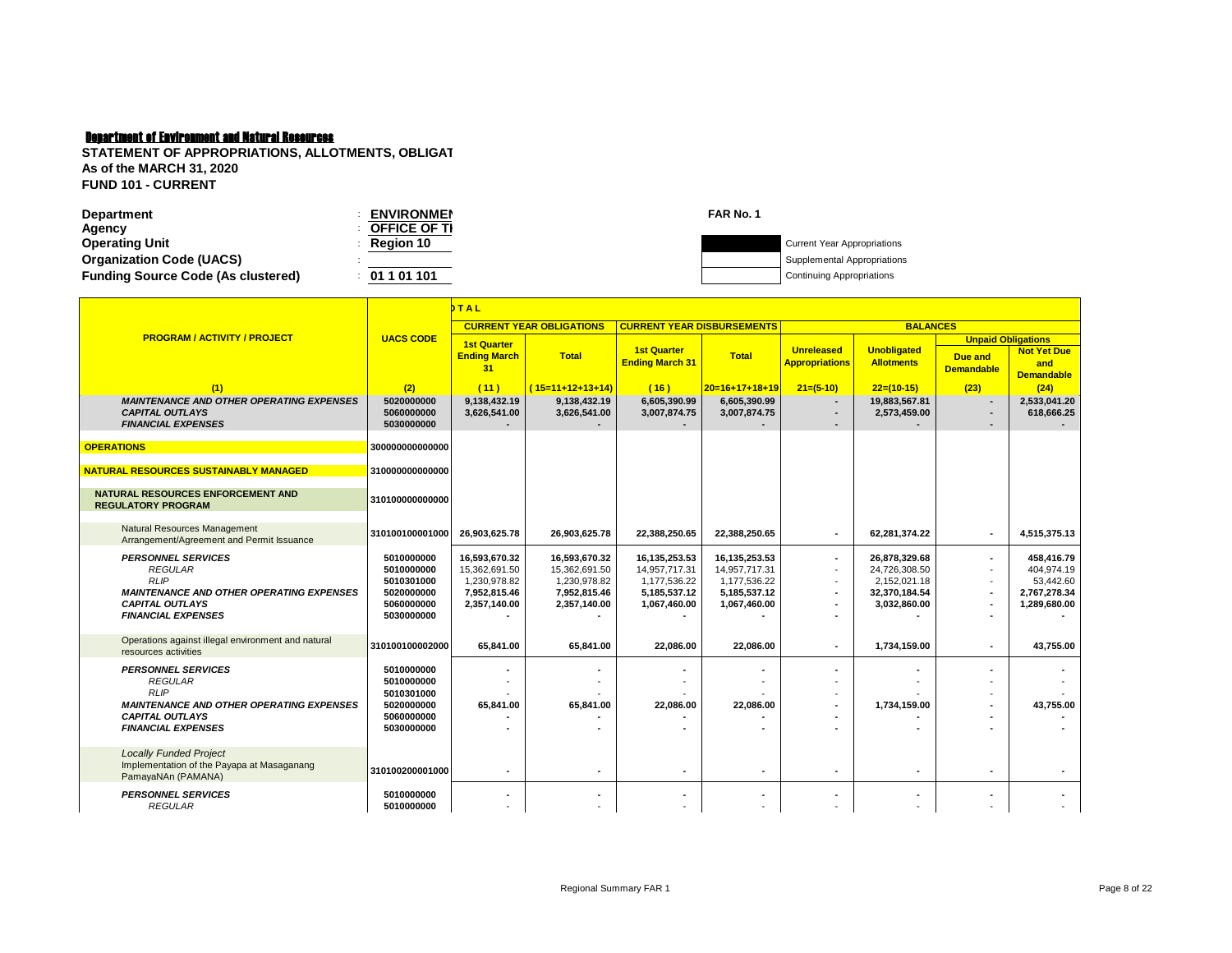| <b>ENVIRONMEN</b>   | FAR No. 1 |                                    |
|---------------------|-----------|------------------------------------|
| <b>OFFICE OF TI</b> |           |                                    |
| <b>Region 10</b>    |           | <b>Current Year Appropriations</b> |
|                     |           | Supplemental Appropriations        |
| 01 1 01 101         |           | <b>Continuing Appropriations</b>   |
|                     |           |                                    |

|                                                                                                        | <b>TAL</b>                             |                                                 |                                                |                                                |                                                |                                            |                                                |                                                                  |                                                |
|--------------------------------------------------------------------------------------------------------|----------------------------------------|-------------------------------------------------|------------------------------------------------|------------------------------------------------|------------------------------------------------|--------------------------------------------|------------------------------------------------|------------------------------------------------------------------|------------------------------------------------|
|                                                                                                        |                                        |                                                 | <b>CURRENT YEAR OBLIGATIONS</b>                | <b>CURRENT YEAR DISBURSEMENTS</b>              |                                                |                                            | <b>BALANCES</b>                                |                                                                  |                                                |
| <b>PROGRAM / ACTIVITY / PROJECT</b>                                                                    | <b>UACS CODE</b>                       | <b>1st Quarter</b><br><b>Ending March</b><br>31 | <b>Total</b>                                   | <b>1st Quarter</b><br><b>Ending March 31</b>   | <b>Total</b>                                   | <b>Unreleased</b><br><b>Appropriations</b> | <b>Unobligated</b><br><b>Allotments</b>        | <b>Unpaid Obligations</b><br><b>Due and</b><br><b>Demandable</b> | <b>Not Yet Due</b><br>and<br><b>Demandable</b> |
| (1)                                                                                                    | (2)                                    | (11)                                            | $(15=11+12+13+14)$                             | (16)                                           | $20=16+17+18+19$                               | $21=(5-10)$                                | $22=(10-15)$                                   | (23)                                                             | (24)                                           |
| <b>MAINTENANCE AND OTHER OPERATING EXPENSES</b><br><b>CAPITAL OUTLAYS</b><br><b>FINANCIAL EXPENSES</b> | 5020000000<br>5060000000<br>5030000000 | 9,138,432.19<br>3,626,541.00                    | 9,138,432.19<br>3,626,541.00                   | 6,605,390.99<br>3,007,874.75                   | 6,605,390.99<br>3,007,874.75                   | $\overline{a}$<br>$\blacksquare$           | 19,883,567.81<br>2,573,459.00                  |                                                                  | 2,533,041.20<br>618,666.25                     |
| <b>OPERATIONS</b>                                                                                      | 300000000000000                        |                                                 |                                                |                                                |                                                |                                            |                                                |                                                                  |                                                |
| NATURAL RESOURCES SUSTAINABLY MANAGED                                                                  | 310000000000000                        |                                                 |                                                |                                                |                                                |                                            |                                                |                                                                  |                                                |
| <b>NATURAL RESOURCES ENFORCEMENT AND</b><br><b>REGULATORY PROGRAM</b>                                  | 310100000000000                        |                                                 |                                                |                                                |                                                |                                            |                                                |                                                                  |                                                |
| Natural Resources Management<br>Arrangement/Agreement and Permit Issuance                              | 310100100001000                        | 26.903.625.78                                   | 26.903.625.78                                  | 22,388,250.65                                  | 22,388,250.65                                  | $\overline{\phantom{a}}$                   | 62.281.374.22                                  |                                                                  | 4.515.375.13                                   |
| <b>PERSONNEL SERVICES</b><br><b>REGULAR</b><br><b>RLIP</b>                                             | 5010000000<br>5010000000<br>5010301000 | 16,593,670.32<br>15,362,691.50<br>1.230.978.82  | 16,593,670.32<br>15,362,691.50<br>1.230.978.82 | 16,135,253.53<br>14,957,717.31<br>1.177.536.22 | 16,135,253.53<br>14,957,717.31<br>1,177,536.22 | $\blacksquare$                             | 26,878,329.68<br>24,726,308.50<br>2.152.021.18 |                                                                  | 458.416.79<br>404,974.19<br>53.442.60          |
| <b>MAINTENANCE AND OTHER OPERATING EXPENSES</b><br><b>CAPITAL OUTLAYS</b><br><b>FINANCIAL EXPENSES</b> | 5020000000<br>5060000000<br>5030000000 | 7,952,815.46<br>2,357,140.00                    | 7,952,815.46<br>2,357,140.00                   | 5,185,537.12<br>1,067,460.00                   | 5,185,537.12<br>1,067,460.00                   | $\blacksquare$                             | 32,370,184.54<br>3,032,860.00                  |                                                                  | 2,767,278.34<br>1,289,680.00                   |
| Operations against illegal environment and natural<br>resources activities                             | 310100100002000                        | 65,841.00                                       | 65,841.00                                      | 22.086.00                                      | 22,086.00                                      | $\blacksquare$                             | 1,734,159.00                                   |                                                                  | 43,755.00                                      |
| <b>PERSONNEL SERVICES</b><br><b>REGULAR</b><br><b>RLIP</b>                                             | 5010000000<br>5010000000<br>5010301000 |                                                 |                                                |                                                |                                                | $\blacksquare$                             |                                                |                                                                  |                                                |
| <b>MAINTENANCE AND OTHER OPERATING EXPENSES</b><br><b>CAPITAL OUTLAYS</b><br><b>FINANCIAL EXPENSES</b> | 5020000000<br>5060000000<br>5030000000 | 65,841.00                                       | 65,841.00                                      | 22,086.00                                      | 22,086.00                                      |                                            | 1,734,159.00                                   |                                                                  | 43,755.00                                      |
| <b>Locally Funded Project</b><br>Implementation of the Payapa at Masaganang<br>PamayaNAn (PAMANA)      | 310100200001000                        |                                                 |                                                |                                                |                                                | $\overline{\phantom{a}}$                   | $\blacksquare$                                 |                                                                  |                                                |
| <b>PERSONNEL SERVICES</b><br><b>REGULAR</b>                                                            | 5010000000<br>5010000000               |                                                 |                                                |                                                |                                                |                                            |                                                |                                                                  |                                                |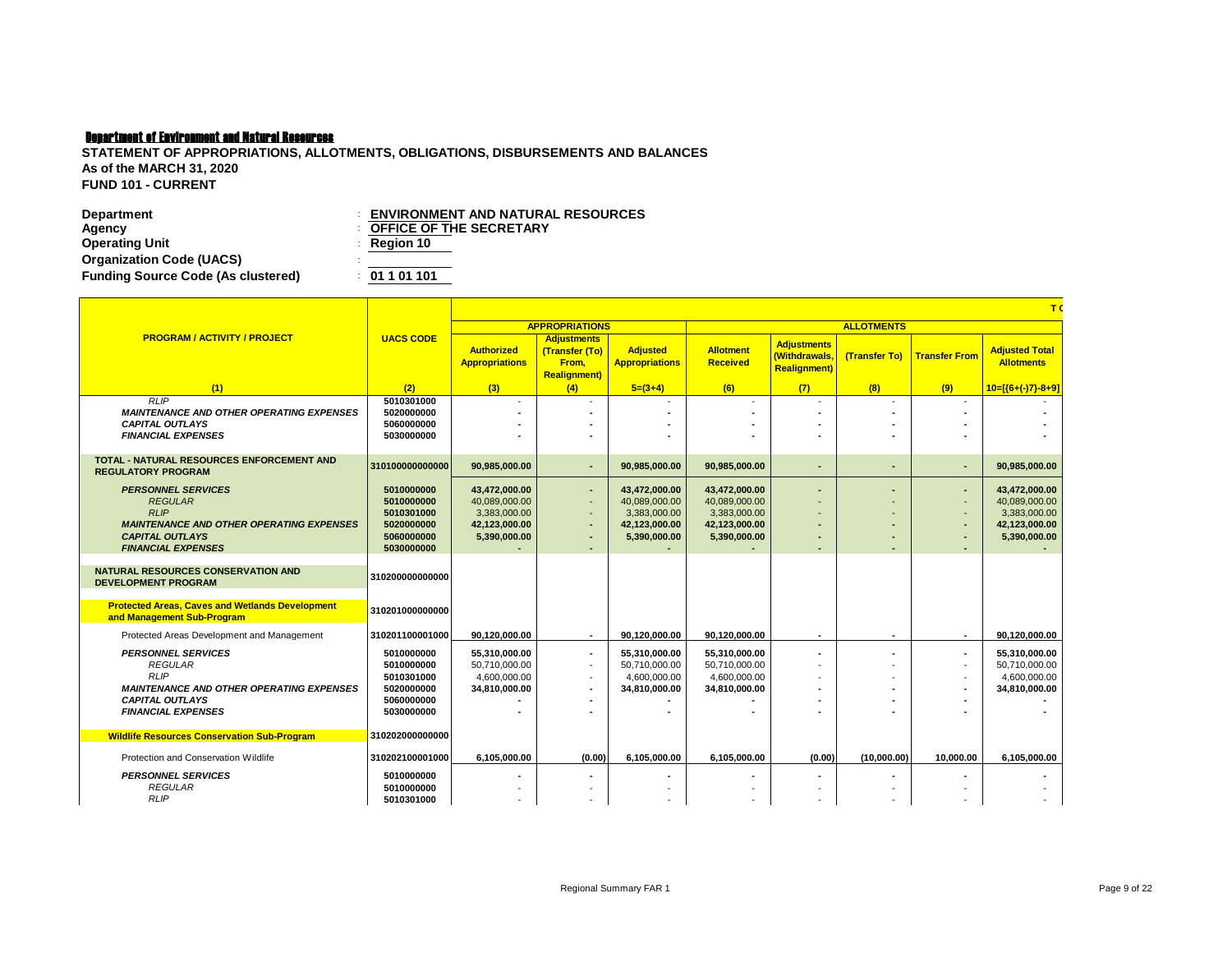| <b>Department</b>                         | <b>ENVIRONMENT AND NATURAL RESOURCES</b> |
|-------------------------------------------|------------------------------------------|
| Agency                                    | <b>COFFICE OF THE SECRETARY</b>          |
| <b>Operating Unit</b>                     | $\therefore$ Region 10                   |
| <b>Organization Code (UACS)</b>           |                                          |
| <b>Funding Source Code (As clustered)</b> | : 01101101                               |

|                                                                                                                                                                      |                                                                                  | T                                                                               |                                                                                       |                                                                                 |                                                                                 |                                                            |                          |                                                      |                                                                                 |  |  |
|----------------------------------------------------------------------------------------------------------------------------------------------------------------------|----------------------------------------------------------------------------------|---------------------------------------------------------------------------------|---------------------------------------------------------------------------------------|---------------------------------------------------------------------------------|---------------------------------------------------------------------------------|------------------------------------------------------------|--------------------------|------------------------------------------------------|---------------------------------------------------------------------------------|--|--|
|                                                                                                                                                                      |                                                                                  |                                                                                 | <b>APPROPRIATIONS</b>                                                                 |                                                                                 |                                                                                 | <b>ALLOTMENTS</b>                                          |                          |                                                      |                                                                                 |  |  |
| <b>PROGRAM / ACTIVITY / PROJECT</b>                                                                                                                                  | <b>UACS CODE</b>                                                                 | <b>Authorized</b><br><b>Appropriations</b>                                      | <b>Adjustments</b><br>(Transfer (To)<br>From.<br><b>Realignment</b> )                 | <b>Adjusted</b><br><b>Appropriations</b>                                        | <b>Allotment</b><br><b>Received</b>                                             | <b>Adjustments</b><br>(Withdrawals,<br><b>Realignment)</b> | <b>(Transfer To)</b>     | <b>Transfer From</b>                                 | <b>Adjusted Total</b><br><b>Allotments</b>                                      |  |  |
| (1)                                                                                                                                                                  | (2)                                                                              | (3)                                                                             | (4)                                                                                   | $5=(3+4)$                                                                       | (6)                                                                             | (7)                                                        | (8)                      | (9)                                                  | $10=[(6+(-)7)-8+9]$                                                             |  |  |
| <b>RLIP</b><br><b>MAINTENANCE AND OTHER OPERATING EXPENSES</b><br><b>CAPITAL OUTLAYS</b><br><b>FINANCIAL EXPENSES</b>                                                | 5010301000<br>5020000000<br>5060000000<br>5030000000                             |                                                                                 |                                                                                       |                                                                                 |                                                                                 |                                                            |                          |                                                      |                                                                                 |  |  |
| <b>TOTAL - NATURAL RESOURCES ENFORCEMENT AND</b><br><b>REGULATORY PROGRAM</b>                                                                                        | 310100000000000                                                                  | 90.985.000.00                                                                   |                                                                                       | 90.985.000.00                                                                   | 90,985,000.00                                                                   | ٠                                                          | ٠                        | ٠                                                    | 90,985,000.00                                                                   |  |  |
| <b>PERSONNEL SERVICES</b><br><b>REGULAR</b><br>RLIP<br><b>MAINTENANCE AND OTHER OPERATING EXPENSES</b><br><b>CAPITAL OUTLAYS</b><br><b>FINANCIAL EXPENSES</b>        | 5010000000<br>5010000000<br>5010301000<br>5020000000<br>5060000000<br>5030000000 | 43,472,000.00<br>40,089,000.00<br>3.383.000.00<br>42,123,000.00<br>5,390,000.00 | $\overline{\phantom{0}}$<br>$\overline{\phantom{a}}$<br>$\overline{\phantom{a}}$<br>٠ | 43,472,000.00<br>40,089,000.00<br>3.383.000.00<br>42,123,000.00<br>5,390,000.00 | 43,472,000.00<br>40,089,000.00<br>3,383,000.00<br>42,123,000.00<br>5,390,000.00 | ٠<br>$\blacksquare$                                        | ۰<br>٠<br>٠<br>٠         | ٠<br>$\overline{\phantom{a}}$<br>٠                   | 43,472,000.00<br>40,089,000.00<br>3.383.000.00<br>42,123,000.00<br>5,390,000.00 |  |  |
| <b>NATURAL RESOURCES CONSERVATION AND</b><br><b>DEVELOPMENT PROGRAM</b>                                                                                              | 310200000000000                                                                  |                                                                                 |                                                                                       |                                                                                 |                                                                                 |                                                            |                          |                                                      |                                                                                 |  |  |
| <b>Protected Areas, Caves and Wetlands Development</b><br>and Management Sub-Program                                                                                 | 310201000000000                                                                  |                                                                                 |                                                                                       |                                                                                 |                                                                                 |                                                            |                          |                                                      |                                                                                 |  |  |
| Protected Areas Development and Management                                                                                                                           | 310201100001000                                                                  | 90.120.000.00                                                                   | $\overline{\phantom{a}}$                                                              | 90.120.000.00                                                                   | 90.120.000.00                                                                   | $\blacksquare$                                             | $\overline{\phantom{a}}$ | $\blacksquare$                                       | 90,120,000.00                                                                   |  |  |
| <b>PERSONNEL SERVICES</b><br><b>REGULAR</b><br><b>RLIP</b><br><b>MAINTENANCE AND OTHER OPERATING EXPENSES</b><br><b>CAPITAL OUTLAYS</b><br><b>FINANCIAL EXPENSES</b> | 5010000000<br>5010000000<br>5010301000<br>5020000000<br>5060000000<br>5030000000 | 55,310,000.00<br>50.710.000.00<br>4,600,000.00<br>34,810,000.00                 | $\overline{\phantom{a}}$<br>÷<br>٠.                                                   | 55.310.000.00<br>50.710.000.00<br>4,600,000.00<br>34,810,000.00                 | 55.310.000.00<br>50.710.000.00<br>4,600,000.00<br>34,810,000.00                 | ۰<br>۰<br>۰                                                |                          | $\overline{\phantom{a}}$<br>$\overline{\phantom{a}}$ | 55.310.000.00<br>50,710,000.00<br>4,600,000.00<br>34,810,000.00                 |  |  |
| <b>Wildlife Resources Conservation Sub-Program</b>                                                                                                                   | 310202000000000                                                                  |                                                                                 |                                                                                       |                                                                                 |                                                                                 |                                                            |                          |                                                      |                                                                                 |  |  |
| Protection and Conservation Wildlife                                                                                                                                 | 310202100001000                                                                  | 6,105,000.00                                                                    | (0.00)                                                                                | 6.105.000.00                                                                    | 6,105,000.00                                                                    | (0.00)                                                     | (10,000.00)              | 10.000.00                                            | 6,105,000.00                                                                    |  |  |
| <b>PERSONNEL SERVICES</b><br><b>REGULAR</b><br><b>RLIP</b>                                                                                                           | 5010000000<br>5010000000<br>5010301000                                           |                                                                                 |                                                                                       |                                                                                 |                                                                                 |                                                            |                          |                                                      |                                                                                 |  |  |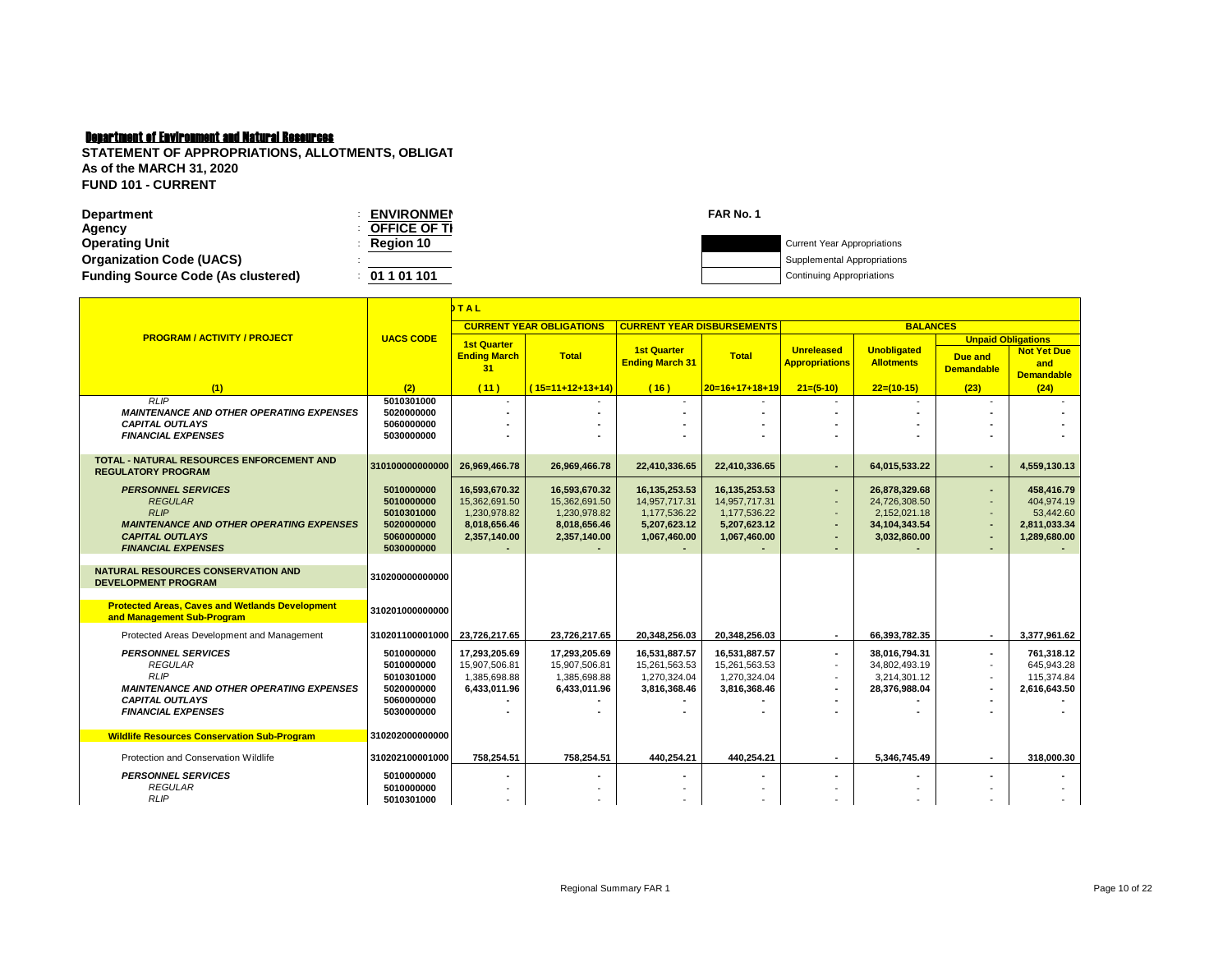Г

**STATEMENT OF APPROPRIATIONS, ALLOTMENTS, OBLIGAT As of the MARCH 31, 2020 FUND 101 - CURRENT**

Т

| Department                                | <b>ENVIRONMEN</b>   | FAR No. 1 |                                    |
|-------------------------------------------|---------------------|-----------|------------------------------------|
| Agency                                    | <b>OFFICE OF TI</b> |           |                                    |
| <b>Operating Unit</b>                     | <b>Region 10</b>    |           | <b>Current Year Appropriations</b> |
| <b>Organization Code (UACS)</b>           |                     |           | Supplemental Appropriations        |
| <b>Funding Source Code (As clustered)</b> | 01 1 01 101         |           | <b>Continuing Appropriations</b>   |
|                                           |                     |           |                                    |

|                                                                                                                                                                      |                                                                                  | <b>TAL</b>                                                                     |                                                                                |                                                                                |                                                                                |                                                                                |                                                                                 |                                                                  |                                                                       |
|----------------------------------------------------------------------------------------------------------------------------------------------------------------------|----------------------------------------------------------------------------------|--------------------------------------------------------------------------------|--------------------------------------------------------------------------------|--------------------------------------------------------------------------------|--------------------------------------------------------------------------------|--------------------------------------------------------------------------------|---------------------------------------------------------------------------------|------------------------------------------------------------------|-----------------------------------------------------------------------|
|                                                                                                                                                                      |                                                                                  |                                                                                | <b>CURRENT YEAR OBLIGATIONS</b>                                                | <b>CURRENT YEAR DISBURSEMENTS</b>                                              |                                                                                |                                                                                | <b>BALANCES</b>                                                                 |                                                                  |                                                                       |
| <b>PROGRAM / ACTIVITY / PROJECT</b>                                                                                                                                  | <b>UACS CODE</b>                                                                 | <b>1st Quarter</b><br><b>Ending March</b><br>31                                | <b>Total</b>                                                                   | <b>1st Quarter</b><br><b>Ending March 31</b>                                   | <b>Total</b>                                                                   | <b>Unreleased</b><br><b>Appropriations</b>                                     | <b>Unobligated</b><br><b>Allotments</b>                                         | <b>Unpaid Obligations</b><br><b>Due and</b><br><b>Demandable</b> | <b>Not Yet Due</b><br>and<br><b>Demandable</b>                        |
| (1)                                                                                                                                                                  | (2)                                                                              | (11)                                                                           | $(15=11+12+13+14)$                                                             | (16)                                                                           | $20=16+17+18+19$                                                               | $21=(5-10)$                                                                    | $22=(10-15)$                                                                    | (23)                                                             | (24)                                                                  |
| <b>RLIP</b><br><b>MAINTENANCE AND OTHER OPERATING EXPENSES</b><br><b>CAPITAL OUTLAYS</b><br><b>FINANCIAL EXPENSES</b>                                                | 5010301000<br>5020000000<br>5060000000<br>5030000000                             |                                                                                |                                                                                | $\overline{\phantom{a}}$                                                       |                                                                                | $\sim$                                                                         | $\overline{\phantom{a}}$                                                        | $\overline{\phantom{a}}$                                         |                                                                       |
| <b>TOTAL - NATURAL RESOURCES ENFORCEMENT AND</b><br><b>REGULATORY PROGRAM</b>                                                                                        | 310100000000000                                                                  | 26,969,466.78                                                                  | 26,969,466.78                                                                  | 22,410,336.65                                                                  | 22,410,336.65                                                                  | $\blacksquare$                                                                 | 64,015,533.22                                                                   | ٠                                                                | 4,559,130.13                                                          |
| <b>PERSONNEL SERVICES</b><br><b>REGULAR</b><br><b>RLIP</b><br><b>MAINTENANCE AND OTHER OPERATING EXPENSES</b><br><b>CAPITAL OUTLAYS</b><br><b>FINANCIAL EXPENSES</b> | 5010000000<br>5010000000<br>5010301000<br>5020000000<br>5060000000<br>5030000000 | 16,593,670.32<br>15.362.691.50<br>1,230,978.82<br>8,018,656.46<br>2,357,140.00 | 16,593,670.32<br>15.362.691.50<br>1,230,978.82<br>8,018,656.46<br>2,357,140.00 | 16,135,253.53<br>14.957.717.31<br>1,177,536.22<br>5,207,623.12<br>1,067,460.00 | 16,135,253.53<br>14.957.717.31<br>1,177,536.22<br>5,207,623.12<br>1,067,460.00 | $\blacksquare$<br>$\omega$<br>$\overline{\phantom{a}}$<br>$\blacksquare$<br>٠  | 26,878,329.68<br>24.726.308.50<br>2,152,021.18<br>34,104,343.54<br>3,032,860.00 | ٠<br>$\overline{\phantom{a}}$<br>٠<br>٠                          | 458,416.79<br>404.974.19<br>53,442.60<br>2,811,033.34<br>1,289,680.00 |
| <b>NATURAL RESOURCES CONSERVATION AND</b><br><b>DEVELOPMENT PROGRAM</b>                                                                                              | 310200000000000                                                                  |                                                                                |                                                                                |                                                                                |                                                                                |                                                                                |                                                                                 |                                                                  |                                                                       |
| <b>Protected Areas, Caves and Wetlands Development</b><br>and Management Sub-Program                                                                                 | 310201000000000                                                                  |                                                                                |                                                                                |                                                                                |                                                                                |                                                                                |                                                                                 |                                                                  |                                                                       |
| Protected Areas Development and Management                                                                                                                           | 310201100001000                                                                  | 23,726,217.65                                                                  | 23,726,217.65                                                                  | 20,348,256.03                                                                  | 20,348,256.03                                                                  | $\sim$                                                                         | 66,393,782.35                                                                   | $\overline{\phantom{a}}$                                         | 3,377,961.62                                                          |
| <b>PERSONNEL SERVICES</b><br><b>REGULAR</b><br><b>RLIP</b><br><b>MAINTENANCE AND OTHER OPERATING EXPENSES</b><br><b>CAPITAL OUTLAYS</b><br><b>FINANCIAL EXPENSES</b> | 5010000000<br>5010000000<br>5010301000<br>5020000000<br>5060000000<br>5030000000 | 17,293,205.69<br>15,907,506.81<br>1.385.698.88<br>6.433.011.96                 | 17,293,205.69<br>15,907,506.81<br>1.385.698.88<br>6,433,011.96                 | 16,531,887.57<br>15,261,563.53<br>1,270,324.04<br>3.816.368.46                 | 16,531,887.57<br>15,261,563.53<br>1,270,324.04<br>3,816,368.46                 | $\blacksquare$<br>$\overline{\phantom{a}}$<br>$\blacksquare$<br>$\blacksquare$ | 38,016,794.31<br>34.802.493.19<br>3.214.301.12<br>28,376,988.04                 | ٠<br>$\overline{\phantom{a}}$<br>٠                               | 761.318.12<br>645.943.28<br>115.374.84<br>2,616,643.50                |
| <b>Wildlife Resources Conservation Sub-Program</b>                                                                                                                   | 310202000000000                                                                  |                                                                                |                                                                                |                                                                                |                                                                                |                                                                                |                                                                                 |                                                                  |                                                                       |
| Protection and Conservation Wildlife                                                                                                                                 | 310202100001000                                                                  | 758,254.51                                                                     | 758.254.51                                                                     | 440.254.21                                                                     | 440,254.21                                                                     | $\sim$                                                                         | 5.346.745.49                                                                    | ٠                                                                | 318.000.30                                                            |
| <b>PERSONNEL SERVICES</b><br><b>REGULAR</b><br><b>RLIP</b>                                                                                                           | 5010000000<br>5010000000<br>5010301000                                           |                                                                                |                                                                                |                                                                                |                                                                                | $\overline{\phantom{a}}$                                                       |                                                                                 | ۰                                                                |                                                                       |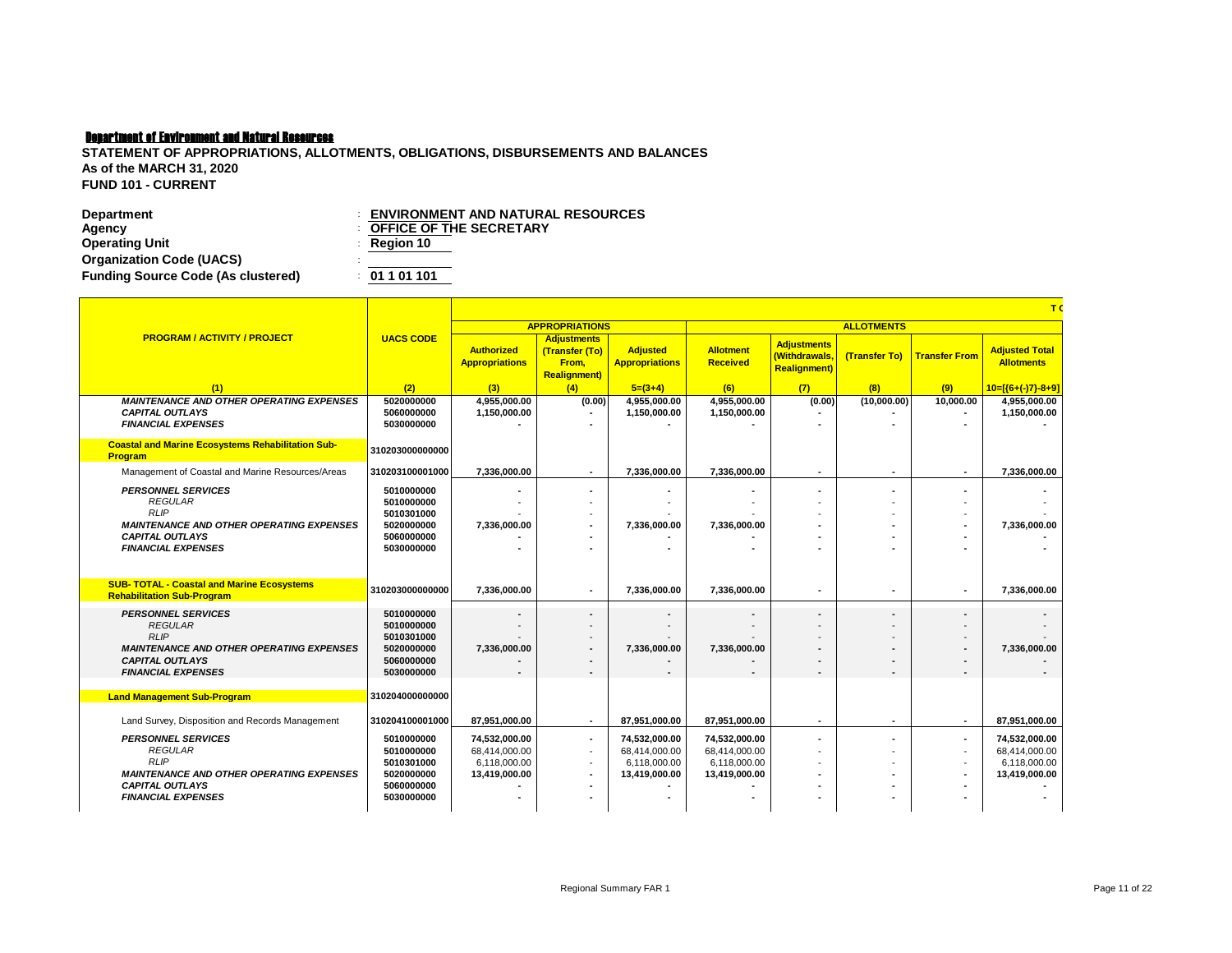| Department                                | <b>ENVIRONMENT AND NATURAL RESOURCES</b> |
|-------------------------------------------|------------------------------------------|
| Agency                                    | <b>COFFICE OF THE SECRETARY</b>          |
| <b>Operating Unit</b>                     | $\therefore$ Region 10                   |
| <b>Organization Code (UACS)</b>           |                                          |
| <b>Funding Source Code (As clustered)</b> | : 01101101                               |

|                                                                                                                                         |                                                                    |                                                                 |                                                                       |                                                                 |                                                                 |                                                            |                          |                               | T                                                               |
|-----------------------------------------------------------------------------------------------------------------------------------------|--------------------------------------------------------------------|-----------------------------------------------------------------|-----------------------------------------------------------------------|-----------------------------------------------------------------|-----------------------------------------------------------------|------------------------------------------------------------|--------------------------|-------------------------------|-----------------------------------------------------------------|
|                                                                                                                                         |                                                                    |                                                                 | <b>APPROPRIATIONS</b>                                                 |                                                                 |                                                                 |                                                            | <b>ALLOTMENTS</b>        |                               |                                                                 |
| <b>PROGRAM / ACTIVITY / PROJECT</b>                                                                                                     | <b>UACS CODE</b>                                                   | <b>Authorized</b><br><b>Appropriations</b>                      | <b>Adjustments</b><br>(Transfer (To)<br>From.<br><b>Realignment</b> ) | <b>Adjusted</b><br><b>Appropriations</b>                        | <b>Allotment</b><br><b>Received</b>                             | <b>Adjustments</b><br>(Withdrawals,<br><b>Realignment)</b> | (Transfer To)            | <b>Transfer From</b>          | <b>Adjusted Total</b><br><b>Allotments</b>                      |
| (1)                                                                                                                                     | (2)                                                                | (3)                                                             | (4)                                                                   | $5=(3+4)$                                                       | (6)                                                             | (7)                                                        | (8)                      | (9)                           | $10=[(6+(-)7)-8+9]$                                             |
| <b>MAINTENANCE AND OTHER OPERATING EXPENSES</b><br><b>CAPITAL OUTLAYS</b><br><b>FINANCIAL EXPENSES</b>                                  | 5020000000<br>5060000000<br>5030000000                             | 4.955.000.00<br>1,150,000.00                                    | (0.00)                                                                | 4.955.000.00<br>1,150,000.00                                    | 4,955,000.00<br>1,150,000.00                                    | (0.00)                                                     | (10,000.00)              | 10.000.00                     | 4,955,000.00<br>1,150,000.00                                    |
| <b>Coastal and Marine Ecosystems Rehabilitation Sub-</b><br>Program                                                                     | 310203000000000                                                    |                                                                 |                                                                       |                                                                 |                                                                 |                                                            |                          |                               |                                                                 |
| Management of Coastal and Marine Resources/Areas                                                                                        | 310203100001000                                                    | 7.336.000.00                                                    |                                                                       | 7.336.000.00                                                    | 7.336.000.00                                                    |                                                            |                          | ٠                             | 7,336,000.00                                                    |
| <b>PERSONNEL SERVICES</b><br><b>REGULAR</b><br><b>RLIP</b>                                                                              | 5010000000<br>5010000000<br>5010301000                             |                                                                 |                                                                       |                                                                 |                                                                 |                                                            |                          | ۰                             |                                                                 |
| <b>MAINTENANCE AND OTHER OPERATING EXPENSES</b><br><b>CAPITAL OUTLAYS</b><br><b>FINANCIAL EXPENSES</b>                                  | 5020000000<br>5060000000<br>5030000000                             | 7.336.000.00                                                    |                                                                       | 7,336,000.00                                                    | 7,336,000.00                                                    |                                                            |                          |                               | 7.336.000.00                                                    |
| <b>SUB- TOTAL - Coastal and Marine Ecosystems</b>                                                                                       | 310203000000000                                                    | 7,336,000.00                                                    |                                                                       | 7,336,000.00                                                    | 7,336,000.00                                                    |                                                            |                          | ٠                             | 7,336,000.00                                                    |
| <b>Rehabilitation Sub-Program</b>                                                                                                       |                                                                    |                                                                 |                                                                       |                                                                 |                                                                 |                                                            |                          |                               |                                                                 |
| <b>PERSONNEL SERVICES</b><br><b>REGULAR</b><br>RLIP                                                                                     | 5010000000<br>5010000000<br>5010301000                             | $\overline{\phantom{a}}$                                        |                                                                       | $\blacksquare$                                                  |                                                                 |                                                            |                          | ٠                             |                                                                 |
| <b>MAINTENANCE AND OTHER OPERATING EXPENSES</b>                                                                                         | 5020000000                                                         | 7.336.000.00                                                    |                                                                       | 7,336,000.00                                                    | 7.336.000.00                                                    |                                                            |                          | ٠                             | 7.336.000.00                                                    |
| <b>CAPITAL OUTLAYS</b><br><b>FINANCIAL EXPENSES</b>                                                                                     | 5060000000<br>5030000000                                           |                                                                 |                                                                       |                                                                 |                                                                 |                                                            |                          |                               |                                                                 |
| <b>Land Management Sub-Program</b>                                                                                                      | 310204000000000                                                    |                                                                 |                                                                       |                                                                 |                                                                 |                                                            |                          |                               |                                                                 |
| Land Survey, Disposition and Records Management                                                                                         | 310204100001000                                                    | 87.951.000.00                                                   | $\overline{\phantom{a}}$                                              | 87.951.000.00                                                   | 87.951.000.00                                                   | $\blacksquare$                                             | $\overline{\phantom{a}}$ | $\blacksquare$                | 87.951.000.00                                                   |
| <b>PERSONNEL SERVICES</b><br><b>REGULAR</b><br><b>RLIP</b><br><b>MAINTENANCE AND OTHER OPERATING EXPENSES</b><br><b>CAPITAL OUTLAYS</b> | 5010000000<br>5010000000<br>5010301000<br>5020000000<br>5060000000 | 74,532,000.00<br>68.414.000.00<br>6.118.000.00<br>13,419,000.00 | $\overline{\phantom{a}}$<br>$\overline{\phantom{a}}$                  | 74,532,000.00<br>68,414,000.00<br>6.118.000.00<br>13,419,000.00 | 74,532,000.00<br>68,414,000.00<br>6,118,000.00<br>13,419,000.00 |                                                            |                          | ٠<br>$\overline{\phantom{a}}$ | 74,532,000.00<br>68,414,000.00<br>6,118,000.00<br>13,419,000.00 |
| <b>FINANCIAL EXPENSES</b>                                                                                                               | 5030000000                                                         |                                                                 |                                                                       |                                                                 |                                                                 |                                                            |                          |                               |                                                                 |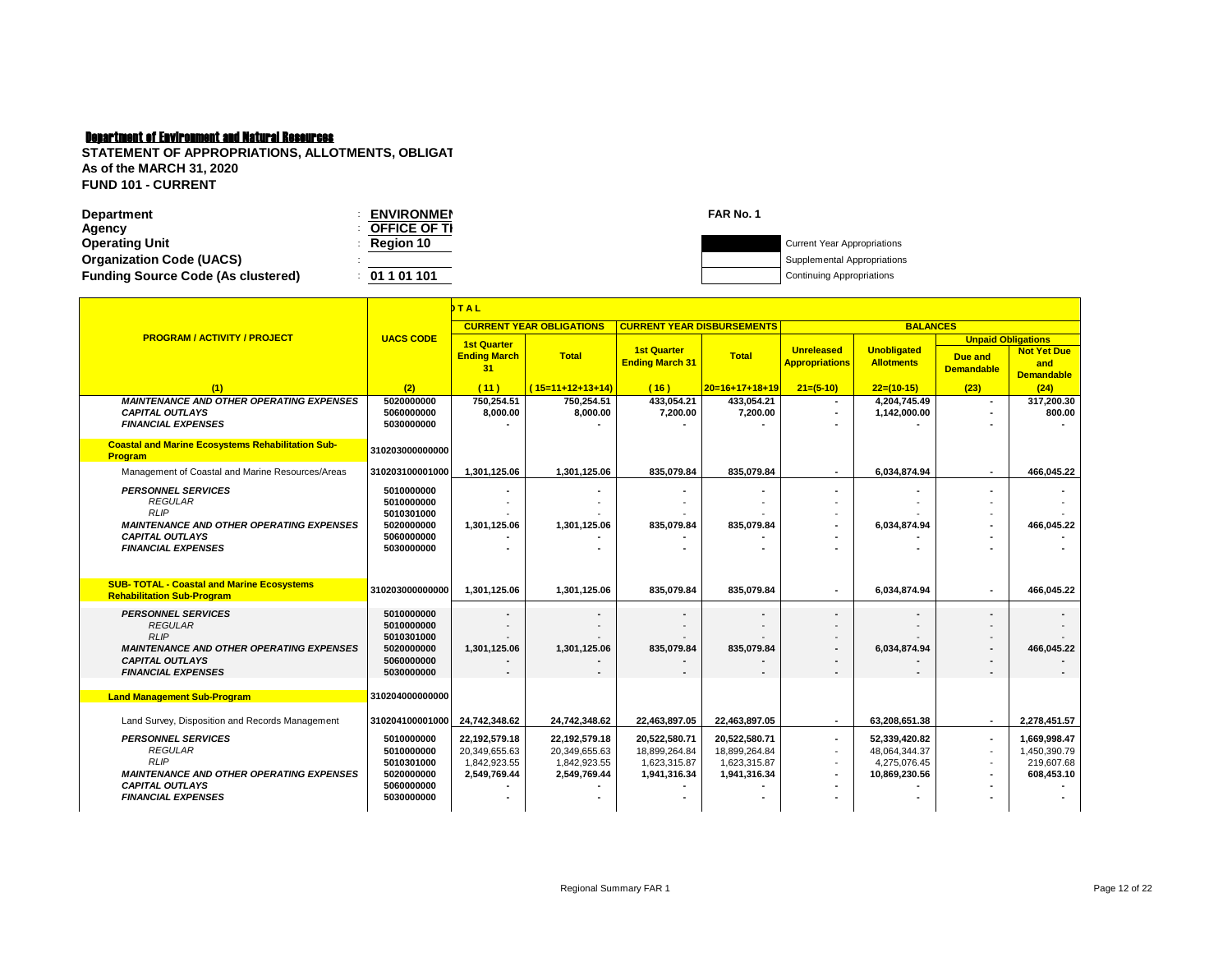| <b>Department</b>                         | <b>ENVIRONMEN</b>   | FAR No. 1 |                                    |
|-------------------------------------------|---------------------|-----------|------------------------------------|
| Agency                                    | <b>OFFICE OF TI</b> |           |                                    |
| <b>Operating Unit</b>                     | <b>Region 10</b>    |           | <b>Current Year Appropriations</b> |
| <b>Organization Code (UACS)</b>           |                     |           | Supplemental Appropriations        |
| <b>Funding Source Code (As clustered)</b> | 01 1 01 101         |           | <b>Continuing Appropriations</b>   |
|                                           |                     |           |                                    |

|                                                                                                                                                                      | DTAL                                                                             |                                                                |                                                                |                                                                |                                                                |                                                      |                                                                 |                                                                   |                                                          |
|----------------------------------------------------------------------------------------------------------------------------------------------------------------------|----------------------------------------------------------------------------------|----------------------------------------------------------------|----------------------------------------------------------------|----------------------------------------------------------------|----------------------------------------------------------------|------------------------------------------------------|-----------------------------------------------------------------|-------------------------------------------------------------------|----------------------------------------------------------|
|                                                                                                                                                                      |                                                                                  |                                                                | <b>CURRENT YEAR OBLIGATIONS</b>                                | <b>CURRENT YEAR DISBURSEMENTS</b>                              |                                                                |                                                      |                                                                 | <b>BALANCES</b>                                                   |                                                          |
| <b>PROGRAM / ACTIVITY / PROJECT</b>                                                                                                                                  | <b>UACS CODE</b>                                                                 | <b>1st Quarter</b><br><b>Ending March</b><br>31                | <b>Total</b>                                                   | <b>1st Quarter</b><br><b>Ending March 31</b>                   | <b>Total</b>                                                   | <b>Unreleased</b><br><b>Appropriations</b>           | <b>Unobligated</b><br><b>Allotments</b>                         | <b>Unpaid Obligations</b><br><b>Due and</b><br><b>Demandable</b>  | <b>Not Yet Due</b><br>and<br><b>Demandable</b>           |
| (1)                                                                                                                                                                  | (2)                                                                              | (11)                                                           | $(15=11+12+13+14)$                                             | (16)                                                           | $20=16+17+18+19$                                               | $21=(5-10)$                                          | $22=(10-15)$                                                    | (23)                                                              | (24)                                                     |
| <b>MAINTENANCE AND OTHER OPERATING EXPENSES</b><br><b>CAPITAL OUTLAYS</b><br><b>FINANCIAL EXPENSES</b>                                                               | 5020000000<br>5060000000<br>5030000000                                           | 750,254.51<br>8.000.00                                         | 750,254.51<br>8.000.00                                         | 433,054.21<br>7.200.00                                         | 433,054.21<br>7.200.00                                         | $\overline{\phantom{a}}$<br>$\overline{\phantom{a}}$ | 4,204,745.49<br>1,142,000.00                                    | ٠                                                                 | 317,200.30<br>800.00                                     |
| <b>Coastal and Marine Ecosystems Rehabilitation Sub-</b><br><b>Program</b>                                                                                           | 310203000000000                                                                  |                                                                |                                                                |                                                                |                                                                |                                                      |                                                                 |                                                                   |                                                          |
| Management of Coastal and Marine Resources/Areas                                                                                                                     | 310203100001000                                                                  | 1,301,125.06                                                   | 1,301,125.06                                                   | 835.079.84                                                     | 835,079.84                                                     | $\blacksquare$                                       | 6,034,874.94                                                    | ٠                                                                 | 466,045.22                                               |
| <b>PERSONNEL SERVICES</b><br><b>REGULAR</b><br><b>RLIP</b><br><b>MAINTENANCE AND OTHER OPERATING EXPENSES</b><br><b>CAPITAL OUTLAYS</b><br><b>FINANCIAL EXPENSES</b> | 5010000000<br>5010000000<br>5010301000<br>5020000000<br>5060000000<br>5030000000 | 1,301,125.06                                                   | 1,301,125.06                                                   | 835.079.84                                                     | 835,079.84                                                     |                                                      | 6,034,874.94                                                    | $\overline{\phantom{a}}$                                          | 466.045.22                                               |
| <b>SUB- TOTAL - Coastal and Marine Ecosystems</b><br><b>Rehabilitation Sub-Program</b>                                                                               | 310203000000000                                                                  | 1.301.125.06                                                   | 1,301,125.06                                                   | 835.079.84                                                     | 835,079.84                                                     | ۰                                                    | 6,034,874.94                                                    | ٠                                                                 | 466.045.22                                               |
| <b>PERSONNEL SERVICES</b><br><b>REGULAR</b><br><b>RLIP</b><br><b>MAINTENANCE AND OTHER OPERATING EXPENSES</b><br><b>CAPITAL OUTLAYS</b><br><b>FINANCIAL EXPENSES</b> | 5010000000<br>5010000000<br>5010301000<br>5020000000<br>5060000000<br>5030000000 | 1,301,125.06                                                   | 1,301,125.06                                                   | 835,079.84                                                     | $\blacksquare$<br>835,079.84                                   |                                                      | 6,034,874.94                                                    | ٠<br>$\overline{\phantom{a}}$                                     | 466,045.22                                               |
| <b>Land Management Sub-Program</b>                                                                                                                                   | 310204000000000                                                                  |                                                                |                                                                |                                                                |                                                                |                                                      |                                                                 |                                                                   |                                                          |
| Land Survey, Disposition and Records Management                                                                                                                      | 310204100001000                                                                  | 24,742,348.62                                                  | 24,742,348.62                                                  | 22,463,897.05                                                  | 22,463,897.05                                                  | $\overline{\phantom{a}}$                             | 63.208.651.38                                                   | $\overline{\phantom{a}}$                                          | 2,278,451.57                                             |
| <b>PERSONNEL SERVICES</b><br><b>REGULAR</b><br><b>RLIP</b><br><b>MAINTENANCE AND OTHER OPERATING EXPENSES</b><br><b>CAPITAL OUTLAYS</b><br><b>FINANCIAL EXPENSES</b> | 5010000000<br>5010000000<br>5010301000<br>5020000000<br>5060000000<br>5030000000 | 22,192,579.18<br>20.349.655.63<br>1,842,923.55<br>2,549,769.44 | 22,192,579.18<br>20,349,655.63<br>1,842,923.55<br>2,549,769.44 | 20,522,580.71<br>18,899,264.84<br>1,623,315.87<br>1,941,316.34 | 20,522,580.71<br>18.899.264.84<br>1,623,315.87<br>1,941,316.34 | $\overline{a}$<br>$\blacksquare$                     | 52.339.420.82<br>48,064,344.37<br>4,275,076.45<br>10,869,230.56 | $\blacksquare$<br>$\overline{a}$<br>$\overline{\phantom{a}}$<br>٠ | 1.669.998.47<br>1.450.390.79<br>219,607.68<br>608,453.10 |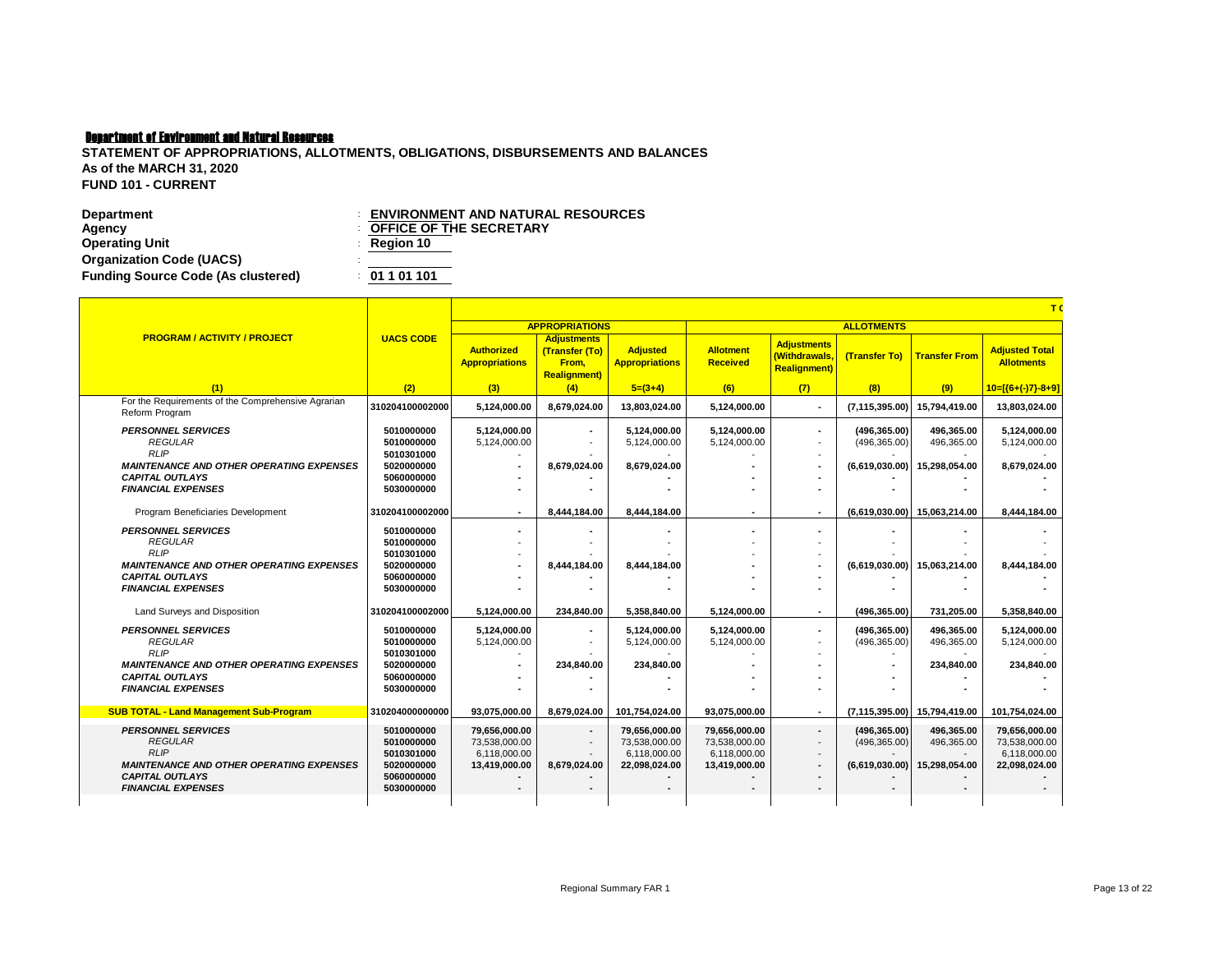| Department                                | <b>ENVIRONMENT AND NATURAL RESOURCES</b> |
|-------------------------------------------|------------------------------------------|
| Agency                                    | <b>COFFICE OF THE SECRETARY</b>          |
| <b>Operating Unit</b>                     | $\therefore$ Region 10                   |
| <b>Organization Code (UACS)</b>           |                                          |
| <b>Funding Source Code (As clustered)</b> | : 01101101                               |

|                                                                                                                                         |                                                                    | T                                                               |                                                                       |                                                                 |                                                                 |                                                             |                                                  |                                           |                                                                 |  |  |  |
|-----------------------------------------------------------------------------------------------------------------------------------------|--------------------------------------------------------------------|-----------------------------------------------------------------|-----------------------------------------------------------------------|-----------------------------------------------------------------|-----------------------------------------------------------------|-------------------------------------------------------------|--------------------------------------------------|-------------------------------------------|-----------------------------------------------------------------|--|--|--|
|                                                                                                                                         |                                                                    |                                                                 | <b>APPROPRIATIONS</b>                                                 |                                                                 |                                                                 |                                                             | <b>ALLOTMENTS</b>                                |                                           |                                                                 |  |  |  |
| <b>PROGRAM / ACTIVITY / PROJECT</b>                                                                                                     | <b>UACS CODE</b>                                                   | <b>Authorized</b><br><b>Appropriations</b>                      | <b>Adjustments</b><br>(Transfer (To)<br>From.<br><b>Realignment</b> ) | <b>Adjusted</b><br><b>Appropriations</b>                        | <b>Allotment</b><br><b>Received</b>                             | <b>Adjustments</b><br>(Withdrawals,<br><b>Realignment</b> ) | (Transfer To)                                    | <b>Transfer From</b>                      | <b>Adjusted Total</b><br><b>Allotments</b>                      |  |  |  |
| (1)                                                                                                                                     | (2)                                                                | (3)                                                             | (4)                                                                   | $5=(3+4)$                                                       | (6)                                                             | (7)                                                         | (8)                                              | (9)                                       | $10=[(6+(-)7)-8+9]$                                             |  |  |  |
| For the Requirements of the Comprehensive Agrarian<br>Reform Program                                                                    | 310204100002000                                                    | 5,124,000.00                                                    | 8,679,024.00                                                          | 13,803,024.00                                                   | 5,124,000.00                                                    | $\blacksquare$                                              | (7, 115, 395.00)                                 | 15,794,419.00                             | 13,803,024.00                                                   |  |  |  |
| <b>PERSONNEL SERVICES</b><br><b>REGULAR</b><br>RLIP                                                                                     | 5010000000<br>5010000000<br>5010301000                             | 5.124.000.00<br>5,124,000.00<br>$\overline{\phantom{a}}$        | $\blacksquare$                                                        | 5.124.000.00<br>5,124,000.00                                    | 5.124.000.00<br>5,124,000.00                                    | $\overline{\phantom{a}}$                                    | (496, 365.00)<br>(496, 365.00)                   | 496.365.00<br>496,365.00                  | 5.124.000.00<br>5,124,000.00                                    |  |  |  |
| <b>MAINTENANCE AND OTHER OPERATING EXPENSES</b>                                                                                         | 5020000000                                                         | $\blacksquare$                                                  | 8.679.024.00                                                          | 8,679,024.00                                                    |                                                                 | $\blacksquare$                                              | (6,619,030.00)                                   | 15.298.054.00                             | 8,679,024.00                                                    |  |  |  |
| <b>CAPITAL OUTLAYS</b><br><b>FINANCIAL EXPENSES</b>                                                                                     | 5060000000<br>5030000000                                           |                                                                 |                                                                       |                                                                 |                                                                 |                                                             |                                                  |                                           |                                                                 |  |  |  |
| Program Beneficiaries Development                                                                                                       | 310204100002000                                                    | $\sim$                                                          | 8.444.184.00                                                          | 8.444.184.00                                                    | $\overline{\phantom{a}}$                                        | $\overline{\phantom{a}}$                                    | (6.619.030.00)                                   | 15.063.214.00                             | 8.444.184.00                                                    |  |  |  |
| <b>PERSONNEL SERVICES</b><br><b>REGULAR</b><br><b>RLIP</b>                                                                              | 5010000000<br>5010000000<br>5010301000                             | ٠                                                               |                                                                       |                                                                 |                                                                 |                                                             |                                                  |                                           |                                                                 |  |  |  |
| <b>MAINTENANCE AND OTHER OPERATING EXPENSES</b><br><b>CAPITAL OUTLAYS</b>                                                               | 5020000000<br>5060000000                                           |                                                                 | 8.444.184.00                                                          | 8.444.184.00                                                    |                                                                 | $\overline{\phantom{a}}$                                    | (6.619.030.00)                                   | 15.063.214.00                             | 8.444.184.00                                                    |  |  |  |
| <b>FINANCIAL EXPENSES</b>                                                                                                               | 5030000000                                                         |                                                                 |                                                                       |                                                                 |                                                                 |                                                             |                                                  |                                           |                                                                 |  |  |  |
| Land Surveys and Disposition                                                                                                            | 310204100002000                                                    | 5.124.000.00                                                    | 234,840.00                                                            | 5,358,840.00                                                    | 5,124,000.00                                                    |                                                             | (496, 365.00)                                    | 731,205.00                                | 5,358,840.00                                                    |  |  |  |
| <b>PERSONNEL SERVICES</b><br><b>REGULAR</b><br><b>RLIP</b>                                                                              | 5010000000<br>5010000000<br>5010301000                             | 5,124,000.00<br>5.124.000.00                                    | $\overline{\phantom{a}}$<br>$\overline{\phantom{a}}$                  | 5,124,000.00<br>5.124.000.00                                    | 5,124,000.00<br>5,124,000.00                                    | $\overline{\phantom{a}}$                                    | (496, 365.00)<br>(496.365.00)                    | 496.365.00<br>496.365.00                  | 5,124,000.00<br>5,124,000.00                                    |  |  |  |
| <b>MAINTENANCE AND OTHER OPERATING EXPENSES</b>                                                                                         | 5020000000                                                         |                                                                 | 234,840.00                                                            | 234.840.00                                                      |                                                                 |                                                             |                                                  | 234,840.00                                | 234.840.00                                                      |  |  |  |
| <b>CAPITAL OUTLAYS</b>                                                                                                                  | 5060000000                                                         |                                                                 |                                                                       |                                                                 |                                                                 |                                                             |                                                  |                                           |                                                                 |  |  |  |
| <b>FINANCIAL EXPENSES</b>                                                                                                               | 5030000000                                                         |                                                                 |                                                                       |                                                                 |                                                                 |                                                             |                                                  |                                           |                                                                 |  |  |  |
| <b>SUB TOTAL - Land Management Sub-Program</b>                                                                                          | 310204000000000                                                    | 93.075.000.00                                                   | 8.679.024.00                                                          | 101,754,024.00                                                  | 93,075,000.00                                                   | $\blacksquare$                                              |                                                  | (7,115,395.00) 15,794,419.00              | 101,754,024.00                                                  |  |  |  |
| <b>PERSONNEL SERVICES</b><br><b>REGULAR</b><br><b>RLIP</b><br><b>MAINTENANCE AND OTHER OPERATING EXPENSES</b><br><b>CAPITAL OUTLAYS</b> | 5010000000<br>5010000000<br>5010301000<br>5020000000<br>5060000000 | 79,656,000.00<br>73,538,000.00<br>6.118.000.00<br>13,419,000.00 | $\blacksquare$<br>$\overline{\phantom{a}}$<br>8,679,024.00            | 79,656,000.00<br>73,538,000.00<br>6.118.000.00<br>22,098,024.00 | 79,656,000.00<br>73,538,000.00<br>6,118,000.00<br>13,419,000.00 | $\overline{\phantom{a}}$<br>$\blacksquare$                  | (496, 365.00)<br>(496, 365.00)<br>(6,619,030.00) | 496,365.00<br>496,365.00<br>15,298,054.00 | 79,656,000.00<br>73,538,000.00<br>6,118,000.00<br>22,098,024.00 |  |  |  |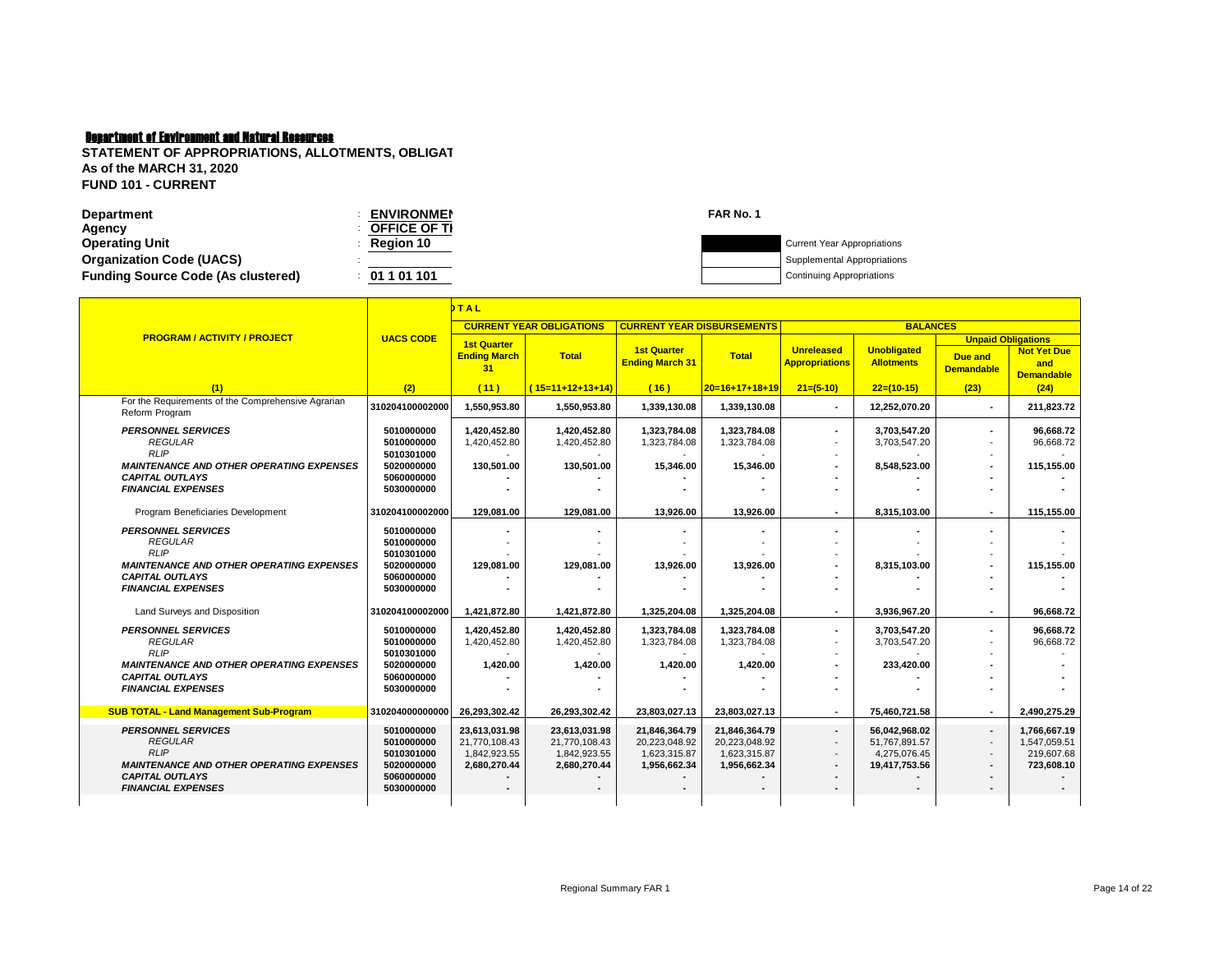| Department                                | <b>ENVIRONMEN</b>   | FAR No. |                                    |
|-------------------------------------------|---------------------|---------|------------------------------------|
| Agency                                    | <b>OFFICE OF TI</b> |         |                                    |
| <b>Operating Unit</b>                     | <b>Region 10</b>    |         | <b>Current Year Appropriations</b> |
| <b>Organization Code (UACS)</b>           |                     |         | Supplemental Appropriations        |
| <b>Funding Source Code (As clustered)</b> | 01 1 01 101         |         | Continuing Appropriations          |
|                                           |                     |         |                                    |

|                                                                           | THAL                                   |                                                 |                                 |                                              |                              |                                            |                                         |                                                                  |                                                |
|---------------------------------------------------------------------------|----------------------------------------|-------------------------------------------------|---------------------------------|----------------------------------------------|------------------------------|--------------------------------------------|-----------------------------------------|------------------------------------------------------------------|------------------------------------------------|
|                                                                           |                                        |                                                 | <b>CURRENT YEAR OBLIGATIONS</b> | <b>CURRENT YEAR DISBURSEMENTS</b>            |                              |                                            | <b>BALANCES</b>                         |                                                                  |                                                |
| <b>PROGRAM / ACTIVITY / PROJECT</b>                                       | <b>UACS CODE</b>                       | <b>1st Quarter</b><br><b>Ending March</b><br>31 | <b>Total</b>                    | <b>1st Quarter</b><br><b>Ending March 31</b> | <b>Total</b>                 | <b>Unreleased</b><br><b>Appropriations</b> | <b>Unobligated</b><br><b>Allotments</b> | <b>Unpaid Obligations</b><br><b>Due and</b><br><b>Demandable</b> | <b>Not Yet Due</b><br>and<br><b>Demandable</b> |
| (1)                                                                       | (2)                                    | (11)                                            | $(15=11+12+13+14)$              | (16)                                         | $20=16+17+18+19$             | $21=(5-10)$                                | $22=(10-15)$                            | (23)                                                             | (24)                                           |
| For the Requirements of the Comprehensive Agrarian<br>Reform Program      | 310204100002000                        | 1,550,953.80                                    | 1,550,953.80                    | 1,339,130.08                                 | 1,339,130.08                 | $\blacksquare$                             | 12,252,070.20                           | $\overline{\phantom{a}}$                                         | 211,823.72                                     |
| <b>PERSONNEL SERVICES</b><br><b>REGULAR</b><br><b>RLIP</b>                | 5010000000<br>5010000000<br>5010301000 | 1,420,452.80<br>1,420,452.80                    | 1,420,452.80<br>1,420,452.80    | 1,323,784.08<br>1,323,784.08                 | 1,323,784.08<br>1,323,784.08 | $\blacksquare$                             | 3.703.547.20<br>3,703,547.20            | ٠                                                                | 96.668.72<br>96,668.72                         |
| <b>MAINTENANCE AND OTHER OPERATING EXPENSES</b>                           | 5020000000                             | 130.501.00                                      | 130,501.00                      | 15,346.00                                    | 15,346.00                    |                                            | 8,548,523.00                            | ٠                                                                | 115,155.00                                     |
| <b>CAPITAL OUTLAYS</b>                                                    | 5060000000                             |                                                 |                                 |                                              |                              |                                            |                                         |                                                                  |                                                |
| <b>FINANCIAL EXPENSES</b>                                                 | 5030000000                             |                                                 |                                 |                                              |                              |                                            |                                         |                                                                  |                                                |
| Program Beneficiaries Development                                         | 310204100002000                        | 129.081.00                                      | 129.081.00                      | 13.926.00                                    | 13.926.00                    | $\blacksquare$                             | 8,315,103.00                            | $\overline{\phantom{a}}$                                         | 115.155.00                                     |
| <b>PERSONNEL SERVICES</b>                                                 | 5010000000                             |                                                 |                                 |                                              |                              |                                            |                                         |                                                                  |                                                |
| <b>REGULAR</b>                                                            | 5010000000                             |                                                 |                                 |                                              |                              |                                            |                                         |                                                                  |                                                |
| <b>RLIP</b>                                                               | 5010301000                             |                                                 |                                 |                                              |                              |                                            |                                         |                                                                  |                                                |
| <b>MAINTENANCE AND OTHER OPERATING EXPENSES</b><br><b>CAPITAL OUTLAYS</b> | 5020000000<br>5060000000               | 129.081.00                                      | 129.081.00                      | 13.926.00                                    | 13.926.00                    |                                            | 8,315,103.00                            |                                                                  | 115.155.00                                     |
| <b>FINANCIAL EXPENSES</b>                                                 | 5030000000                             |                                                 |                                 |                                              |                              |                                            |                                         |                                                                  |                                                |
|                                                                           |                                        |                                                 |                                 |                                              |                              |                                            |                                         |                                                                  |                                                |
| Land Surveys and Disposition                                              | 310204100002000                        | 1,421,872.80                                    | 1,421,872.80                    | 1,325,204.08                                 | 1,325,204.08                 | $\blacksquare$                             | 3,936,967.20                            | $\overline{\phantom{a}}$                                         | 96,668.72                                      |
| <b>PERSONNEL SERVICES</b>                                                 | 5010000000                             | 1,420,452.80                                    | 1,420,452.80                    | 1,323,784.08                                 | 1,323,784.08                 |                                            | 3,703,547.20                            | ٠                                                                | 96.668.72                                      |
| <b>REGULAR</b>                                                            | 5010000000                             | 1,420,452.80                                    | 1,420,452.80                    | 1,323,784.08                                 | 1,323,784.08                 |                                            | 3,703,547.20                            |                                                                  | 96.668.72                                      |
| <b>RLIP</b>                                                               | 5010301000                             |                                                 |                                 |                                              |                              |                                            |                                         |                                                                  |                                                |
| <b>MAINTENANCE AND OTHER OPERATING EXPENSES</b>                           | 5020000000                             | 1,420.00                                        | 1,420.00                        | 1,420.00                                     | 1,420.00                     |                                            | 233,420.00                              |                                                                  |                                                |
| <b>CAPITAL OUTLAYS</b><br><b>FINANCIAL EXPENSES</b>                       | 5060000000<br>5030000000               |                                                 |                                 |                                              |                              |                                            |                                         |                                                                  |                                                |
|                                                                           |                                        |                                                 |                                 |                                              |                              |                                            |                                         |                                                                  |                                                |
| <b>SUB TOTAL - Land Management Sub-Program</b>                            | 310204000000000                        | 26,293,302.42                                   | 26,293,302.42                   | 23,803,027.13                                | 23,803,027.13                |                                            | 75,460,721.58                           | $\overline{\phantom{a}}$                                         | 2,490,275.29                                   |
| <b>PERSONNEL SERVICES</b>                                                 | 5010000000                             | 23,613,031.98                                   | 23,613,031.98                   | 21,846,364.79                                | 21,846,364.79                | $\overline{\phantom{a}}$                   | 56,042,968.02                           | $\blacksquare$                                                   | 1,766,667.19                                   |
| <b>REGULAR</b>                                                            | 5010000000                             | 21,770,108.43                                   | 21,770,108.43                   | 20,223,048.92                                | 20,223,048.92                |                                            | 51,767,891.57                           | $\overline{\phantom{a}}$                                         | 1,547,059.51                                   |
| <b>RLIP</b>                                                               | 5010301000                             | 1,842,923.55                                    | 1,842,923.55                    | 1,623,315.87                                 | 1,623,315.87                 |                                            | 4,275,076.45                            | $\overline{\phantom{a}}$                                         | 219,607.68                                     |
| <b>MAINTENANCE AND OTHER OPERATING EXPENSES</b><br><b>CAPITAL OUTLAYS</b> | 5020000000<br>5060000000               | 2,680,270.44                                    | 2,680,270.44                    | 1,956,662.34                                 | 1,956,662.34                 |                                            | 19,417,753.56                           | $\blacksquare$                                                   | 723,608.10                                     |
| <b>FINANCIAL EXPENSES</b>                                                 | 5030000000                             |                                                 |                                 |                                              |                              | $\overline{\phantom{a}}$                   |                                         | $\overline{\phantom{a}}$                                         |                                                |
|                                                                           |                                        |                                                 |                                 |                                              |                              |                                            |                                         |                                                                  |                                                |
|                                                                           |                                        |                                                 |                                 |                                              |                              |                                            |                                         |                                                                  |                                                |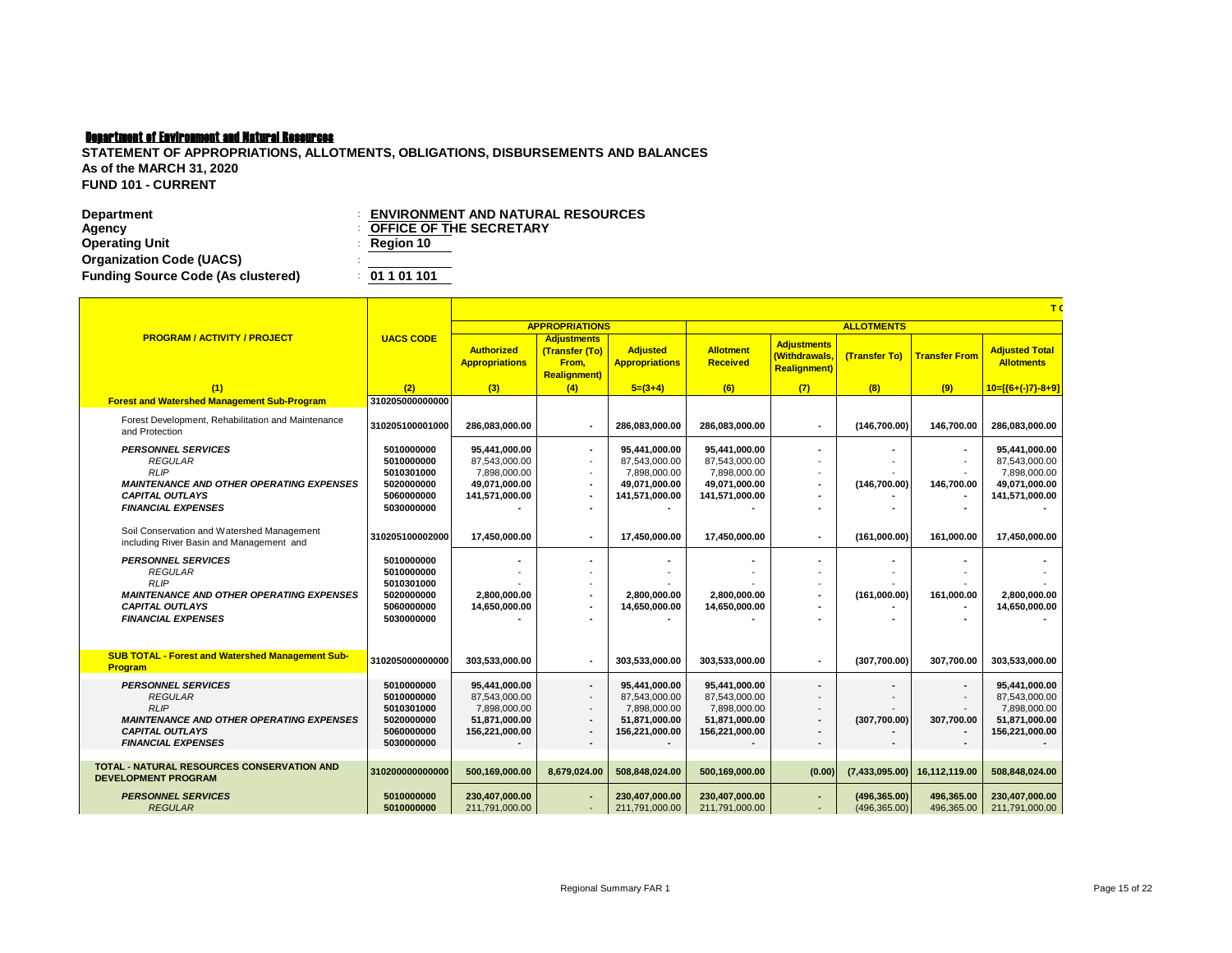| Department                                | <b>ENVIRONMENT AND NATURAL RESOURCES</b> |
|-------------------------------------------|------------------------------------------|
| Agency                                    | <b>COFFICE OF THE SECRETARY</b>          |
| <b>Operating Unit</b>                     | $\therefore$ Region 10                   |
| <b>Organization Code (UACS)</b>           |                                          |
| <b>Funding Source Code (As clustered)</b> | : 01101101                               |

|                                                                                        |                                        | T(                                             |                                                                       |                                                |                                                |                                                            |                          |                                |                                                |  |  |  |
|----------------------------------------------------------------------------------------|----------------------------------------|------------------------------------------------|-----------------------------------------------------------------------|------------------------------------------------|------------------------------------------------|------------------------------------------------------------|--------------------------|--------------------------------|------------------------------------------------|--|--|--|
|                                                                                        |                                        |                                                | <b>APPROPRIATIONS</b>                                                 |                                                |                                                |                                                            | <b>ALLOTMENTS</b>        |                                |                                                |  |  |  |
| <b>PROGRAM / ACTIVITY / PROJECT</b>                                                    | <b>UACS CODE</b>                       | <b>Authorized</b><br><b>Appropriations</b>     | <b>Adjustments</b><br>(Transfer (To)<br>From.<br><b>Realignment</b> ) | <b>Adjusted</b><br><b>Appropriations</b>       | <b>Allotment</b><br><b>Received</b>            | <b>Adjustments</b><br>(Withdrawals,<br><b>Realignment)</b> | (Transfer To)            | <b>Transfer From</b>           | <b>Adjusted Total</b><br><b>Allotments</b>     |  |  |  |
| (1)                                                                                    | (2)                                    | (3)                                            | (4)                                                                   | $5=(3+4)$                                      | (6)                                            | (7)                                                        | (8)                      | (9)                            | $10=[(6+(-)7)-8+9]$                            |  |  |  |
| <b>Forest and Watershed Management Sub-Program</b>                                     | 310205000000000                        |                                                |                                                                       |                                                |                                                |                                                            |                          |                                |                                                |  |  |  |
| Forest Development, Rehabilitation and Maintenance<br>and Protection                   | 310205100001000                        | 286,083,000.00                                 |                                                                       | 286,083,000.00                                 | 286,083,000.00                                 |                                                            | (146, 700.00)            | 146,700.00                     | 286,083,000.00                                 |  |  |  |
| <b>PERSONNEL SERVICES</b><br><b>REGULAR</b><br><b>RLIP</b>                             | 5010000000<br>5010000000<br>5010301000 | 95.441.000.00<br>87,543,000.00<br>7.898.000.00 | $\blacksquare$                                                        | 95.441.000.00<br>87,543,000.00<br>7.898.000.00 | 95.441.000.00<br>87,543,000.00<br>7,898,000.00 |                                                            |                          | ٠<br>$\overline{\phantom{a}}$  | 95.441.000.00<br>87,543,000.00<br>7,898,000.00 |  |  |  |
| <b>MAINTENANCE AND OTHER OPERATING EXPENSES</b>                                        | 5020000000                             | 49,071,000.00                                  |                                                                       | 49,071,000.00                                  | 49,071,000.00                                  |                                                            | (146, 700.00)            | 146,700.00                     | 49,071,000.00                                  |  |  |  |
| <b>CAPITAL OUTLAYS</b>                                                                 | 5060000000                             | 141,571,000.00                                 |                                                                       | 141,571,000.00                                 | 141,571,000.00                                 |                                                            |                          |                                | 141,571,000.00                                 |  |  |  |
| <b>FINANCIAL EXPENSES</b>                                                              | 5030000000                             |                                                |                                                                       |                                                |                                                |                                                            |                          |                                |                                                |  |  |  |
| Soil Conservation and Watershed Management<br>including River Basin and Management and | 310205100002000                        | 17,450,000.00                                  | $\overline{\phantom{a}}$                                              | 17.450.000.00                                  | 17.450.000.00                                  | $\overline{\phantom{a}}$                                   | (161.000.00)             | 161.000.00                     | 17.450.000.00                                  |  |  |  |
| <b>PERSONNEL SERVICES</b>                                                              | 5010000000                             |                                                |                                                                       |                                                |                                                |                                                            |                          |                                |                                                |  |  |  |
| <b>REGULAR</b>                                                                         | 5010000000                             |                                                |                                                                       |                                                |                                                |                                                            |                          |                                |                                                |  |  |  |
| <b>RLIP</b>                                                                            | 5010301000                             |                                                |                                                                       |                                                |                                                |                                                            |                          |                                |                                                |  |  |  |
| <b>MAINTENANCE AND OTHER OPERATING EXPENSES</b><br><b>CAPITAL OUTLAYS</b>              | 5020000000<br>5060000000               | 2,800,000.00<br>14.650.000.00                  |                                                                       | 2,800,000.00<br>14.650.000.00                  | 2,800,000.00<br>14,650,000.00                  |                                                            | (161,000.00)             | 161,000.00                     | 2,800,000.00<br>14,650,000.00                  |  |  |  |
| <b>FINANCIAL EXPENSES</b>                                                              | 5030000000                             |                                                |                                                                       |                                                |                                                |                                                            |                          |                                |                                                |  |  |  |
|                                                                                        |                                        |                                                |                                                                       |                                                |                                                |                                                            |                          |                                |                                                |  |  |  |
|                                                                                        |                                        |                                                |                                                                       |                                                |                                                |                                                            |                          |                                |                                                |  |  |  |
| <b>SUB TOTAL - Forest and Watershed Management Sub-</b><br><b>Program</b>              | 310205000000000                        | 303.533.000.00                                 |                                                                       | 303.533.000.00                                 | 303.533.000.00                                 |                                                            | (307,700.00)             | 307.700.00                     | 303.533.000.00                                 |  |  |  |
| <b>PERSONNEL SERVICES</b>                                                              | 5010000000                             | 95,441,000.00                                  | $\overline{\phantom{a}}$                                              | 95,441,000.00                                  | 95.441.000.00                                  |                                                            | $\overline{\phantom{a}}$ | ٠                              | 95,441,000.00                                  |  |  |  |
| <b>REGULAR</b>                                                                         | 5010000000                             | 87,543,000.00                                  |                                                                       | 87,543,000.00                                  | 87,543,000.00                                  |                                                            |                          |                                | 87,543,000.00                                  |  |  |  |
| <b>RLIP</b>                                                                            | 5010301000                             | 7,898,000.00                                   | $\overline{\phantom{a}}$                                              | 7,898,000.00                                   | 7,898,000.00                                   |                                                            |                          |                                | 7,898,000.00                                   |  |  |  |
| <b>MAINTENANCE AND OTHER OPERATING EXPENSES</b><br><b>CAPITAL OUTLAYS</b>              | 5020000000<br>5060000000               | 51.871.000.00<br>156,221,000.00                | $\overline{\phantom{a}}$                                              | 51.871.000.00<br>156,221,000.00                | 51.871.000.00<br>156,221,000.00                |                                                            | (307.700.00)             | 307.700.00                     | 51,871,000.00<br>156,221,000.00                |  |  |  |
| <b>FINANCIAL EXPENSES</b>                                                              | 5030000000                             |                                                | $\overline{\phantom{a}}$<br>$\overline{\phantom{a}}$                  |                                                |                                                |                                                            |                          |                                |                                                |  |  |  |
|                                                                                        |                                        |                                                |                                                                       |                                                |                                                |                                                            |                          |                                |                                                |  |  |  |
| <b>TOTAL - NATURAL RESOURCES CONSERVATION AND</b><br><b>DEVELOPMENT PROGRAM</b>        | 310200000000000                        | 500,169,000.00                                 | 8,679,024.00                                                          | 508,848,024.00                                 | 500,169,000.00                                 | (0.00)                                                     |                          | $(7,433,095.00)$ 16,112,119.00 | 508,848,024.00                                 |  |  |  |
| <b>PERSONNEL SERVICES</b>                                                              | 5010000000                             | 230,407,000.00                                 |                                                                       | 230,407,000.00                                 | 230,407,000.00                                 |                                                            | (496, 365.00)            | 496,365.00                     | 230,407,000.00                                 |  |  |  |
| <b>REGULAR</b>                                                                         | 5010000000                             | 211,791,000.00                                 |                                                                       | 211,791,000.00                                 | 211,791,000.00                                 |                                                            | (496, 365.00)            | 496.365.00                     | 211,791,000.00                                 |  |  |  |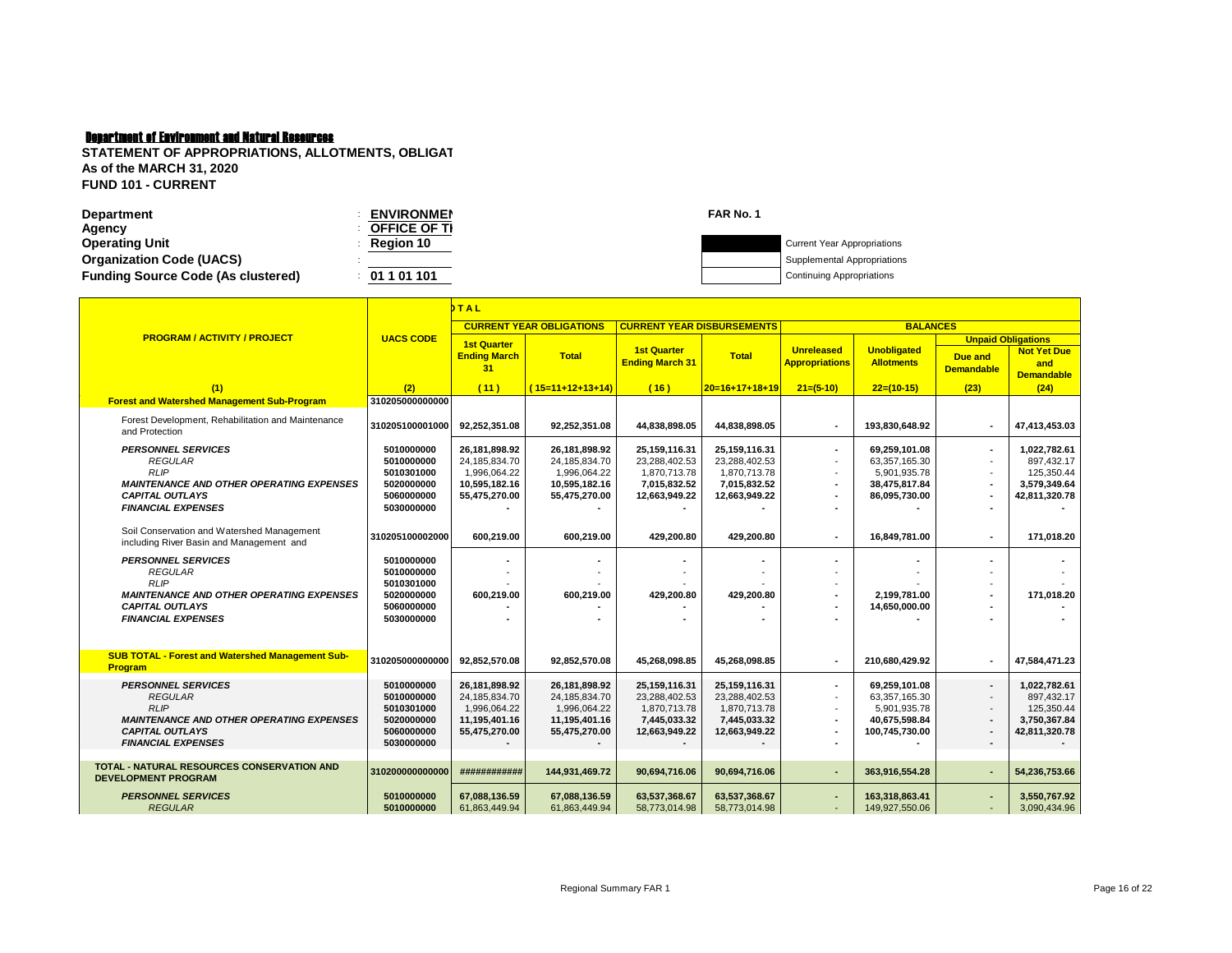| Department                                | <b>ENVIRONMEN</b>   | <b>FAR No. 1</b> |                                    |
|-------------------------------------------|---------------------|------------------|------------------------------------|
| Agency                                    | <b>OFFICE OF TI</b> |                  |                                    |
| <b>Operating Unit</b>                     | Region 10           |                  | <b>Current Year Appropriations</b> |
| <b>Organization Code (UACS)</b>           |                     |                  | Supplemental Appropriations        |
| <b>Funding Source Code (As clustered)</b> | 01 1 01 101         |                  | <b>Continuing Appropriations</b>   |
|                                           |                     |                  |                                    |

|                                                                                                                                         | MTAL                                                               |                                                                                  |                                                                                     |                                                                                 |                                                                                 |                                            |                                                                                  |                                                                  |                                                                           |
|-----------------------------------------------------------------------------------------------------------------------------------------|--------------------------------------------------------------------|----------------------------------------------------------------------------------|-------------------------------------------------------------------------------------|---------------------------------------------------------------------------------|---------------------------------------------------------------------------------|--------------------------------------------|----------------------------------------------------------------------------------|------------------------------------------------------------------|---------------------------------------------------------------------------|
|                                                                                                                                         |                                                                    |                                                                                  | <b>CURRENT YEAR OBLIGATIONS</b>                                                     | <b>CURRENT YEAR DISBURSEMENTS</b>                                               |                                                                                 |                                            | <b>BALANCES</b>                                                                  |                                                                  |                                                                           |
| <b>PROGRAM / ACTIVITY / PROJECT</b>                                                                                                     | <b>UACS CODE</b>                                                   | <b>1st Quarter</b><br><b>Ending March</b><br>31                                  | <b>Total</b>                                                                        | <b>1st Quarter</b><br><b>Ending March 31</b>                                    | <b>Total</b>                                                                    | <b>Unreleased</b><br><b>Appropriations</b> | <b>Unobligated</b><br><b>Allotments</b>                                          | <b>Unpaid Obligations</b><br><b>Due and</b><br><b>Demandable</b> | <b>Not Yet Due</b><br>and<br><b>Demandable</b>                            |
| (1)                                                                                                                                     | (2)                                                                | (11)                                                                             | $(15=11+12+13+14)$                                                                  | (16)                                                                            | $20=16+17+18+19$                                                                | $21=(5-10)$                                | $22=(10-15)$                                                                     | (23)                                                             | (24)                                                                      |
| <b>Forest and Watershed Management Sub-Program</b>                                                                                      | 310205000000000                                                    |                                                                                  |                                                                                     |                                                                                 |                                                                                 |                                            |                                                                                  |                                                                  |                                                                           |
| Forest Development, Rehabilitation and Maintenance<br>and Protection                                                                    | 310205100001000                                                    | 92,252,351.08                                                                    | 92,252,351.08                                                                       | 44,838,898.05                                                                   | 44,838,898.05                                                                   | $\blacksquare$                             | 193,830,648.92                                                                   |                                                                  | 47,413,453.03                                                             |
| <b>PERSONNEL SERVICES</b><br><b>REGULAR</b><br><b>RLIP</b><br><b>MAINTENANCE AND OTHER OPERATING EXPENSES</b><br><b>CAPITAL OUTLAYS</b> | 5010000000<br>5010000000<br>5010301000<br>5020000000<br>5060000000 | 26,181,898.92<br>24,185,834.70<br>1,996,064.22<br>10,595,182.16<br>55,475,270.00 | 26, 181, 898. 92<br>24,185,834.70<br>1,996,064.22<br>10,595,182.16<br>55,475,270.00 | 25,159,116.31<br>23,288,402.53<br>1,870,713.78<br>7,015,832.52<br>12,663,949.22 | 25,159,116.31<br>23,288,402.53<br>1,870,713.78<br>7,015,832.52<br>12,663,949.22 | ٠<br>$\blacksquare$<br>$\blacksquare$      | 69,259,101.08<br>63,357,165.30<br>5,901,935.78<br>38,475,817.84<br>86,095,730.00 |                                                                  | 1,022,782.61<br>897,432.17<br>125,350.44<br>3,579,349.64<br>42,811,320.78 |
| <b>FINANCIAL EXPENSES</b>                                                                                                               | 5030000000                                                         |                                                                                  |                                                                                     |                                                                                 |                                                                                 |                                            |                                                                                  |                                                                  |                                                                           |
| Soil Conservation and Watershed Management<br>including River Basin and Management and                                                  | 310205100002000                                                    | 600.219.00                                                                       | 600.219.00                                                                          | 429.200.80                                                                      | 429,200.80                                                                      | $\blacksquare$                             | 16.849.781.00                                                                    |                                                                  | 171.018.20                                                                |
| <b>PERSONNEL SERVICES</b><br><b>REGULAR</b>                                                                                             | 5010000000<br>5010000000                                           |                                                                                  |                                                                                     |                                                                                 |                                                                                 |                                            |                                                                                  |                                                                  |                                                                           |
| <b>RLIP</b><br><b>MAINTENANCE AND OTHER OPERATING EXPENSES</b><br><b>CAPITAL OUTLAYS</b>                                                | 5010301000<br>5020000000<br>5060000000                             | 600,219.00                                                                       | 600,219.00                                                                          | 429,200.80                                                                      | 429,200.80                                                                      | $\blacksquare$<br>$\blacksquare$           | 2,199,781.00<br>14,650,000.00                                                    |                                                                  | 171,018.20                                                                |
| <b>FINANCIAL EXPENSES</b>                                                                                                               | 5030000000                                                         |                                                                                  |                                                                                     |                                                                                 |                                                                                 |                                            |                                                                                  |                                                                  |                                                                           |
| <b>SUB TOTAL - Forest and Watershed Management Sub-</b>                                                                                 |                                                                    |                                                                                  |                                                                                     |                                                                                 |                                                                                 |                                            |                                                                                  |                                                                  |                                                                           |
| <b>Program</b>                                                                                                                          | 310205000000000                                                    | 92,852,570.08                                                                    | 92,852,570.08                                                                       | 45,268,098.85                                                                   | 45,268,098.85                                                                   | ٠                                          | 210,680,429.92                                                                   |                                                                  | 47,584,471.23                                                             |
| <b>PERSONNEL SERVICES</b><br><b>REGULAR</b><br><b>RLIP</b>                                                                              | 5010000000<br>5010000000<br>5010301000                             | 26,181,898.92<br>24,185,834.70<br>1,996,064.22                                   | 26,181,898.92<br>24,185,834.70<br>1,996,064.22                                      | 25,159,116.31<br>23,288,402.53<br>1,870,713.78                                  | 25,159,116.31<br>23,288,402.53<br>1,870,713.78                                  | $\sim$<br>$\blacksquare$                   | 69,259,101.08<br>63,357,165.30<br>5,901,935.78                                   |                                                                  | 1,022,782.61<br>897,432.17<br>125,350.44                                  |
| <b>MAINTENANCE AND OTHER OPERATING EXPENSES</b>                                                                                         | 5020000000                                                         | 11,195,401.16                                                                    | 11,195,401.16                                                                       | 7,445,033.32                                                                    | 7,445,033.32                                                                    |                                            | 40,675,598.84                                                                    |                                                                  | 3,750,367.84                                                              |
| <b>CAPITAL OUTLAYS</b>                                                                                                                  | 5060000000                                                         | 55,475,270.00                                                                    | 55,475,270.00                                                                       | 12,663,949.22                                                                   | 12,663,949.22                                                                   |                                            | 100,745,730.00                                                                   |                                                                  | 42,811,320.78                                                             |
| <b>FINANCIAL EXPENSES</b>                                                                                                               | 5030000000                                                         |                                                                                  |                                                                                     |                                                                                 |                                                                                 | $\blacksquare$                             |                                                                                  | $\blacksquare$                                                   | $\overline{a}$                                                            |
| <b>TOTAL - NATURAL RESOURCES CONSERVATION AND</b><br><b>DEVELOPMENT PROGRAM</b>                                                         | 310200000000000                                                    | ############                                                                     | 144,931,469.72                                                                      | 90,694,716.06                                                                   | 90,694,716.06                                                                   | ÷                                          | 363,916,554.28                                                                   |                                                                  | 54,236,753.66                                                             |
| <b>PERSONNEL SERVICES</b><br><b>REGULAR</b>                                                                                             | 5010000000<br>5010000000                                           | 67,088,136.59<br>61,863,449.94                                                   | 67,088,136.59<br>61,863,449.94                                                      | 63,537,368.67<br>58,773,014.98                                                  | 63,537,368.67<br>58,773,014.98                                                  | ٠<br>$\overline{\phantom{a}}$              | 163,318,863.41<br>149,927,550.06                                                 |                                                                  | 3.550.767.92<br>3,090,434.96                                              |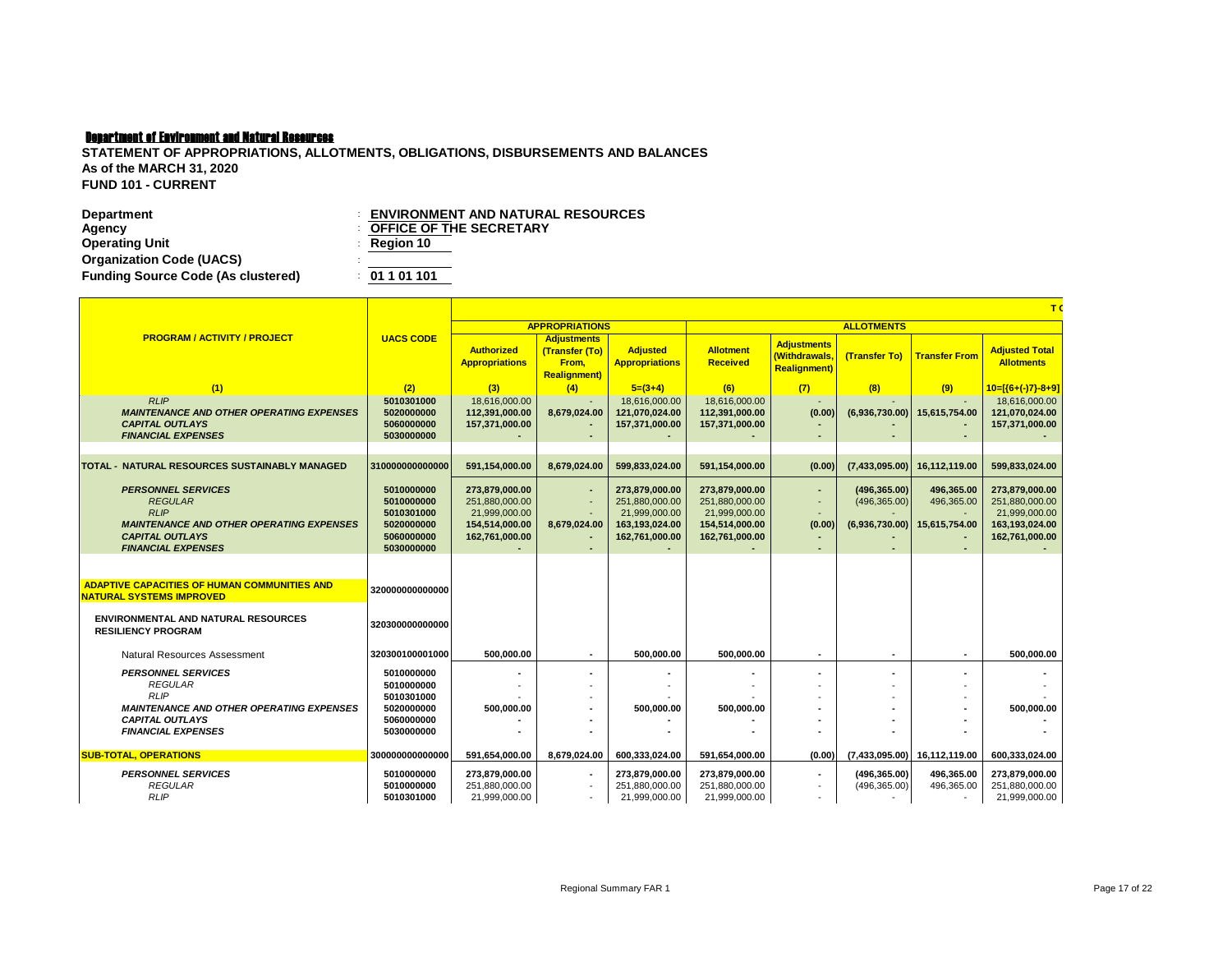| <b>Department</b>                         | <b>ENVIRONMENT AND NATURAL RESOURCES</b> |
|-------------------------------------------|------------------------------------------|
| Agency                                    | <b>COFFICE OF THE SECRETARY</b>          |
| <b>Operating Unit</b>                     | $\therefore$ Region 10                   |
| <b>Organization Code (UACS)</b>           |                                          |
| <b>Funding Source Code (As clustered)</b> | : 01101101                               |

|                                                                                                                                                                      | T <sub>0</sub>                                                                   |                                                                                       |                                                                      |                                                                                       |                                                                                       |                                                             |                                                  |                                           |                                                                                       |  |  |
|----------------------------------------------------------------------------------------------------------------------------------------------------------------------|----------------------------------------------------------------------------------|---------------------------------------------------------------------------------------|----------------------------------------------------------------------|---------------------------------------------------------------------------------------|---------------------------------------------------------------------------------------|-------------------------------------------------------------|--------------------------------------------------|-------------------------------------------|---------------------------------------------------------------------------------------|--|--|
|                                                                                                                                                                      |                                                                                  |                                                                                       | <b>APPROPRIATIONS</b>                                                |                                                                                       |                                                                                       |                                                             | <b>ALLOTMENTS</b>                                |                                           |                                                                                       |  |  |
| <b>PROGRAM / ACTIVITY / PROJECT</b>                                                                                                                                  | <b>UACS CODE</b>                                                                 | <b>Authorized</b><br><b>Appropriations</b>                                            | <b>Adjustments</b><br>(Transfer (To)<br>From.<br><b>Realignment)</b> | <b>Adjusted</b><br><b>Appropriations</b>                                              | <b>Allotment</b><br><b>Received</b>                                                   | <b>Adjustments</b><br>(Withdrawals.<br><b>Realignment</b> ) | (Transfer To)                                    | <b>Transfer From</b>                      | <b>Adjusted Total</b><br><b>Allotments</b>                                            |  |  |
| (1)                                                                                                                                                                  | (2)                                                                              | (3)                                                                                   | (4)                                                                  | $5=(3+4)$                                                                             | (6)                                                                                   | (7)                                                         | (8)                                              | (9)                                       | $10=[(6+(-)7)-8+9]$                                                                   |  |  |
| RLIP<br><b>MAINTENANCE AND OTHER OPERATING EXPENSES</b><br><b>CAPITAL OUTLAYS</b><br><b>FINANCIAL EXPENSES</b>                                                       | 5010301000<br>5020000000<br>5060000000<br>5030000000                             | 18.616.000.00<br>112.391.000.00<br>157.371.000.00                                     | 8,679,024.00                                                         | 18.616.000.00<br>121.070.024.00<br>157.371.000.00                                     | 18,616,000.00<br>112.391.000.00<br>157,371,000.00                                     | (0.00)                                                      | (6,936,730.00)                                   | 15,615,754.00                             | 18.616.000.00<br>121,070,024.00<br>157,371,000.00                                     |  |  |
| TOTAL - NATURAL RESOURCES SUSTAINABLY MANAGED                                                                                                                        | 310000000000000                                                                  | 591.154.000.00                                                                        | 8.679.024.00                                                         | 599,833,024.00                                                                        | 591,154,000.00                                                                        | (0.00)                                                      | (7,433,095.00)                                   | 16.112.119.00                             | 599,833,024.00                                                                        |  |  |
| <b>PERSONNEL SERVICES</b><br><b>REGULAR</b><br><b>RLIP</b><br><b>MAINTENANCE AND OTHER OPERATING EXPENSES</b><br><b>CAPITAL OUTLAYS</b><br><b>FINANCIAL EXPENSES</b> | 5010000000<br>5010000000<br>5010301000<br>5020000000<br>5060000000<br>5030000000 | 273,879,000.00<br>251.880.000.00<br>21,999,000.00<br>154,514,000.00<br>162,761,000.00 | 8,679,024.00<br>$\overline{a}$                                       | 273,879,000.00<br>251.880.000.00<br>21,999,000.00<br>163,193,024.00<br>162,761,000.00 | 273,879,000.00<br>251,880,000.00<br>21,999,000.00<br>154,514,000.00<br>162,761,000.00 | $\overline{a}$<br>(0.00)                                    | (496, 365.00)<br>(496, 365.00)<br>(6,936,730.00) | 496,365.00<br>496,365.00<br>15,615,754.00 | 273,879,000.00<br>251.880.000.00<br>21,999,000.00<br>163,193,024.00<br>162,761,000.00 |  |  |
| <b>ADAPTIVE CAPACITIES OF HUMAN COMMUNITIES AND</b><br><b>NATURAL SYSTEMS IMPROVED</b>                                                                               | 320000000000000                                                                  |                                                                                       |                                                                      |                                                                                       |                                                                                       |                                                             |                                                  |                                           |                                                                                       |  |  |
| <b>ENVIRONMENTAL AND NATURAL RESOURCES</b><br><b>RESILIENCY PROGRAM</b>                                                                                              | 320300000000000                                                                  |                                                                                       |                                                                      |                                                                                       |                                                                                       |                                                             |                                                  |                                           |                                                                                       |  |  |
| Natural Resources Assessment                                                                                                                                         | 320300100001000                                                                  | 500.000.00                                                                            |                                                                      | 500.000.00                                                                            | 500.000.00                                                                            |                                                             | $\overline{\phantom{a}}$                         |                                           | 500.000.00                                                                            |  |  |
| <b>PERSONNEL SERVICES</b><br><b>REGULAR</b><br><b>RLIP</b><br><b>MAINTENANCE AND OTHER OPERATING EXPENSES</b><br><b>CAPITAL OUTLAYS</b><br><b>FINANCIAL EXPENSES</b> | 5010000000<br>5010000000<br>5010301000<br>5020000000<br>5060000000<br>5030000000 | 500,000.00                                                                            |                                                                      | 500,000.00                                                                            | 500,000.00                                                                            |                                                             |                                                  |                                           | 500,000.00                                                                            |  |  |
| <b>SUB-TOTAL, OPERATIONS</b>                                                                                                                                         | 300000000000000                                                                  | 591.654.000.00                                                                        | 8.679.024.00                                                         | 600.333.024.00                                                                        | 591.654.000.00                                                                        | (0.00)                                                      | (7.433.095.00)                                   | 16,112,119.00                             | 600.333.024.00                                                                        |  |  |
| <b>PERSONNEL SERVICES</b><br><b>REGULAR</b><br><b>RLIP</b>                                                                                                           | 5010000000<br>5010000000<br>5010301000                                           | 273,879,000.00<br>251,880,000.00<br>21,999,000.00                                     |                                                                      | 273,879,000.00<br>251.880.000.00<br>21,999,000.00                                     | 273,879,000.00<br>251,880,000.00<br>21,999,000.00                                     |                                                             | (496, 365.00)<br>(496, 365.00)                   | 496,365.00<br>496,365.00                  | 273,879,000.00<br>251,880,000.00<br>21,999,000.00                                     |  |  |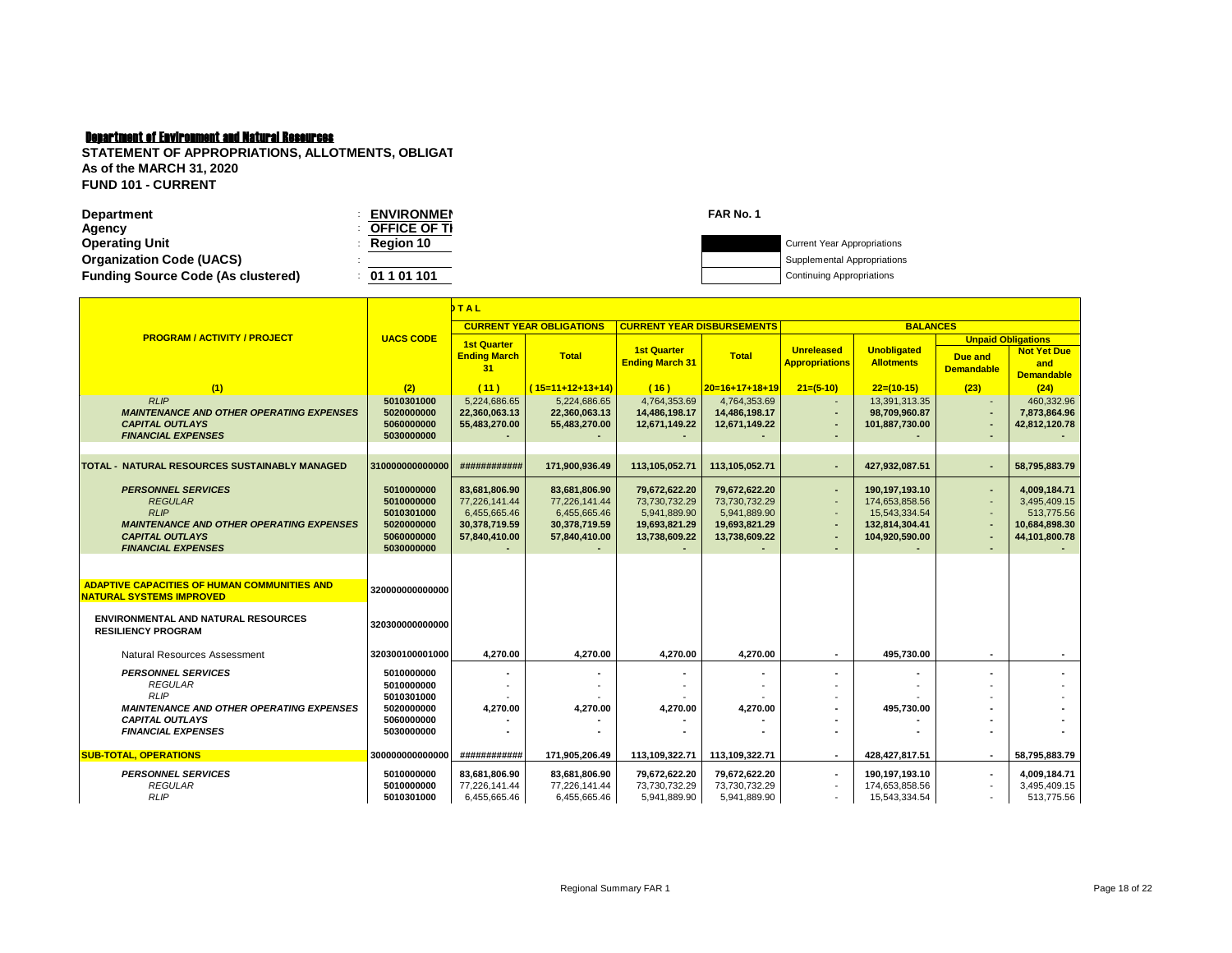| <b>Department</b>                         | <b>ENVIRONMEN</b> | FAR No. 1 |                                    |
|-------------------------------------------|-------------------|-----------|------------------------------------|
| Agency                                    | OFFICE OF TI      |           |                                    |
| <b>Operating Unit</b>                     | Region 10         |           | <b>Current Year Appropriations</b> |
| <b>Organization Code (UACS)</b>           |                   |           | Supplemental Appropriations        |
| <b>Funding Source Code (As clustered)</b> | 01 1 01 101       |           | <b>Continuing Appropriations</b>   |
|                                           |                   |           |                                    |

|                                                                                                                                                                      |                                                                                  | <b>DTAL</b>                                                                      |                                                                                  |                                                                                        |                                                                                  |                                                                                          |                                                                                       |                              |                                                                              |
|----------------------------------------------------------------------------------------------------------------------------------------------------------------------|----------------------------------------------------------------------------------|----------------------------------------------------------------------------------|----------------------------------------------------------------------------------|----------------------------------------------------------------------------------------|----------------------------------------------------------------------------------|------------------------------------------------------------------------------------------|---------------------------------------------------------------------------------------|------------------------------|------------------------------------------------------------------------------|
|                                                                                                                                                                      |                                                                                  |                                                                                  | <b>CURRENT YEAR OBLIGATIONS</b>                                                  | <b>CURRENT YEAR DISBURSEMENTS</b>                                                      |                                                                                  |                                                                                          | <b>BALANCES</b>                                                                       |                              |                                                                              |
| <b>PROGRAM / ACTIVITY / PROJECT</b>                                                                                                                                  | <b>UACS CODE</b>                                                                 | <b>1st Quarter</b><br><b>Ending March</b><br>31                                  | <b>Total</b>                                                                     | <b>1st Quarter</b><br><b>Ending March 31</b>                                           | <b>Total</b>                                                                     | <b>Unreleased</b><br><b>Appropriations</b>                                               | <b>Unobligated</b><br><b>Allotments</b>                                               | Due and<br><b>Demandable</b> | <b>Unpaid Obligations</b><br><b>Not Yet Due</b><br>and<br><b>Demandable</b>  |
| (1)                                                                                                                                                                  | (2)                                                                              | (11)                                                                             | $(15=11+12+13+14)$                                                               | (16)                                                                                   | $20=16+17+18+19$                                                                 | $21=(5-10)$                                                                              | $22=(10-15)$                                                                          | (23)                         | (24)                                                                         |
| RLIP<br><b>MAINTENANCE AND OTHER OPERATING EXPENSES</b><br><b>CAPITAL OUTLAYS</b><br><b>FINANCIAL EXPENSES</b>                                                       | 5010301000<br>5020000000<br>5060000000<br>5030000000                             | 5,224,686.65<br>22,360,063.13<br>55,483,270.00                                   | 5,224,686.65<br>22,360,063.13<br>55,483,270.00                                   | 4,764,353.69<br>14,486,198.17<br>12,671,149.22                                         | 4,764,353.69<br>14,486,198.17<br>12,671,149.22                                   | $\sim$<br>٠<br>$\blacksquare$<br>٠                                                       | 13,391,313.35<br>98,709,960.87<br>101,887,730.00                                      | $\blacksquare$               | 460,332.96<br>7,873,864.96<br>42,812,120.78                                  |
| <b>TOTAL - NATURAL RESOURCES SUSTAINABLY MANAGED</b>                                                                                                                 | 310000000000000                                                                  | ############                                                                     | 171,900,936.49                                                                   | 113,105,052.71                                                                         | 113,105,052.71                                                                   | $\blacksquare$                                                                           | 427,932,087.51                                                                        |                              | 58,795,883.79                                                                |
| <b>PERSONNEL SERVICES</b><br><b>REGULAR</b><br><b>RLIP</b><br><b>MAINTENANCE AND OTHER OPERATING EXPENSES</b><br><b>CAPITAL OUTLAYS</b><br><b>FINANCIAL EXPENSES</b> | 5010000000<br>5010000000<br>5010301000<br>5020000000<br>5060000000<br>5030000000 | 83,681,806.90<br>77.226.141.44<br>6,455,665.46<br>30,378,719.59<br>57,840,410.00 | 83,681,806.90<br>77,226,141.44<br>6,455,665.46<br>30,378,719.59<br>57,840,410.00 | 79,672,622.20<br>73.730.732.29<br>5,941,889.90<br>19,693,821.29<br>13,738,609.22<br>۰. | 79,672,622.20<br>73.730.732.29<br>5,941,889.90<br>19,693,821.29<br>13,738,609.22 | $\blacksquare$<br>$\blacksquare$<br>$\overline{\phantom{a}}$<br>$\blacksquare$<br>٠<br>٠ | 190,197,193.10<br>174,653,858.56<br>15,543,334.54<br>132,814,304.41<br>104,920,590.00 | ٠                            | 4,009,184.71<br>3.495.409.15<br>513,775.56<br>10,684,898.30<br>44,101,800.78 |
| <b>ADAPTIVE CAPACITIES OF HUMAN COMMUNITIES AND</b><br><b>NATURAL SYSTEMS IMPROVED</b>                                                                               | 320000000000000                                                                  |                                                                                  |                                                                                  |                                                                                        |                                                                                  |                                                                                          |                                                                                       |                              |                                                                              |
| <b>ENVIRONMENTAL AND NATURAL RESOURCES</b><br><b>RESILIENCY PROGRAM</b>                                                                                              | 320300000000000                                                                  |                                                                                  |                                                                                  |                                                                                        |                                                                                  |                                                                                          |                                                                                       |                              |                                                                              |
| <b>Natural Resources Assessment</b>                                                                                                                                  | 320300100001000                                                                  | 4,270.00                                                                         | 4,270.00                                                                         | 4,270.00                                                                               | 4,270.00                                                                         | $\blacksquare$                                                                           | 495,730.00                                                                            |                              |                                                                              |
| <b>PERSONNEL SERVICES</b><br><b>REGULAR</b><br><b>RLIP</b><br><b>MAINTENANCE AND OTHER OPERATING EXPENSES</b>                                                        | 5010000000<br>5010000000<br>5010301000<br>5020000000                             | 4.270.00                                                                         | 4.270.00                                                                         | 4.270.00                                                                               | 4.270.00                                                                         | ٠                                                                                        | 495.730.00                                                                            |                              |                                                                              |
| <b>CAPITAL OUTLAYS</b><br><b>FINANCIAL EXPENSES</b>                                                                                                                  | 5060000000<br>5030000000                                                         |                                                                                  |                                                                                  |                                                                                        |                                                                                  |                                                                                          |                                                                                       |                              |                                                                              |
| <b>SUB-TOTAL, OPERATIONS</b>                                                                                                                                         | 300000000000000                                                                  | ############                                                                     | 171.905.206.49                                                                   | 113.109.322.71                                                                         | 113,109,322.71                                                                   | $\blacksquare$                                                                           | 428.427.817.51                                                                        |                              | 58,795,883.79                                                                |
| <b>PERSONNEL SERVICES</b><br><b>REGULAR</b><br><b>RLIP</b>                                                                                                           | 5010000000<br>5010000000<br>5010301000                                           | 83,681,806.90<br>77,226,141.44<br>6,455,665.46                                   | 83,681,806.90<br>77,226,141.44<br>6,455,665.46                                   | 79,672,622.20<br>73,730,732.29<br>5,941,889.90                                         | 79,672,622.20<br>73,730,732.29<br>5,941,889.90                                   | $\overline{\phantom{a}}$<br>$\overline{\phantom{a}}$<br>$\overline{\phantom{a}}$         | 190,197,193.10<br>174,653,858.56<br>15,543,334.54                                     |                              | 4.009.184.71<br>3,495,409.15<br>513,775.56                                   |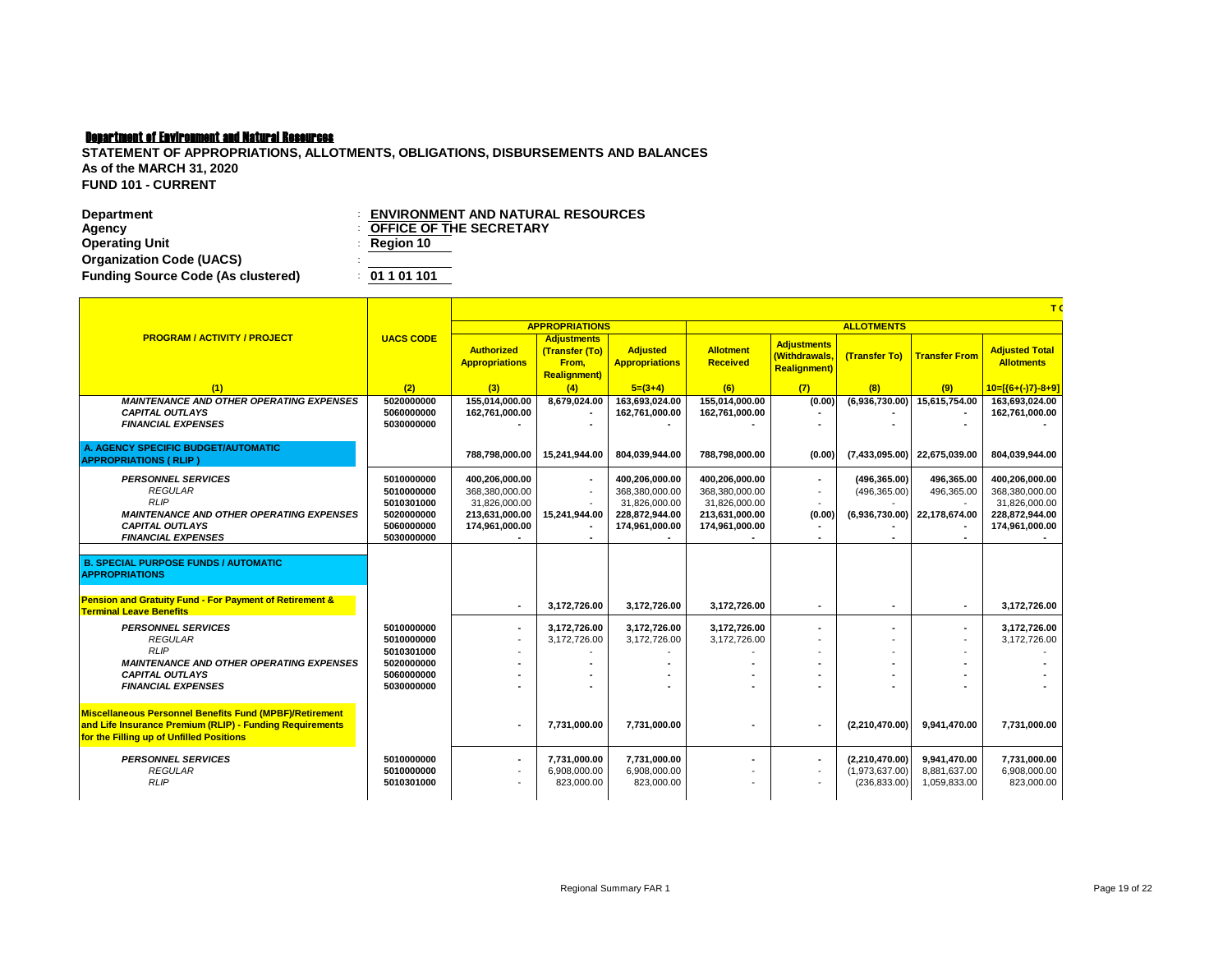| <b>Department</b>                         | $\colon$ ENVIRONMENT AND NATURAL RESOURCES |
|-------------------------------------------|--------------------------------------------|
| Agency                                    | <b>COFFICE OF THE SECRETARY</b>            |
| <b>Operating Unit</b>                     | $\therefore$ Region 10                     |
| <b>Organization Code (UACS)</b>           |                                            |
| <b>Funding Source Code (As clustered)</b> | : 01101101                                 |

|                                                                                                                                                                        |                                                                                  |                                                                                       |                                                                      |                                                                                       |                                                                                       |                                                             |                                                   | T(<br><b>Adjusted Total</b><br><b>Transfer From</b><br><b>Allotments</b><br>(9)<br>15,615,754.00<br>163,693,024.00<br>162,761,000.00<br>22,675,039.00<br>804,039,944.00<br>496,365.00<br>400,206,000.00<br>496,365.00<br>368,380,000.00<br>31,826,000.00<br>22.178.674.00<br>228,872,944.00<br>174,961,000.00<br>3.172.726.00<br>$\blacksquare$<br>3,172,726.00<br>$\overline{\phantom{a}}$<br>3.172.726.00 |                                            |  |  |
|------------------------------------------------------------------------------------------------------------------------------------------------------------------------|----------------------------------------------------------------------------------|---------------------------------------------------------------------------------------|----------------------------------------------------------------------|---------------------------------------------------------------------------------------|---------------------------------------------------------------------------------------|-------------------------------------------------------------|---------------------------------------------------|-------------------------------------------------------------------------------------------------------------------------------------------------------------------------------------------------------------------------------------------------------------------------------------------------------------------------------------------------------------------------------------------------------------|--------------------------------------------|--|--|
|                                                                                                                                                                        |                                                                                  |                                                                                       | <b>APPROPRIATIONS</b>                                                |                                                                                       | <b>ALLOTMENTS</b>                                                                     |                                                             |                                                   |                                                                                                                                                                                                                                                                                                                                                                                                             |                                            |  |  |
| <b>PROGRAM / ACTIVITY / PROJECT</b>                                                                                                                                    | <b>UACS CODE</b>                                                                 | <b>Authorized</b><br><b>Appropriations</b>                                            | <b>Adjustments</b><br>(Transfer (To)<br>From,<br><b>Realignment)</b> | <b>Adjusted</b><br><b>Appropriations</b>                                              | <b>Allotment</b><br><b>Received</b>                                                   | <b>Adjustments</b><br>(Withdrawals.<br><b>Realignment</b> ) | (Transfer To)                                     |                                                                                                                                                                                                                                                                                                                                                                                                             |                                            |  |  |
| (1)                                                                                                                                                                    | (2)                                                                              | (3)                                                                                   | (4)                                                                  | $5=(3+4)$                                                                             | (6)                                                                                   | (7)                                                         | (8)                                               |                                                                                                                                                                                                                                                                                                                                                                                                             | $10=[(6+(-)7)-8+9]$                        |  |  |
| <b>MAINTENANCE AND OTHER OPERATING EXPENSES</b><br><b>CAPITAL OUTLAYS</b><br><b>FINANCIAL EXPENSES</b>                                                                 | 5020000000<br>5060000000<br>5030000000                                           | 155.014.000.00<br>162.761.000.00                                                      | 8,679,024.00                                                         | 163,693,024.00<br>162.761.000.00                                                      | 155,014,000.00<br>162.761.000.00                                                      | (0.00)                                                      | (6,936,730.00)                                    |                                                                                                                                                                                                                                                                                                                                                                                                             |                                            |  |  |
| A. AGENCY SPECIFIC BUDGET/AUTOMATIC<br><b>APPROPRIATIONS (RLIP)</b>                                                                                                    |                                                                                  | 788.798.000.00                                                                        | 15.241.944.00                                                        | 804.039.944.00                                                                        | 788.798.000.00                                                                        | (0.00)                                                      | (7,433,095.00)                                    |                                                                                                                                                                                                                                                                                                                                                                                                             |                                            |  |  |
| <b>PERSONNEL SERVICES</b><br><b>REGULAR</b><br><b>RLIP</b><br><b>MAINTENANCE AND OTHER OPERATING EXPENSES</b><br><b>CAPITAL OUTLAYS</b><br><b>FINANCIAL EXPENSES</b>   | 5010000000<br>5010000000<br>5010301000<br>5020000000<br>5060000000<br>5030000000 | 400,206,000.00<br>368,380,000.00<br>31,826,000.00<br>213,631,000.00<br>174,961,000.00 | $\overline{\phantom{a}}$<br>15,241,944.00                            | 400,206,000.00<br>368,380,000.00<br>31,826,000.00<br>228,872,944.00<br>174,961,000.00 | 400,206,000.00<br>368,380,000.00<br>31,826,000.00<br>213,631,000.00<br>174,961,000.00 | (0.00)                                                      | (496, 365.00)<br>(496, 365.00)<br>(6,936,730.00)  |                                                                                                                                                                                                                                                                                                                                                                                                             |                                            |  |  |
| <b>B. SPECIAL PURPOSE FUNDS / AUTOMATIC</b><br><b>APPROPRIATIONS</b>                                                                                                   |                                                                                  |                                                                                       |                                                                      |                                                                                       |                                                                                       |                                                             |                                                   |                                                                                                                                                                                                                                                                                                                                                                                                             |                                            |  |  |
| <b>Pension and Gratuity Fund - For Payment of Retirement &amp;</b><br><b>Terminal Leave Benefits</b>                                                                   |                                                                                  | $\overline{\phantom{a}}$                                                              | 3.172.726.00                                                         | 3.172.726.00                                                                          | 3.172.726.00                                                                          | $\blacksquare$                                              | $\blacksquare$                                    |                                                                                                                                                                                                                                                                                                                                                                                                             |                                            |  |  |
| <b>PERSONNEL SERVICES</b><br><b>REGULAR</b><br><b>RLIP</b><br><b>MAINTENANCE AND OTHER OPERATING EXPENSES</b>                                                          | 5010000000<br>5010000000<br>5010301000<br>5020000000                             |                                                                                       | 3,172,726.00<br>3.172.726.00                                         | 3,172,726.00<br>3.172.726.00                                                          | 3,172,726.00<br>3.172.726.00                                                          |                                                             | $\blacksquare$                                    |                                                                                                                                                                                                                                                                                                                                                                                                             |                                            |  |  |
| <b>CAPITAL OUTLAYS</b><br><b>FINANCIAL EXPENSES</b>                                                                                                                    | 5060000000<br>5030000000                                                         |                                                                                       |                                                                      |                                                                                       |                                                                                       |                                                             |                                                   |                                                                                                                                                                                                                                                                                                                                                                                                             |                                            |  |  |
| <b>Miscellaneous Personnel Benefits Fund (MPBF)/Retirement</b><br>and Life Insurance Premium (RLIP) - Funding Requirements<br>for the Filling up of Unfilled Positions |                                                                                  |                                                                                       | 7,731,000.00                                                         | 7,731,000.00                                                                          |                                                                                       |                                                             | (2,210,470.00)                                    | 9,941,470.00                                                                                                                                                                                                                                                                                                                                                                                                | 7,731,000.00                               |  |  |
| <b>PERSONNEL SERVICES</b><br><b>REGULAR</b><br><b>RLIP</b>                                                                                                             | 5010000000<br>5010000000<br>5010301000                                           |                                                                                       | 7.731.000.00<br>6,908,000.00<br>823,000.00                           | 7,731,000.00<br>6,908,000.00<br>823,000.00                                            |                                                                                       |                                                             | (2,210,470.00)<br>(1,973,637.00)<br>(236, 833.00) | 9,941,470.00<br>8,881,637.00<br>1,059,833.00                                                                                                                                                                                                                                                                                                                                                                | 7.731.000.00<br>6,908,000.00<br>823,000.00 |  |  |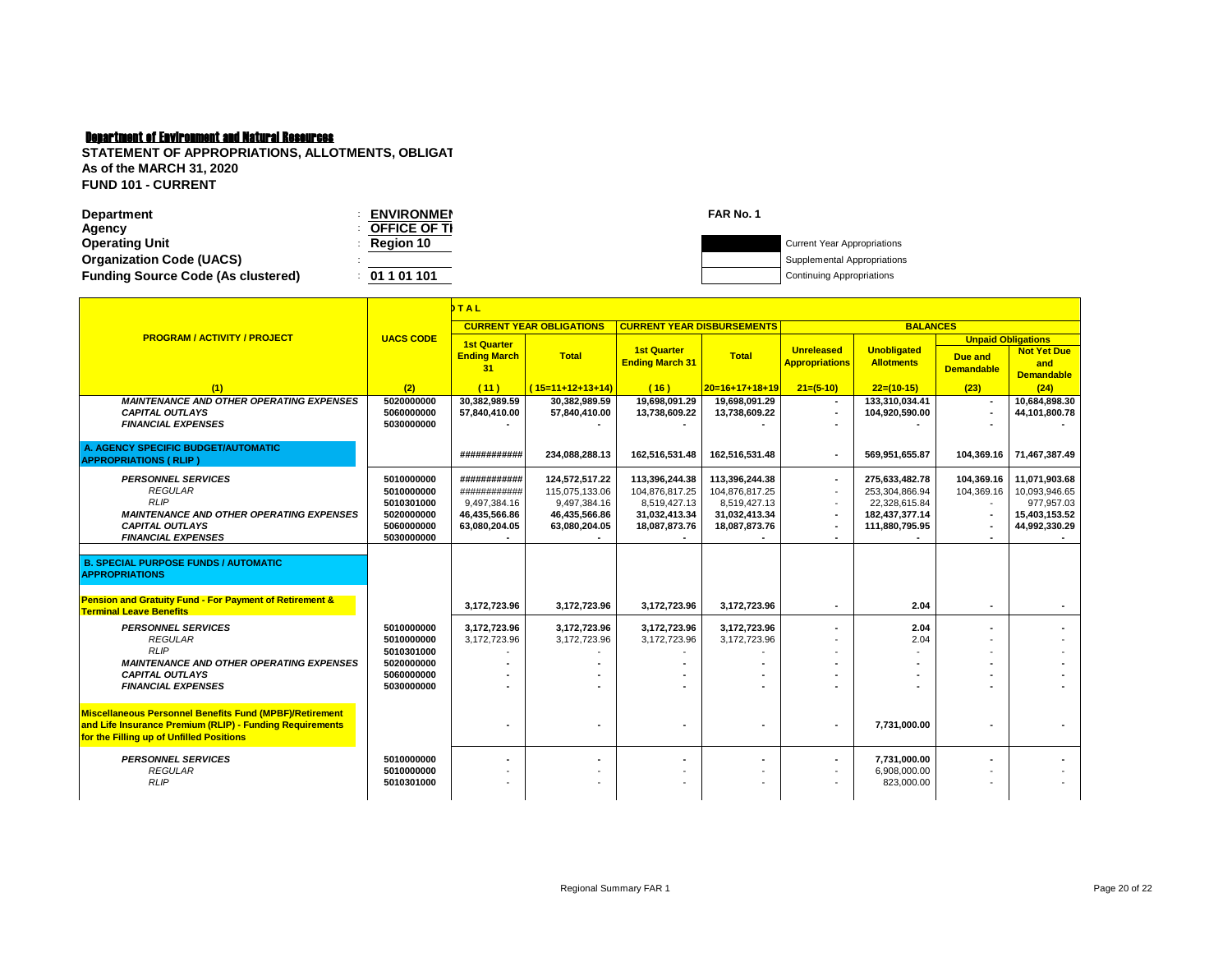| <b>Department</b>                         | <b>ENVIRONMEN</b>   | FAR No. 1 |                                    |
|-------------------------------------------|---------------------|-----------|------------------------------------|
| Agency                                    | <b>OFFICE OF TI</b> |           |                                    |
| <b>Operating Unit</b>                     | <b>Region 10</b>    |           | <b>Current Year Appropriations</b> |
| <b>Organization Code (UACS)</b>           |                     |           | Supplemental Appropriations        |
| <b>Funding Source Code (As clustered)</b> | 01 1 01 101         |           | <b>Continuing Appropriations</b>   |

|                                                                                                                                                                        |                                                                                  | DTAL                                                                           |                                                                                    |                                                                                    |                                                                                    |                                                                        |                                                                                       |                                                           |                                                                                |  |
|------------------------------------------------------------------------------------------------------------------------------------------------------------------------|----------------------------------------------------------------------------------|--------------------------------------------------------------------------------|------------------------------------------------------------------------------------|------------------------------------------------------------------------------------|------------------------------------------------------------------------------------|------------------------------------------------------------------------|---------------------------------------------------------------------------------------|-----------------------------------------------------------|--------------------------------------------------------------------------------|--|
|                                                                                                                                                                        |                                                                                  |                                                                                | <b>CURRENT YEAR OBLIGATIONS</b>                                                    | <b>CURRENT YEAR DISBURSEMENTS</b>                                                  |                                                                                    | <b>BALANCES</b>                                                        |                                                                                       |                                                           |                                                                                |  |
| <b>PROGRAM / ACTIVITY / PROJECT</b>                                                                                                                                    | <b>UACS CODE</b>                                                                 | <b>1st Quarter</b><br><b>Ending March</b><br>31                                | <b>Total</b>                                                                       | <b>1st Quarter</b><br><b>Ending March 31</b>                                       | <b>Total</b>                                                                       | <b>Unreleased</b><br><b>Appropriations</b>                             | <b>Unobligated</b><br><b>Allotments</b>                                               | <b>Unpaid Obligations</b><br>Due and<br><b>Demandable</b> | <b>Not Yet Due</b><br>and<br><b>Demandable</b>                                 |  |
|                                                                                                                                                                        | (2)                                                                              | (11)                                                                           | $(15=11+12+13+14)$                                                                 | (16)                                                                               | $20=16+17+18+19$                                                                   | $21=(5-10)$                                                            | $22=(10-15)$                                                                          | (23)                                                      | (24)                                                                           |  |
| <b>MAINTENANCE AND OTHER OPERATING EXPENSES</b><br><b>CAPITAL OUTLAYS</b><br><b>FINANCIAL EXPENSES</b>                                                                 | 5020000000<br>5060000000<br>5030000000                                           | 30.382.989.59<br>57.840.410.00                                                 | 30,382,989.59<br>57,840,410.00                                                     | 19.698.091.29<br>13,738,609.22                                                     | 19.698.091.29<br>13,738,609.22                                                     | $\blacksquare$                                                         | 133.310.034.41<br>104,920,590.00                                                      | $\blacksquare$                                            | 10,684,898.30<br>44,101,800.78                                                 |  |
| A. AGENCY SPECIFIC BUDGET/AUTOMATIC<br><b>APPROPRIATIONS (RLIP)</b>                                                                                                    |                                                                                  | ############                                                                   | 234,088,288.13                                                                     | 162,516,531.48                                                                     | 162,516,531.48                                                                     |                                                                        | 569,951,655.87                                                                        | 104,369.16                                                | 71,467,387.49                                                                  |  |
| <b>PERSONNEL SERVICES</b><br><b>REGULAR</b><br><b>RLIP</b><br><b>MAINTENANCE AND OTHER OPERATING EXPENSES</b><br><b>CAPITAL OUTLAYS</b><br><b>FINANCIAL EXPENSES</b>   | 5010000000<br>5010000000<br>5010301000<br>5020000000<br>5060000000<br>5030000000 | ############<br>############<br>9.497.384.16<br>46,435,566.86<br>63,080,204.05 | 124,572,517.22<br>115,075,133.06<br>9,497,384.16<br>46,435,566.86<br>63,080,204.05 | 113,396,244.38<br>104,876,817.25<br>8,519,427.13<br>31,032,413.34<br>18,087,873.76 | 113,396,244.38<br>104,876,817.25<br>8,519,427.13<br>31,032,413.34<br>18,087,873.76 | $\blacksquare$<br>$\sim$<br>$\blacksquare$<br>$\overline{\phantom{a}}$ | 275,633,482.78<br>253.304.866.94<br>22,328,615.84<br>182,437,377.14<br>111,880,795.95 | 104,369.16<br>104,369.16<br>$\blacksquare$                | 11,071,903.68<br>10,093,946.65<br>977.957.03<br>15,403,153.52<br>44,992,330.29 |  |
| <b>B. SPECIAL PURPOSE FUNDS / AUTOMATIC</b><br><b>APPROPRIATIONS</b>                                                                                                   |                                                                                  |                                                                                |                                                                                    |                                                                                    |                                                                                    |                                                                        |                                                                                       |                                                           |                                                                                |  |
| <b>Pension and Gratuity Fund - For Payment of Retirement &amp;</b><br><b>Terminal Leave Benefits</b>                                                                   |                                                                                  | 3,172,723.96                                                                   | 3,172,723.96                                                                       | 3,172,723.96                                                                       | 3,172,723.96                                                                       |                                                                        | 2.04                                                                                  |                                                           |                                                                                |  |
| <b>PERSONNEL SERVICES</b><br><b>REGULAR</b><br><b>RLIP</b>                                                                                                             | 5010000000<br>5010000000<br>5010301000                                           | 3,172,723.96<br>3,172,723.96                                                   | 3,172,723.96<br>3,172,723.96                                                       | 3,172,723.96<br>3,172,723.96                                                       | 3,172,723.96<br>3,172,723.96                                                       |                                                                        | 2.04<br>2.04                                                                          |                                                           |                                                                                |  |
| <b>MAINTENANCE AND OTHER OPERATING EXPENSES</b><br><b>CAPITAL OUTLAYS</b><br><b>FINANCIAL EXPENSES</b>                                                                 | 5020000000<br>5060000000<br>5030000000                                           |                                                                                |                                                                                    |                                                                                    |                                                                                    |                                                                        |                                                                                       |                                                           |                                                                                |  |
| <b>Miscellaneous Personnel Benefits Fund (MPBF)/Retirement</b><br>and Life Insurance Premium (RLIP) - Funding Requirements<br>for the Filling up of Unfilled Positions |                                                                                  |                                                                                |                                                                                    |                                                                                    |                                                                                    |                                                                        | 7,731,000.00                                                                          |                                                           |                                                                                |  |
| <b>PERSONNEL SERVICES</b><br><b>REGULAR</b><br><b>RLIP</b>                                                                                                             | 5010000000<br>5010000000<br>5010301000                                           |                                                                                |                                                                                    |                                                                                    |                                                                                    |                                                                        | 7,731,000.00<br>6,908,000.00<br>823,000.00                                            | $\blacksquare$                                            |                                                                                |  |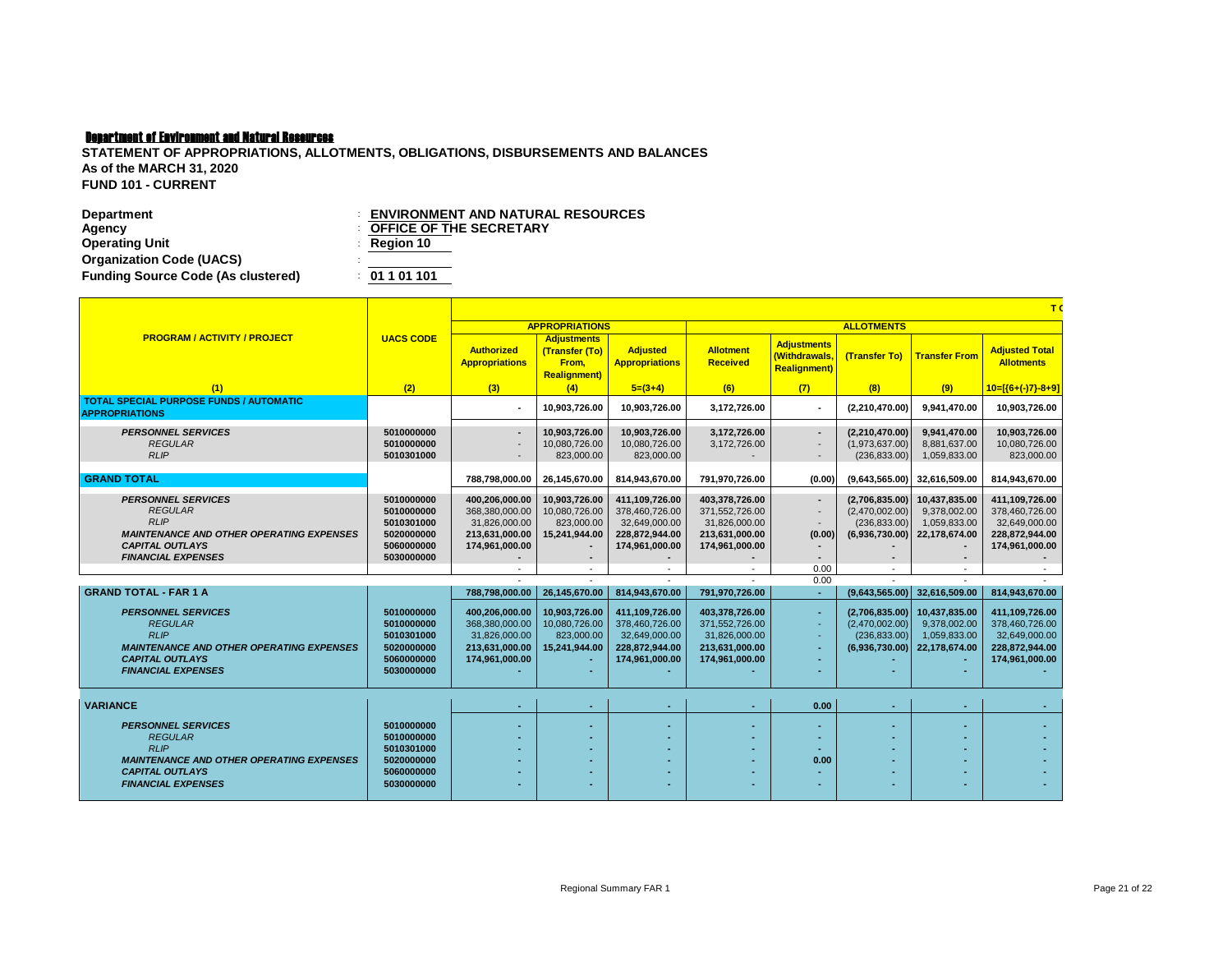| <b>Department</b>                         | <b>ENVIRONMENT AND NATURAL RESOURCES</b> |
|-------------------------------------------|------------------------------------------|
| Agency                                    | <b>COFFICE OF THE SECRETARY</b>          |
| <b>Operating Unit</b>                     | $\therefore$ Region 10                   |
| <b>Organization Code (UACS)</b>           |                                          |
| <b>Funding Source Code (As clustered)</b> | : 01101101                               |

|                                                                                                                                                                                                                                                                                                                                                 |                                                                                                                                                        |                                                                                                                                                                                                  |                                                                                                                                                      |                                                                                                                                                                                                  |                                                                                                                                                                                                  |                                                                                                  |                                                                                                                                                                                          |                                                                                                                                                                     | T(                                                                                                                                                                                               |
|-------------------------------------------------------------------------------------------------------------------------------------------------------------------------------------------------------------------------------------------------------------------------------------------------------------------------------------------------|--------------------------------------------------------------------------------------------------------------------------------------------------------|--------------------------------------------------------------------------------------------------------------------------------------------------------------------------------------------------|------------------------------------------------------------------------------------------------------------------------------------------------------|--------------------------------------------------------------------------------------------------------------------------------------------------------------------------------------------------|--------------------------------------------------------------------------------------------------------------------------------------------------------------------------------------------------|--------------------------------------------------------------------------------------------------|------------------------------------------------------------------------------------------------------------------------------------------------------------------------------------------|---------------------------------------------------------------------------------------------------------------------------------------------------------------------|--------------------------------------------------------------------------------------------------------------------------------------------------------------------------------------------------|
|                                                                                                                                                                                                                                                                                                                                                 |                                                                                                                                                        |                                                                                                                                                                                                  | <b>APPROPRIATIONS</b>                                                                                                                                |                                                                                                                                                                                                  |                                                                                                                                                                                                  |                                                                                                  | <b>ALLOTMENTS</b>                                                                                                                                                                        |                                                                                                                                                                     |                                                                                                                                                                                                  |
| <b>PROGRAM / ACTIVITY / PROJECT</b>                                                                                                                                                                                                                                                                                                             | <b>UACS CODE</b>                                                                                                                                       | <b>Authorized</b><br><b>Appropriations</b>                                                                                                                                                       | <b>Adjustments</b><br>(Transfer (To)<br>From.<br><b>Realignment</b> )                                                                                | <b>Adjusted</b><br><b>Appropriations</b>                                                                                                                                                         | <b>Allotment</b><br><b>Received</b>                                                                                                                                                              | <b>Adjustments</b><br>(Withdrawals.<br><b>Realignment)</b>                                       | (Transfer To)                                                                                                                                                                            | <b>Transfer From</b>                                                                                                                                                | <b>Adjusted Total</b><br><b>Allotments</b>                                                                                                                                                       |
| (1)                                                                                                                                                                                                                                                                                                                                             | (2)                                                                                                                                                    | (3)                                                                                                                                                                                              | (4)                                                                                                                                                  | $5=(3+4)$                                                                                                                                                                                        | (6)                                                                                                                                                                                              | (7)                                                                                              | (8)                                                                                                                                                                                      | (9)                                                                                                                                                                 | $10=[(6+(-)7)-8+9]$                                                                                                                                                                              |
| <b>TOTAL SPECIAL PURPOSE FUNDS / AUTOMATIC</b><br><b>APPROPRIATIONS</b>                                                                                                                                                                                                                                                                         |                                                                                                                                                        |                                                                                                                                                                                                  | 10,903,726.00                                                                                                                                        | 10,903,726.00                                                                                                                                                                                    | 3,172,726.00                                                                                                                                                                                     |                                                                                                  | (2,210,470.00)                                                                                                                                                                           | 9.941.470.00                                                                                                                                                        | 10,903,726.00                                                                                                                                                                                    |
| <b>PERSONNEL SERVICES</b><br><b>REGULAR</b><br><b>RLIP</b>                                                                                                                                                                                                                                                                                      | 5010000000<br>5010000000<br>5010301000                                                                                                                 |                                                                                                                                                                                                  | 10,903,726.00<br>10.080.726.00<br>823,000.00                                                                                                         | 10,903,726.00<br>10.080.726.00<br>823,000.00                                                                                                                                                     | 3,172,726.00<br>3,172,726.00                                                                                                                                                                     | $\overline{\phantom{a}}$                                                                         | (2,210,470.00)<br>(1,973,637.00)<br>(236, 833.00)                                                                                                                                        | 9,941,470.00<br>8.881.637.00<br>1,059,833.00                                                                                                                        | 10,903,726.00<br>10,080,726.00<br>823,000.00                                                                                                                                                     |
| <b>GRAND TOTAL</b>                                                                                                                                                                                                                                                                                                                              |                                                                                                                                                        | 788,798,000.00                                                                                                                                                                                   | 26,145,670.00                                                                                                                                        | 814,943,670.00                                                                                                                                                                                   | 791,970,726.00                                                                                                                                                                                   | (0.00)                                                                                           | (9,643,565.00)                                                                                                                                                                           | 32,616,509.00                                                                                                                                                       | 814,943,670.00                                                                                                                                                                                   |
| <b>PERSONNEL SERVICES</b><br><b>REGULAR</b><br><b>RLIP</b><br><b>MAINTENANCE AND OTHER OPERATING EXPENSES</b><br><b>CAPITAL OUTLAYS</b><br><b>FINANCIAL EXPENSES</b><br><b>GRAND TOTAL - FAR 1 A</b><br><b>PERSONNEL SERVICES</b><br><b>REGULAR</b><br><b>RLIP</b><br><b>MAINTENANCE AND OTHER OPERATING EXPENSES</b><br><b>CAPITAL OUTLAYS</b> | 5010000000<br>5010000000<br>5010301000<br>5020000000<br>5060000000<br>5030000000<br>5010000000<br>5010000000<br>5010301000<br>5020000000<br>5060000000 | 400,206,000.00<br>368.380.000.00<br>31,826,000.00<br>213,631,000.00<br>174,961,000.00<br>788.798.000.00<br>400,206,000.00<br>368,380,000.00<br>31,826,000.00<br>213,631,000.00<br>174,961,000.00 | 10,903,726.00<br>10,080,726.00<br>823,000.00<br>15,241,944.00<br>٠<br>26,145,670.00<br>10,903,726.00<br>10,080,726.00<br>823,000.00<br>15,241,944.00 | 411,109,726.00<br>378.460.726.00<br>32,649,000.00<br>228,872,944.00<br>174,961,000.00<br>814,943,670.00<br>411,109,726.00<br>378,460,726.00<br>32,649,000.00<br>228,872,944.00<br>174,961,000.00 | 403,378,726.00<br>371,552,726.00<br>31,826,000.00<br>213,631,000.00<br>174,961,000.00<br>791,970,726.00<br>403,378,726.00<br>371,552,726.00<br>31,826,000.00<br>213,631,000.00<br>174,961,000.00 | $\blacksquare$<br>(0.00)<br>$\blacksquare$<br>0.00<br>0.00<br>$\sim$<br>$\overline{\phantom{a}}$ | (2,706,835.00)<br>(2,470,002.00)<br>(236, 833.00)<br>(6,936,730.00)<br>$\overline{\phantom{a}}$<br>(9,643,565.00)<br>(2,706,835.00)<br>(2,470,002.00)<br>(236, 833.00)<br>(6,936,730.00) | 10,437,835.00<br>9.378.002.00<br>1,059,833.00<br>22,178,674.00<br>$\blacksquare$<br>32,616,509.00<br>10,437,835.00<br>9.378.002.00<br>1,059,833.00<br>22,178,674.00 | 411,109,726.00<br>378,460,726,00<br>32,649,000.00<br>228,872,944.00<br>174,961,000.00<br>814,943,670.00<br>411,109,726.00<br>378,460,726.00<br>32,649,000.00<br>228,872,944.00<br>174,961,000.00 |
| <b>FINANCIAL EXPENSES</b>                                                                                                                                                                                                                                                                                                                       | 5030000000                                                                                                                                             |                                                                                                                                                                                                  |                                                                                                                                                      |                                                                                                                                                                                                  |                                                                                                                                                                                                  |                                                                                                  |                                                                                                                                                                                          |                                                                                                                                                                     |                                                                                                                                                                                                  |
| <b>VARIANCE</b>                                                                                                                                                                                                                                                                                                                                 |                                                                                                                                                        |                                                                                                                                                                                                  |                                                                                                                                                      |                                                                                                                                                                                                  |                                                                                                                                                                                                  | 0.00                                                                                             | $\overline{\phantom{a}}$                                                                                                                                                                 |                                                                                                                                                                     |                                                                                                                                                                                                  |
| <b>PERSONNEL SERVICES</b><br><b>REGULAR</b><br><b>RLIP</b><br><b>MAINTENANCE AND OTHER OPERATING EXPENSES</b><br><b>CAPITAL OUTLAYS</b>                                                                                                                                                                                                         | 5010000000<br>5010000000<br>5010301000<br>5020000000<br>5060000000                                                                                     |                                                                                                                                                                                                  |                                                                                                                                                      |                                                                                                                                                                                                  |                                                                                                                                                                                                  | 0.00                                                                                             |                                                                                                                                                                                          |                                                                                                                                                                     |                                                                                                                                                                                                  |
| <b>FINANCIAL EXPENSES</b>                                                                                                                                                                                                                                                                                                                       | 5030000000                                                                                                                                             |                                                                                                                                                                                                  |                                                                                                                                                      |                                                                                                                                                                                                  |                                                                                                                                                                                                  |                                                                                                  |                                                                                                                                                                                          |                                                                                                                                                                     |                                                                                                                                                                                                  |